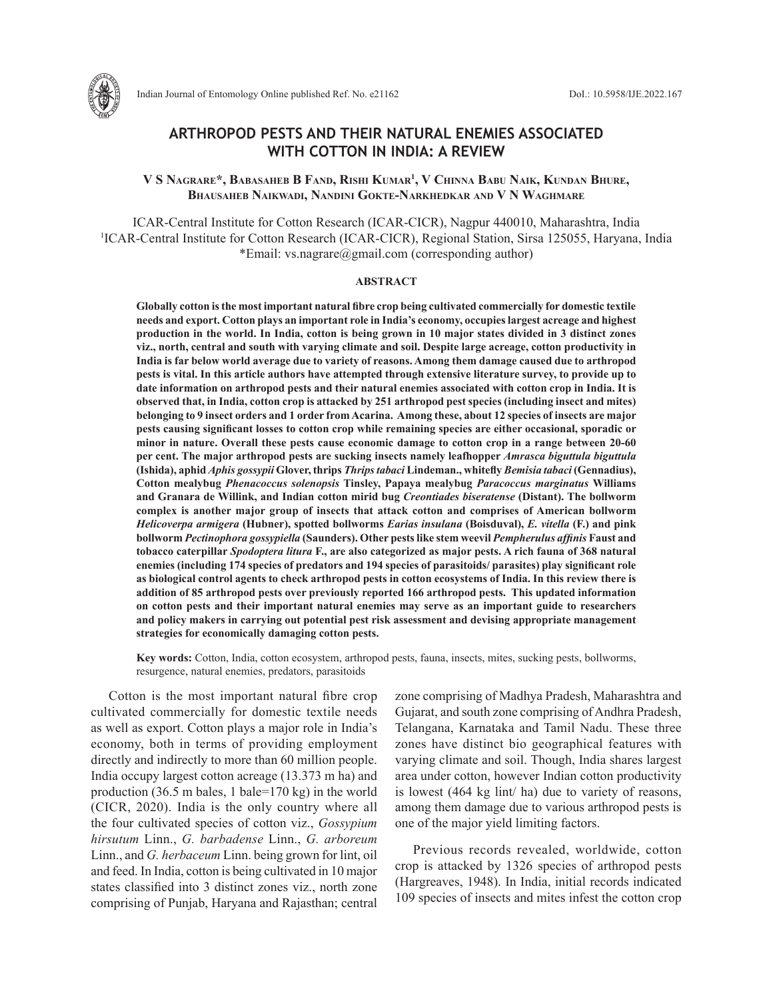

# **ARTHROPOD PESTS AND THEIR NATURAL ENEMIES ASSOCIATED WITH COTTON IN INDIA: A REVIEW**

**V S Nagrare\*, Babasaheb B Fand, Rishi Kumar1 , V Chinna Babu Naik, Kundan Bhure, Bhausaheb Naikwadi, Nandini Gokte-Narkhedkar and V N Waghmare**

ICAR-Central Institute for Cotton Research (ICAR-CICR), Nagpur 440010, Maharashtra, India <sup>1</sup>ICAR-Central Institute for Cotton Research (ICAR-CICR), Regional Station, Sirsa 125055, Haryana, India \*Email: vs.nagrare@gmail.com (corresponding author)

#### **ABSTRACT**

**Globally cotton is the most important natural fibre crop being cultivated commercially for domestic textile needs and export. Cotton plays an important role in India's economy, occupies largest acreage and highest production in the world. In India, cotton is being grown in 10 major states divided in 3 distinct zones viz., north, central and south with varying climate and soil. Despite large acreage, cotton productivity in India is far below world average due to variety of reasons. Among them damage caused due to arthropod pests is vital. In this article authors have attempted through extensive literature survey, to provide up to date information on arthropod pests and their natural enemies associated with cotton crop in India. It is observed that, in India, cotton crop is attacked by 251 arthropod pest species (including insect and mites) belonging to 9 insect orders and 1 order from Acarina. Among these, about 12 species of insects are major pests causing significant losses to cotton crop while remaining species are either occasional, sporadic or minor in nature. Overall these pests cause economic damage to cotton crop in a range between 20-60 per cent. The major arthropod pests are sucking insects namely leafhopper** *Amrasca biguttula biguttula*  **(Ishida), aphid** *Aphis gossypii* **Glover, thrips** *Thrips tabaci* **Lindeman., whitefly** *Bemisia tabaci* **(Gennadius), Cotton mealybug** *Phenacoccus solenopsis* **Tinsley, Papaya mealybug** *Paracoccus marginatus* **Williams and Granara de Willink, and Indian cotton mirid bug** *Creontiades biseratense* **(Distant). The bollworm complex is another major group of insects that attack cotton and comprises of American bollworm**  *Helicoverpa armigera* **(Hubner), spotted bollworms** *Earias insulana* **(Boisduval),** *E. vitella* **(F.) and pink bollworm** *Pectinophora gossypiella* **(Saunders). Other pests like stem weevil** *Pempherulus affinis* **Faust and tobacco caterpillar** *Spodoptera litura* **F., are also categorized as major pests. A rich fauna of 368 natural enemies (including 174 species of predators and 194 species of parasitoids/ parasites) play significant role as biological control agents to check arthropod pests in cotton ecosystems of India. In this review there is addition of 85 arthropod pests over previously reported 166 arthropod pests. This updated information on cotton pests and their important natural enemies may serve as an important guide to researchers and policy makers in carrying out potential pest risk assessment and devising appropriate management strategies for economically damaging cotton pests.** 

**Key words:** Cotton, India, cotton ecosystem, arthropod pests, fauna, insects, mites, sucking pests, bollworms, resurgence, natural enemies, predators, parasitoids

Cotton is the most important natural fibre crop cultivated commercially for domestic textile needs as well as export. Cotton plays a major role in India's economy, both in terms of providing employment directly and indirectly to more than 60 million people. India occupy largest cotton acreage (13.373 m ha) and production (36.5 m bales, 1 bale=170 kg) in the world (CICR, 2020). India is the only country where all the four cultivated species of cotton viz., *Gossypium hirsutum* Linn., *G. barbadense* Linn., *G. arboreum* Linn., and *G. herbaceum* Linn. being grown for lint, oil and feed. In India, cotton is being cultivated in 10 major states classified into 3 distinct zones viz., north zone comprising of Punjab, Haryana and Rajasthan; central

zone comprising of Madhya Pradesh, Maharashtra and Gujarat, and south zone comprising of Andhra Pradesh, Telangana, Karnataka and Tamil Nadu. These three zones have distinct bio geographical features with varying climate and soil. Though, India shares largest area under cotton, however Indian cotton productivity is lowest (464 kg lint/ ha) due to variety of reasons, among them damage due to various arthropod pests is one of the major yield limiting factors.

Previous records revealed, worldwide, cotton crop is attacked by 1326 species of arthropod pests (Hargreaves, 1948). In India, initial records indicated 109 species of insects and mites infest the cotton crop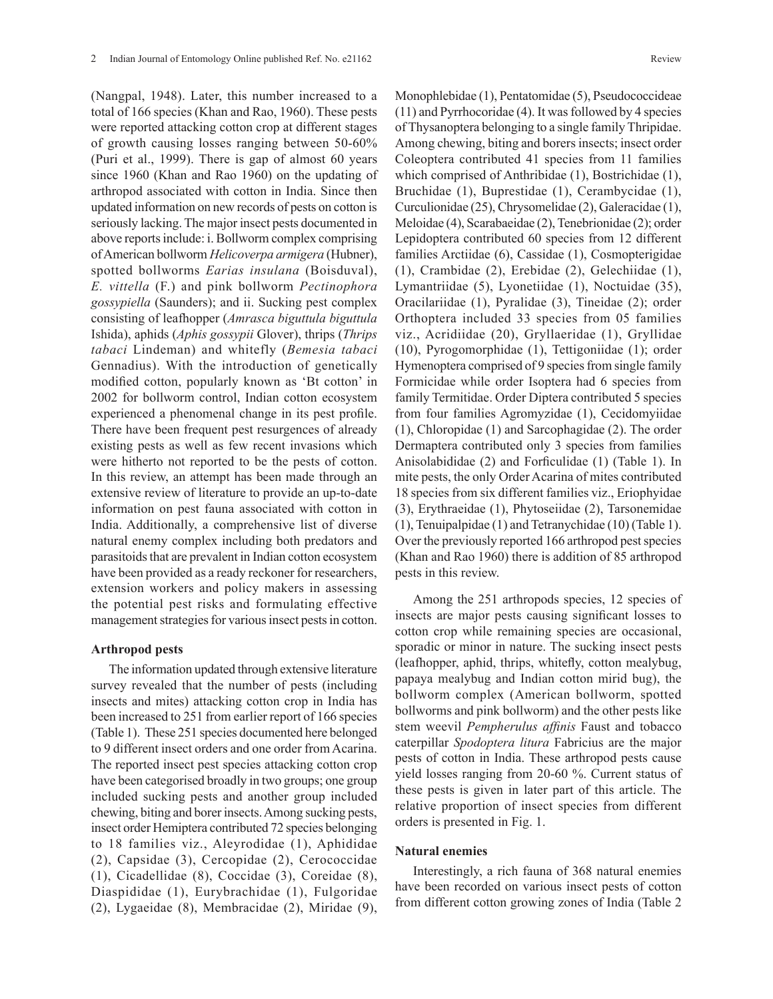(Nangpal, 1948). Later, this number increased to a total of 166 species (Khan and Rao, 1960). These pests were reported attacking cotton crop at different stages of growth causing losses ranging between 50-60% (Puri et al., 1999). There is gap of almost 60 years since 1960 (Khan and Rao 1960) on the updating of arthropod associated with cotton in India. Since then updated information on new records of pests on cotton is seriously lacking. The major insect pests documented in above reports include: i. Bollworm complex comprising of American bollworm *Helicoverpa armigera* (Hubner), spotted bollworms *Earias insulana* (Boisduval), *E. vittella* (F.) and pink bollworm *Pectinophora gossypiella* (Saunders); and ii. Sucking pest complex consisting of leafhopper (*Amrasca biguttula biguttula*  Ishida), aphids (*Aphis gossypii* Glover), thrips (*Thrips tabaci* Lindeman) and whitefly (*Bemesia tabaci*  Gennadius). With the introduction of genetically modified cotton, popularly known as 'Bt cotton' in 2002 for bollworm control, Indian cotton ecosystem experienced a phenomenal change in its pest profile. There have been frequent pest resurgences of already existing pests as well as few recent invasions which were hitherto not reported to be the pests of cotton. In this review, an attempt has been made through an extensive review of literature to provide an up-to-date information on pest fauna associated with cotton in India. Additionally, a comprehensive list of diverse natural enemy complex including both predators and parasitoids that are prevalent in Indian cotton ecosystem have been provided as a ready reckoner for researchers, extension workers and policy makers in assessing the potential pest risks and formulating effective management strategies for various insect pests in cotton.

#### **Arthropod pests**

The information updated through extensive literature survey revealed that the number of pests (including insects and mites) attacking cotton crop in India has been increased to 251 from earlier report of 166 species (Table 1). These 251 species documented here belonged to 9 different insect orders and one order from Acarina. The reported insect pest species attacking cotton crop have been categorised broadly in two groups; one group included sucking pests and another group included chewing, biting and borer insects. Among sucking pests, insect order Hemiptera contributed 72 species belonging to 18 families viz., Aleyrodidae (1), Aphididae (2), Capsidae (3), Cercopidae (2), Cerococcidae (1), Cicadellidae (8), Coccidae (3), Coreidae (8), Diaspididae (1), Eurybrachidae (1), Fulgoridae (2), Lygaeidae (8), Membracidae (2), Miridae (9),

Monophlebidae (1), Pentatomidae (5), Pseudococcideae (11) and Pyrrhocoridae (4). It was followed by 4 species of Thysanoptera belonging to a single family Thripidae. Among chewing, biting and borers insects; insect order Coleoptera contributed 41 species from 11 families which comprised of Anthribidae (1), Bostrichidae (1), Bruchidae (1), Buprestidae (1), Cerambycidae (1), Curculionidae (25), Chrysomelidae (2), Galeracidae (1), Meloidae (4), Scarabaeidae (2), Tenebrionidae (2); order Lepidoptera contributed 60 species from 12 different families Arctiidae (6), Cassidae (1), Cosmopterigidae (1), Crambidae (2), Erebidae (2), Gelechiidae (1), Lymantriidae (5), Lyonetiidae (1), Noctuidae (35), Oracilariidae (1), Pyralidae (3), Tineidae (2); order Orthoptera included 33 species from 05 families viz., Acridiidae (20), Gryllaeridae (1), Gryllidae (10), Pyrogomorphidae (1), Tettigoniidae (1); order Hymenoptera comprised of 9 species from single family Formicidae while order Isoptera had 6 species from family Termitidae. Order Diptera contributed 5 species from four families Agromyzidae (1), Cecidomyiidae (1), Chloropidae (1) and Sarcophagidae (2). The order Dermaptera contributed only 3 species from families Anisolabididae (2) and Forficulidae (1) (Table 1). In mite pests, the only Order Acarina of mites contributed 18 species from six different families viz., Eriophyidae (3), Erythraeidae (1), Phytoseiidae (2), Tarsonemidae (1), Tenuipalpidae (1) and Tetranychidae (10) (Table 1). Over the previously reported 166 arthropod pest species (Khan and Rao 1960) there is addition of 85 arthropod pests in this review.

Among the 251 arthropods species, 12 species of insects are major pests causing significant losses to cotton crop while remaining species are occasional, sporadic or minor in nature. The sucking insect pests (leafhopper, aphid, thrips, whitefly, cotton mealybug, papaya mealybug and Indian cotton mirid bug), the bollworm complex (American bollworm, spotted bollworms and pink bollworm) and the other pests like stem weevil *Pempherulus affinis* Faust and tobacco caterpillar *Spodoptera litura* Fabricius are the major pests of cotton in India. These arthropod pests cause yield losses ranging from 20-60 %. Current status of these pests is given in later part of this article. The relative proportion of insect species from different orders is presented in Fig. 1.

### **Natural enemies**

Interestingly, a rich fauna of 368 natural enemies have been recorded on various insect pests of cotton from different cotton growing zones of India (Table 2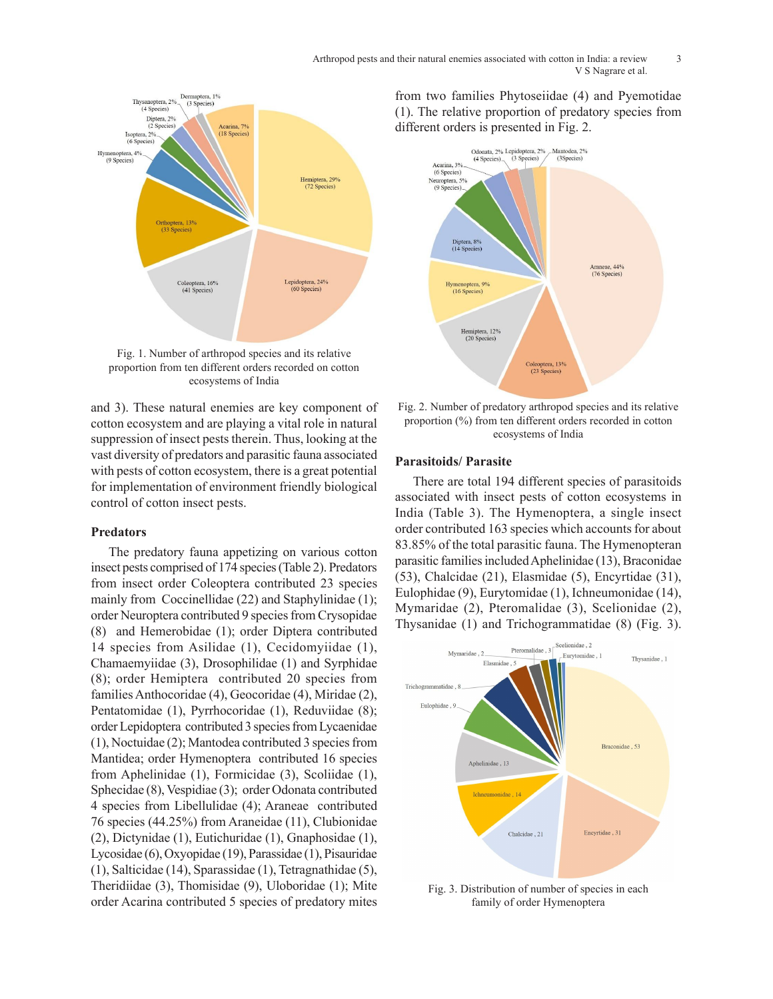

proportion from ten different orders recorded on cotton ecosystems of India

and 3). These natural enemies are key component of cotton ecosystem and are playing a vital role in natural suppression of insect pests therein. Thus, looking at the ecosystems of indian conduction ecosystems of indian conduction  $\epsilon$ vast diversity of predators and parasitic fauna associated with pests of cotton ecosystem, there is a great potential for implementation of environment friendly biological control of cotton insect pests.

### **Predators**

The predatory fauna appetizing on various cotton insect pests comprised of 174 species (Table 2). Predators from insect order Coleoptera contributed 23 species mainly from Coccinellidae (22) and Staphylinidae (1); order Neuroptera contributed 9 species from Crysopidae (8) and Hemerobidae (1); order Diptera contributed 14 species from Asilidae (1), Cecidomyiidae (1), Chamaemyiidae (3), Drosophilidae (1) and Syrphidae  $(8)$ ; order Hemiptera contributed 20 species from families Anthocoridae (4), Geocoridae (4), Miridae (2), Pentatomidae (1), Pyrrhocoridae (1), Reduviidae (8); order Lepidoptera contributed 3 species from Lycaenidae (1), Noctuidae (2); Mantodea contributed 3 species from Mantidea; order Hymenoptera contributed 16 species from Aphelinidae (1), Formicidae (3), Scoliidae (1), Sphecidae (8), Vespidiae (3); order Odonata contributed 4 species from Libellulidae (4); Araneae contributed 76 species (44.25%) from Araneidae (11), Clubionidae (2), Dictynidae (1), Eutichuridae (1), Gnaphosidae (1), Lycosidae (6), Oxyopidae (19), Parassidae (1), Pisauridae (1), Salticidae (14), Sparassidae (1), Tetragnathidae (5), Theridiidae (3), Thomisidae (9), Uloboridae (1); Mite order Acarina contributed 5 species of predatory mites

from two families Phytoseiidae (4) and Pyemotidae (1). The relative proportion of predatory species from different orders is presented in Fig. 2.



ble in natural proportion (%) from ten different orders recorded in cotton Fig. 2. Number of predatory arthropod species and its relative ecosystems of India

### **Parasitoids/ Parasite**

There are total 194 different species of parasitoids associated with insect pests of cotton ecosystems in India (Table 3). The Hymenoptera, a single insect order contributed 163 species which accounts for about 83.85% of the total parasitic fauna. The Hymenopteran parasitic families included Aphelinidae (13), Braconidae (53), Chalcidae (21), Elasmidae (5), Encyrtidae (31), Eulophidae (9), Eurytomidae (1), Ichneumonidae (14), Mymaridae (2), Pteromalidae (3), Scelionidae (2), Thysanidae (1) and Trichogrammatidae (8) (Fig. 3).



family of order Hymenoptera Fig. 3. Distribution of number of species in each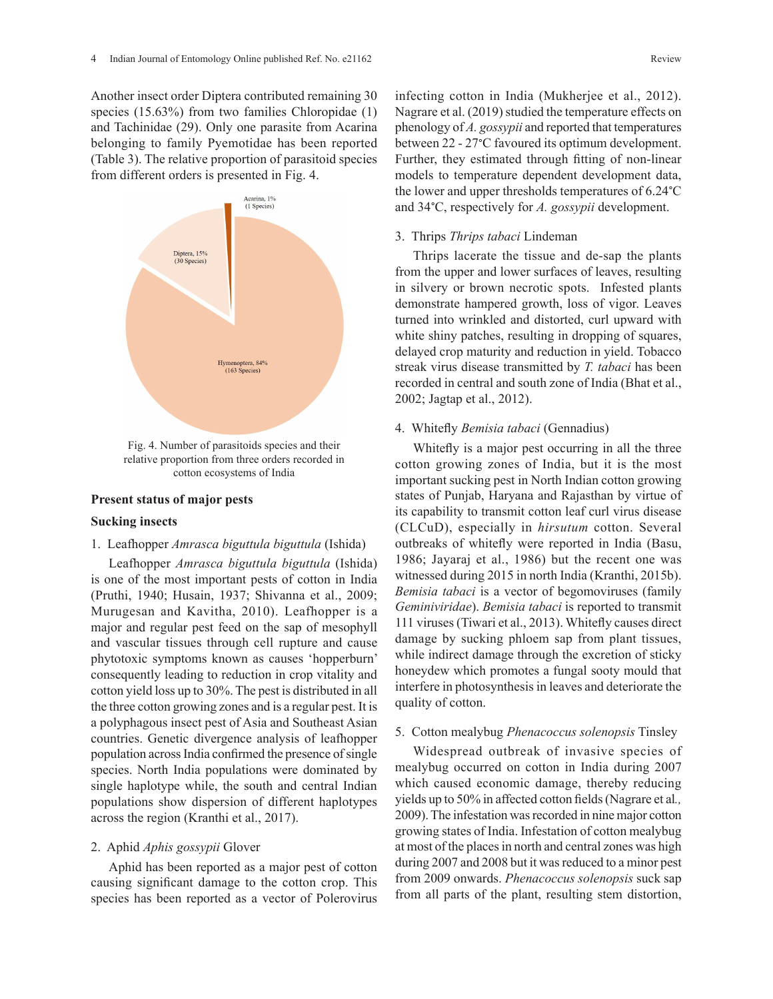Another insect order Diptera contributed remaining 30 species (15.63%) from two families Chloropidae (1) and Tachinidae (29). Only one parasite from Acarina belonging to family Pyemotidae has been reported (Table 3). The relative proportion of parasitoid species from different orders is presented in Fig. 4.



Fig. 4. Number of parasitoids species and their relative proportion from three orders recorded in  $\epsilon_0$ cotton ecosystems of India

### **Present status of major pests**

#### **Sucking insects**

### 1. Leafhopper *Amrasca biguttula biguttula* (Ishida)

Leafhopper *Amrasca biguttula biguttula* (Ishida) is one of the most important pests of cotton in India (Pruthi, 1940; Husain, 1937; Shivanna et al., 2009; Murugesan and Kavitha, 2010). Leafhopper is a major and regular pest feed on the sap of mesophyll and vascular tissues through cell rupture and cause phytotoxic symptoms known as causes 'hopperburn' consequently leading to reduction in crop vitality and cotton yield loss up to 30%. The pest is distributed in all the three cotton growing zones and is a regular pest. It is a polyphagous insect pest of Asia and Southeast Asian countries. Genetic divergence analysis of leafhopper population across India confirmed the presence of single species. North India populations were dominated by single haplotype while, the south and central Indian populations show dispersion of different haplotypes across the region (Kranthi et al., 2017).

### 2. Aphid *Aphis gossypii* Glover

Aphid has been reported as a major pest of cotton causing significant damage to the cotton crop. This species has been reported as a vector of Polerovirus infecting cotton in India (Mukherjee et al., 2012). Nagrare et al. (2019) studied the temperature effects on phenology of *A. gossypii* and reported that temperatures between 22 - 27°C favoured its optimum development. Further, they estimated through fitting of non-linear models to temperature dependent development data, the lower and upper thresholds temperatures of 6.24°C and 34°C, respectively for *A. gossypii* development.

#### 3. Thrips *Thrips tabaci* Lindeman

Thrips lacerate the tissue and de-sap the plants from the upper and lower surfaces of leaves, resulting in silvery or brown necrotic spots. Infested plants demonstrate hampered growth, loss of vigor. Leaves turned into wrinkled and distorted, curl upward with white shiny patches, resulting in dropping of squares, delayed crop maturity and reduction in yield. Tobacco streak virus disease transmitted by *T. tabaci* has been recorded in central and south zone of India (Bhat et al., 2002; Jagtap et al., 2012).

#### 4. Whitefly *Bemisia tabaci* (Gennadius)

Whitefly is a major pest occurring in all the three cotton growing zones of India, but it is the most important sucking pest in North Indian cotton growing states of Punjab, Haryana and Rajasthan by virtue of its capability to transmit cotton leaf curl virus disease (CLCuD), especially in hirsutum cotton. Several outbreaks of whitefly were reported in India (Basu, 1986; Jayaraj et al., 1986) but the recent one was witnessed during 2015 in north India (Kranthi, 2015b). *Bemisia tabaci* is a vector of begomoviruses (family *Geminiviridae*). *Bemisia tabaci* is reported to transmit 111 viruses (Tiwari et al., 2013). Whitefly causes direct damage by sucking phloem sap from plant tissues, while indirect damage through the excretion of sticky honeydew which promotes a fungal sooty mould that interfere in photosynthesis in leaves and deteriorate the quality of cotton.

### 5. Cotton mealybug *Phenacoccus solenopsis* Tinsley

Widespread outbreak of invasive species of mealybug occurred on cotton in India during 2007 which caused economic damage, thereby reducing yields up to 50% in affected cotton fields (Nagrare et al*.,* 2009). The infestation was recorded in nine major cotton growing states of India. Infestation of cotton mealybug at most of the places in north and central zones was high during 2007 and 2008 but it was reduced to a minor pest from 2009 onwards. *Phenacoccus solenopsis* suck sap from all parts of the plant, resulting stem distortion,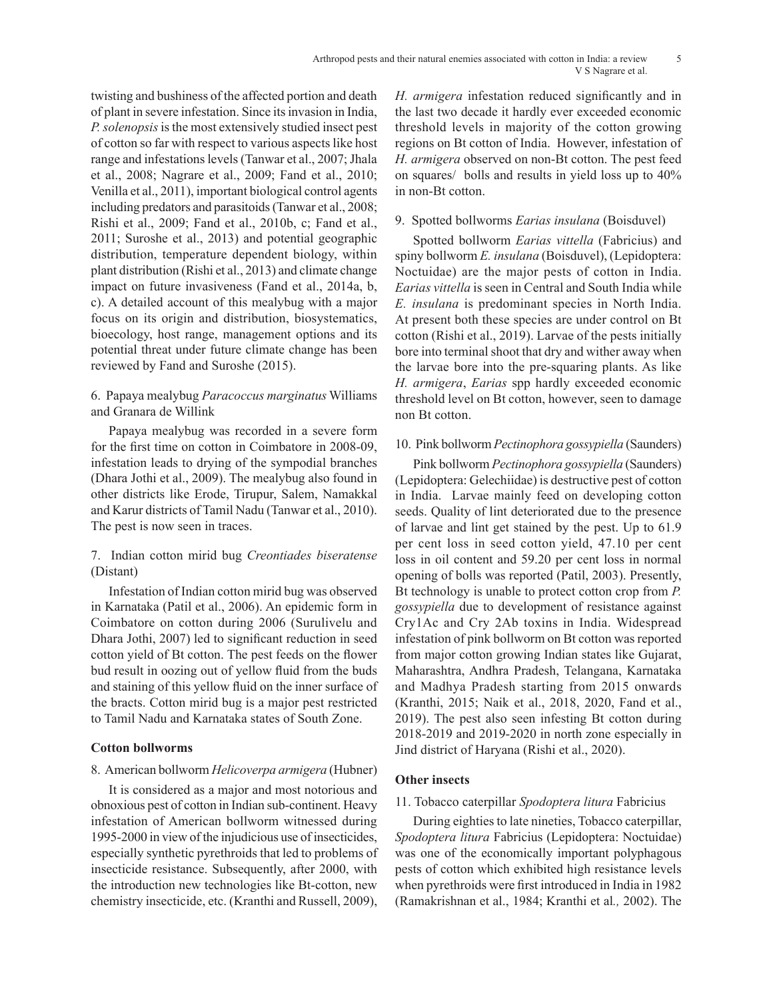twisting and bushiness of the affected portion and death of plant in severe infestation. Since its invasion in India, *P. solenopsis* is the most extensively studied insect pest of cotton so far with respect to various aspects like host range and infestations levels (Tanwar et al., 2007; Jhala et al., 2008; Nagrare et al., 2009; Fand et al., 2010; Venilla et al., 2011), important biological control agents including predators and parasitoids (Tanwar et al., 2008; Rishi et al., 2009; Fand et al., 2010b, c; Fand et al., 2011; Suroshe et al., 2013) and potential geographic distribution, temperature dependent biology, within plant distribution (Rishi et al., 2013) and climate change impact on future invasiveness (Fand et al., 2014a, b, c). A detailed account of this mealybug with a major focus on its origin and distribution, biosystematics, bioecology, host range, management options and its potential threat under future climate change has been reviewed by Fand and Suroshe (2015).

### 6. Papaya mealybug *Paracoccus marginatus* Williams and Granara de Willink

Papaya mealybug was recorded in a severe form for the first time on cotton in Coimbatore in 2008-09, infestation leads to drying of the sympodial branches (Dhara Jothi et al., 2009). The mealybug also found in other districts like Erode, Tirupur, Salem, Namakkal and Karur districts of Tamil Nadu (Tanwar et al., 2010). The pest is now seen in traces.

# 7. Indian cotton mirid bug *Creontiades biseratense*  (Distant)

Infestation of Indian cotton mirid bug was observed in Karnataka (Patil et al., 2006). An epidemic form in Coimbatore on cotton during 2006 (Surulivelu and Dhara Jothi, 2007) led to significant reduction in seed cotton yield of Bt cotton. The pest feeds on the flower bud result in oozing out of yellow fluid from the buds and staining of this yellow fluid on the inner surface of the bracts. Cotton mirid bug is a major pest restricted to Tamil Nadu and Karnataka states of South Zone.

### **Cotton bollworms**

# 8. American bollworm *Helicoverpa armigera* (Hubner)

It is considered as a major and most notorious and obnoxious pest of cotton in Indian sub-continent. Heavy infestation of American bollworm witnessed during 1995-2000 in view of the injudicious use of insecticides, especially synthetic pyrethroids that led to problems of insecticide resistance. Subsequently, after 2000, with the introduction new technologies like Bt-cotton, new chemistry insecticide, etc. (Kranthi and Russell, 2009),

*H. armigera* infestation reduced significantly and in the last two decade it hardly ever exceeded economic threshold levels in majority of the cotton growing regions on Bt cotton of India. However, infestation of *H. armigera* observed on non-Bt cotton. The pest feed on squares/ bolls and results in yield loss up to 40% in non-Bt cotton.

# 9. Spotted bollworms *Earias insulana* (Boisduvel)

Spotted bollworm *Earias vittella* (Fabricius) and spiny bollworm *E. insulana* (Boisduvel), (Lepidoptera: Noctuidae) are the major pests of cotton in India. *Earias vittella* is seen in Central and South India while *E. insulana* is predominant species in North India. At present both these species are under control on Bt cotton (Rishi et al., 2019). Larvae of the pests initially bore into terminal shoot that dry and wither away when the larvae bore into the pre-squaring plants. As like *H. armigera*, *Earias* spp hardly exceeded economic threshold level on Bt cotton, however, seen to damage non Bt cotton.

### 10. Pink bollworm *Pectinophora gossypiella* (Saunders)

Pink bollworm *Pectinophora gossypiella* (Saunders) (Lepidoptera: Gelechiidae) is destructive pest of cotton in India. Larvae mainly feed on developing cotton seeds. Quality of lint deteriorated due to the presence of larvae and lint get stained by the pest. Up to 61.9 per cent loss in seed cotton yield, 47.10 per cent loss in oil content and 59.20 per cent loss in normal opening of bolls was reported (Patil, 2003). Presently, Bt technology is unable to protect cotton crop from *P. gossypiella* due to development of resistance against Cry1Ac and Cry 2Ab toxins in India. Widespread infestation of pink bollworm on Bt cotton was reported from major cotton growing Indian states like Gujarat, Maharashtra, Andhra Pradesh, Telangana, Karnataka and Madhya Pradesh starting from 2015 onwards (Kranthi, 2015; Naik et al., 2018, 2020, Fand et al., 2019). The pest also seen infesting Bt cotton during 2018-2019 and 2019-2020 in north zone especially in Jind district of Haryana (Rishi et al., 2020).

# **Other insects**

# 11. Tobacco caterpillar *Spodoptera litura* Fabricius

During eighties to late nineties, Tobacco caterpillar, *Spodoptera litura* Fabricius (Lepidoptera: Noctuidae) was one of the economically important polyphagous pests of cotton which exhibited high resistance levels when pyrethroids were first introduced in India in 1982 (Ramakrishnan et al., 1984; Kranthi et al*.,* 2002). The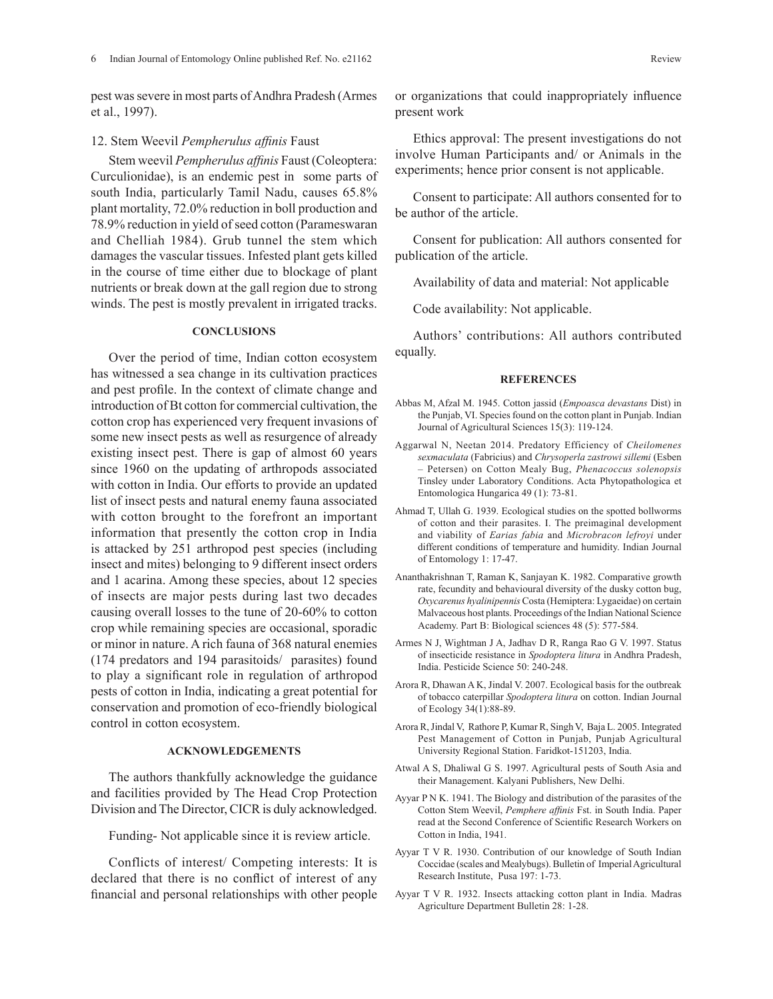pest was severe in most parts of Andhra Pradesh (Armes et al., 1997).

#### 12. Stem Weevil *Pempherulus affinis* Faust

Stem weevil *Pempherulus affinis* Faust (Coleoptera: Curculionidae), is an endemic pest in some parts of south India, particularly Tamil Nadu, causes 65.8% plant mortality, 72.0% reduction in boll production and 78.9% reduction in yield of seed cotton (Parameswaran and Chelliah 1984). Grub tunnel the stem which damages the vascular tissues. Infested plant gets killed in the course of time either due to blockage of plant nutrients or break down at the gall region due to strong winds. The pest is mostly prevalent in irrigated tracks.

### **CONCLUSIONS**

Over the period of time, Indian cotton ecosystem has witnessed a sea change in its cultivation practices and pest profile. In the context of climate change and introduction of Bt cotton for commercial cultivation, the cotton crop has experienced very frequent invasions of some new insect pests as well as resurgence of already existing insect pest. There is gap of almost 60 years since 1960 on the updating of arthropods associated with cotton in India. Our efforts to provide an updated list of insect pests and natural enemy fauna associated with cotton brought to the forefront an important information that presently the cotton crop in India is attacked by 251 arthropod pest species (including insect and mites) belonging to 9 different insect orders and 1 acarina. Among these species, about 12 species of insects are major pests during last two decades causing overall losses to the tune of 20-60% to cotton crop while remaining species are occasional, sporadic or minor in nature. A rich fauna of 368 natural enemies (174 predators and 194 parasitoids/ parasites) found to play a significant role in regulation of arthropod pests of cotton in India, indicating a great potential for conservation and promotion of eco-friendly biological control in cotton ecosystem.

#### **ACKNOWLEDGEMENTS**

The authors thankfully acknowledge the guidance and facilities provided by The Head Crop Protection Division and The Director, CICR is duly acknowledged.

Funding- Not applicable since it is review article.

Conflicts of interest/ Competing interests: It is declared that there is no conflict of interest of any financial and personal relationships with other people or organizations that could inappropriately influence present work

Ethics approval: The present investigations do not involve Human Participants and/ or Animals in the experiments; hence prior consent is not applicable.

Consent to participate: All authors consented for to be author of the article.

Consent for publication: All authors consented for publication of the article.

Availability of data and material: Not applicable

Code availability: Not applicable.

Authors' contributions: All authors contributed equally.

#### **REFERENCES**

- Abbas M, Afzal M. 1945. Cotton jassid (*Empoasca devastans* Dist) in the Punjab, VI. Species found on the cotton plant in Punjab. Indian Journal of Agricultural Sciences 15(3): 119-124.
- Aggarwal N, Neetan 2014. Predatory Efficiency of *Cheilomenes sexmaculata* (Fabricius) and *Chrysoperla zastrowi sillemi* (Esben – Petersen) on Cotton Mealy Bug, *Phenacoccus solenopsis*  Tinsley under Laboratory Conditions. Acta Phytopathologica et Entomologica Hungarica 49 (1): 73-81.
- Ahmad T, Ullah G. 1939. Ecological studies on the spotted bollworms of cotton and their parasites. I. The preimaginal development and viability of *Earias fabia* and *Microbracon lefroyi* under different conditions of temperature and humidity. Indian Journal of Entomology 1: 17-47.
- Ananthakrishnan T, Raman K, Sanjayan K. 1982. Comparative growth rate, fecundity and behavioural diversity of the dusky cotton bug, *Oxycarenus hyalinipennis* Costa (Hemiptera: Lygaeidae) on certain Malvaceous host plants. Proceedings of the Indian National Science Academy. Part B: Biological sciences 48 (5): 577-584.
- Armes N J, Wightman J A, Jadhav D R, Ranga Rao G V. 1997. Status of insecticide resistance in *Spodoptera litura* in Andhra Pradesh, India. Pesticide Science 50: 240-248.
- Arora R, Dhawan A K, Jindal V. 2007. Ecological basis for the outbreak of tobacco caterpillar *Spodoptera litura* on cotton. Indian Journal of Ecology 34(1):88-89.
- Arora R,Jindal V, Rathore P, Kumar R, Singh V, Baja L. 2005. Integrated Pest Management of Cotton in Punjab, Punjab Agricultural University Regional Station. Faridkot-151203, India.
- Atwal A S, Dhaliwal G S. 1997. Agricultural pests of South Asia and their Management. Kalyani Publishers, New Delhi.
- Ayyar P N K. 1941. The Biology and distribution of the parasites of the Cotton Stem Weevil, *Pemphere affinis* Fst. in South India. Paper read at the Second Conference of Scientific Research Workers on Cotton in India, 1941.
- Ayyar T V R. 1930. Contribution of our knowledge of South Indian Coccidae (scales and Mealybugs). Bulletin of Imperial Agricultural Research Institute, Pusa 197: 1-73.
- Ayyar T V R. 1932. Insects attacking cotton plant in India. Madras Agriculture Department Bulletin 28: 1-28.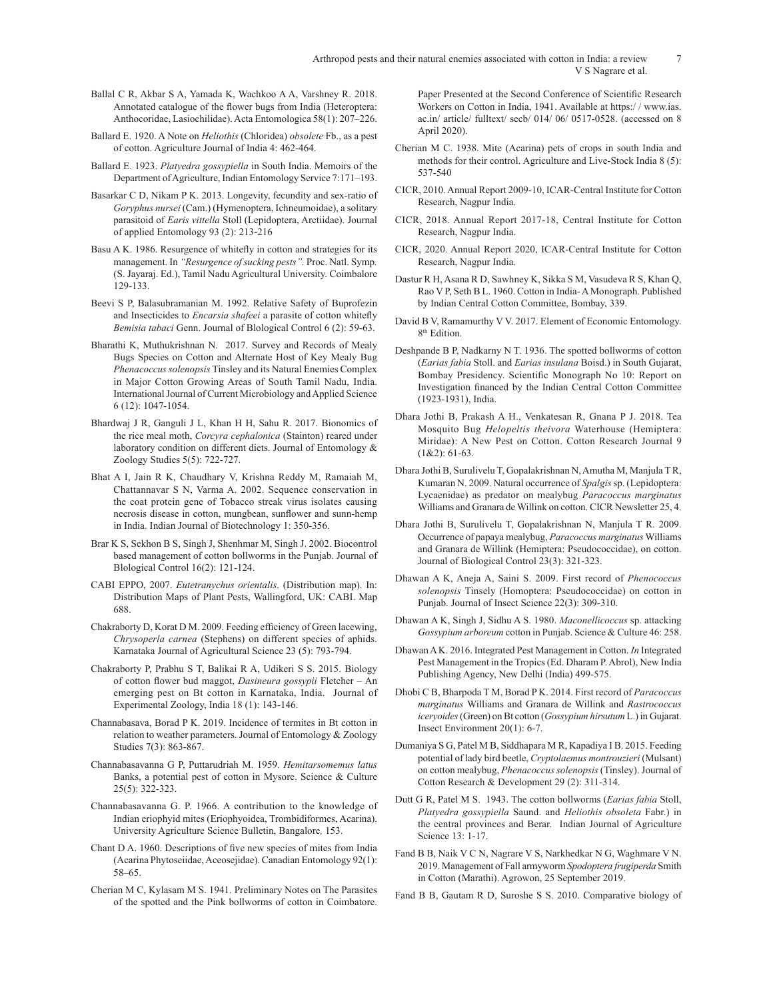- Ballal C R, Akbar S A, Yamada K, Wachkoo A A, Varshney R. 2018. Annotated catalogue of the flower bugs from India (Heteroptera: Anthocoridae, Lasiochilidae). Acta Entomologica 58(1): 207–226.
- Ballard E. 1920. A Note on *Heliothis* (Chloridea) *obsolete* Fb., as a pest of cotton. Agriculture Journal of India 4: 462-464.
- Ballard E. 1923. *Platyedra gossypiella* in South India. Memoirs of the Department of Agriculture, Indian Entomology Service 7:171–193.
- Basarkar C D, Nikam P K. 2013. Longevity, fecundity and sex-ratio of *Goryphus nursei* (Cam.) (Hymenoptera, Ichneumoidae), a solitary parasitoid of *Earis vittella* Stoll (Lepidoptera, Arctiidae). Journal of applied Entomology 93 (2): 213-216
- Basu A K. 1986. Resurgence of whitefly in cotton and strategies for its management. In *"Resurgence of sucking pests".* Proc. Natl. Symp*.*  (S. Jayaraj. Ed.), Tamil Nadu Agricultural University. Coimbalore 129-133.
- Beevi S P, Balasubramanian M. 1992. Relative Safety of Buprofezin and Insecticides to *Encarsia shafeei* a parasite of cotton whitefly *Bemisia tabaci* Genn. Journal of Blological Control 6 (2): 59-63.
- Bharathi K, Muthukrishnan N. 2017. Survey and Records of Mealy Bugs Species on Cotton and Alternate Host of Key Mealy Bug *Phenacoccus solenopsis* Tinsley and its Natural Enemies Complex in Major Cotton Growing Areas of South Tamil Nadu, India. International Journal of Current Microbiology and Applied Science 6 (12): 1047-1054.
- Bhardwaj J R, Ganguli J L, Khan H H, Sahu R. 2017. Bionomics of the rice meal moth, *Corcyra cephalonica* (Stainton) reared under laboratory condition on different diets. Journal of Entomology & Zoology Studies 5(5): 722-727.
- Bhat A I, Jain R K, Chaudhary V, Krishna Reddy M, Ramaiah M, Chattannavar S N, Varma A. 2002. Sequence conservation in the coat protein gene of Tobacco streak virus isolates causing necrosis disease in cotton, mungbean, sunflower and sunn-hemp in India. Indian Journal of Biotechnology 1: 350-356.
- Brar K S, Sekhon B S, Singh J, Shenhmar M, Singh J. 2002. Biocontrol based management of cotton bollworms in the Punjab. Journal of Blological Control 16(2): 121-124.
- CABI EPPO, 2007. *Eutetranychus orientalis*. (Distribution map). In: Distribution Maps of Plant Pests, Wallingford, UK: CABI. Map 688.
- Chakraborty D, Korat D M. 2009. Feeding efficiency of Green lacewing, *Chrysoperla carnea* (Stephens) on different species of aphids. Karnataka Journal of Agricultural Science 23 (5): 793-794.
- Chakraborty P, Prabhu S T, Balikai R A, Udikeri S S. 2015. Biology of cotton flower bud maggot, *Dasineura gossypii* Fletcher – An emerging pest on Bt cotton in Karnataka, India. Journal of Experimental Zoology, India 18 (1): 143-146.
- Channabasava, Borad P K. 2019. Incidence of termites in Bt cotton in relation to weather parameters. Journal of Entomology & Zoology Studies 7(3): 863-867.
- Channabasavanna G P, Puttarudriah M. 1959. *Hemitarsomemus latus* Banks, a potential pest of cotton in Mysore. Science & Culture 25(5): 322-323.
- Channabasavanna G. P. 1966. A contribution to the knowledge of Indian eriophyid mites (Eriophyoidea, Trombidiformes, Acarina). University Agriculture Science Bulletin, Bangalore*,* 153.
- Chant D A. 1960. Descriptions of five new species of mites from India (Acarina Phytoseiidae, Aceosejidae). Canadian Entomology 92(1): 58–65.
- Cherian M C, Kylasam M S. 1941. Preliminary Notes on The Parasites of the spotted and the Pink bollworms of cotton in Coimbatore.

Paper Presented at the Second Conference of Scientific Research Workers on Cotton in India, 1941. Available at https:/ / www.ias. ac.in/ article/ fulltext/ secb/ 014/ 06/ 0517-0528. (accessed on 8 April 2020).

- Cherian M C. 1938. Mite (Acarina) pets of crops in south India and methods for their control. Agriculture and Live-Stock India 8 (5): 537-540
- CICR, 2010. Annual Report 2009-10, ICAR-Central Institute for Cotton Research, Nagpur India.
- CICR, 2018. Annual Report 2017-18, Central Institute for Cotton Research, Nagpur India.
- CICR, 2020. Annual Report 2020, ICAR-Central Institute for Cotton Research, Nagpur India.
- Dastur R H, Asana R D, Sawhney K, Sikka S M, Vasudeva R S, Khan Q, Rao V P, Seth B L. 1960. Cotton in India- A Monograph. Published by Indian Central Cotton Committee, Bombay, 339.
- David B V, Ramamurthy V V. 2017. Element of Economic Entomology. 8<sup>th</sup> Edition.
- Deshpande B P, Nadkarny N T. 1936. The spotted bollworms of cotton (*Earias fabia* Stoll. and *Earias insulana* Boisd.) in South Gujarat, Bombay Presidency. Scientific Monograph No 10: Report on Investigation financed by the Indian Central Cotton Committee (1923-1931), India.
- Dhara Jothi B, Prakash A H., Venkatesan R, Gnana P J. 2018. Tea Mosquito Bug *Helopeltis theivora* Waterhouse (Hemiptera: Miridae): A New Pest on Cotton. Cotton Research Journal 9 (1&2): 61-63.
- Dhara Jothi B, Surulivelu T, Gopalakrishnan N, Amutha M, Manjula T R, Kumaran N. 2009. Natural occurrence of *Spalgis* sp. (Lepidoptera: Lycaenidae) as predator on mealybug *Paracoccus marginatus*  Williams and Granara de Willink on cotton. CICR Newsletter 25, 4.
- Dhara Jothi B, Surulivelu T, Gopalakrishnan N, Manjula T R. 2009. Occurrence of papaya mealybug, *Paracoccus marginatus* Williams and Granara de Willink (Hemiptera: Pseudococcidae), on cotton. Journal of Biological Control 23(3): 321-323.
- Dhawan A K, Aneja A, Saini S. 2009. First record of *Phenococcus solenopsis* Tinsely (Homoptera: Pseudococcidae) on cotton in Punjab. Journal of Insect Science 22(3): 309-310.
- Dhawan A K, Singh J, Sidhu A S. 1980. *Maconellicoccus* sp. attacking *Gossypium arboreum* cotton in Punjab. Science & Culture 46: 258.
- Dhawan A K. 2016. Integrated Pest Management in Cotton. *In* Integrated Pest Management in the Tropics (Ed. Dharam P. Abrol), New India Publishing Agency, New Delhi (India) 499-575.
- Dhobi C B, Bharpoda T M, Borad P K. 2014. First record of *Paracoccus marginatus* Williams and Granara de Willink and *Rastrococcus iceryoides* (Green) on Bt cotton (*Gossypium hirsutum* L.) in Gujarat. Insect Environment 20(1): 6-7.
- Dumaniya S G, Patel M B, Siddhapara M R, Kapadiya I B. 2015. Feeding potential of lady bird beetle, *Cryptolaemus montrouzieri* (Mulsant) on cotton mealybug, *Phenacoccus solenopsis* (Tinsley). Journal of Cotton Research & Development 29 (2): 311-314.
- Dutt G R, Patel M S. 1943. The cotton bollworms (*Earias fabia* Stoll, *Platyedra gossypiella* Saund. and *Heliothis obsoleta* Fabr.) in the central provinces and Berar. Indian Journal of Agriculture Science 13: 1-17.
- Fand B B, Naik V C N, Nagrare V S, Narkhedkar N G, Waghmare V N. 2019. Management of Fall armyworm *Spodoptera frugiperda* Smith in Cotton (Marathi). Agrowon, 25 September 2019.
- Fand B B, Gautam R D, Suroshe S S. 2010. Comparative biology of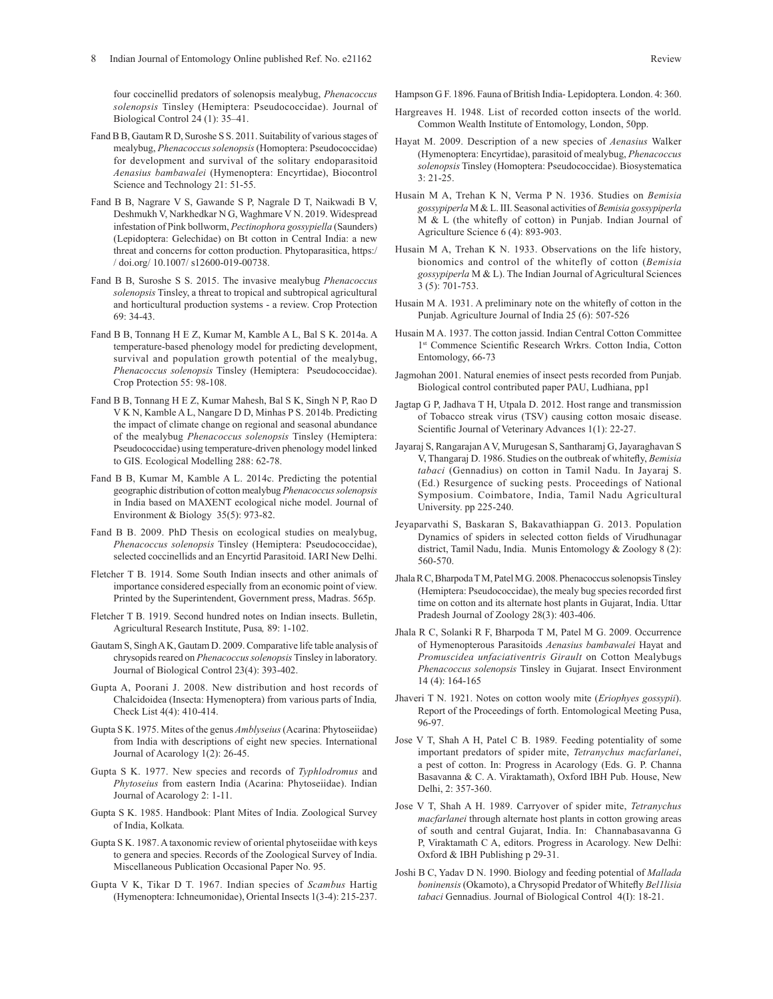four coccinellid predators of solenopsis mealybug, *Phenacoccus solenopsis* Tinsley (Hemiptera: Pseudococcidae). Journal of Biological Control 24 (1): 35–41.

- Fand B B, Gautam R D, Suroshe S S. 2011. Suitability of various stages of mealybug, *Phenacoccus solenopsis* (Homoptera: Pseudococcidae) for development and survival of the solitary endoparasitoid *Aenasius bambawalei* (Hymenoptera: Encyrtidae), Biocontrol Science and Technology 21: 51-55.
- Fand B B, Nagrare V S, Gawande S P, Nagrale D T, Naikwadi B V, Deshmukh V, Narkhedkar N G, Waghmare V N. 2019. Widespread infestation of Pink bollworm, *Pectinophora gossypiella* (Saunders) (Lepidoptera: Gelechidae) on Bt cotton in Central India: a new threat and concerns for cotton production. Phytoparasitica, https:/ / doi.org/ 10.1007/ s12600-019-00738.
- Fand B B, Suroshe S S. 2015. The invasive mealybug *Phenacoccus solenopsis* Tinsley, a threat to tropical and subtropical agricultural and horticultural production systems - a review. Crop Protection 69: 34-43.
- Fand B B, Tonnang H E Z, Kumar M, Kamble A L, Bal S K. 2014a. A temperature-based phenology model for predicting development, survival and population growth potential of the mealybug, *Phenacoccus solenopsis* Tinsley (Hemiptera: Pseudococcidae). Crop Protection 55: 98-108.
- Fand B B, Tonnang H E Z, Kumar Mahesh, Bal S K, Singh N P, Rao D V K N, Kamble A L, Nangare D D, Minhas P S. 2014b. Predicting the impact of climate change on regional and seasonal abundance of the mealybug *Phenacoccus solenopsis* Tinsley (Hemiptera: Pseudococcidae) using temperature-driven phenology model linked to GIS. Ecological Modelling 288: 62-78.
- Fand B B, Kumar M, Kamble A L. 2014c. Predicting the potential geographic distribution of cotton mealybug *Phenacoccus solenopsis* in India based on MAXENT ecological niche model. Journal of Environment & Biology 35(5): 973-82.
- Fand B B. 2009. PhD Thesis on ecological studies on mealybug, *Phenacoccus solenopsis* Tinsley (Hemiptera: Pseudococcidae), selected coccinellids and an Encyrtid Parasitoid. IARI New Delhi.
- Fletcher T B. 1914. Some South Indian insects and other animals of importance considered especially from an economic point of view. Printed by the Superintendent, Government press, Madras. 565p.
- Fletcher T B. 1919. Second hundred notes on Indian insects. Bulletin, Agricultural Research Institute, Pusa*,* 89: 1-102.
- Gautam S, Singh A K, Gautam D. 2009. Comparative life table analysis of chrysopids reared on *Phenacoccus solenopsis* Tinsley in laboratory. Journal of Biological Control 23(4): 393-402.
- Gupta A, Poorani J. 2008. New distribution and host records of Chalcidoidea (Insecta: Hymenoptera) from various parts of India*,*  Check List 4(4): 410-414.
- Gupta S K. 1975. Mites of the genus *Amblyseius* (Acarina: Phytoseiidae) from India with descriptions of eight new species. International Journal of Acarology 1(2): 26-45.
- Gupta S K. 1977. New species and records of *Typhlodromus* and *Phytoseius* from eastern India (Acarina: Phytoseiidae). Indian Journal of Acarology 2: 1-11.
- Gupta S K. 1985. Handbook: Plant Mites of India. Zoological Survey of India, Kolkata*.*
- Gupta S K. 1987. A taxonomic review of oriental phytoseiidae with keys to genera and species. Records of the Zoological Survey of India. Miscellaneous Publication Occasional Paper No. 95.
- Gupta V K, Tikar D T. 1967. Indian species of *Scambus* Hartig (Hymenoptera: Ichneumonidae), Oriental Insects 1(3-4): 215-237.

Hampson G F. 1896. Fauna of British India- Lepidoptera. London. 4: 360.

- Hargreaves H. 1948. List of recorded cotton insects of the world. Common Wealth Institute of Entomology, London, 50pp.
- Hayat M. 2009. Description of a new species of *Aenasius* Walker (Hymenoptera: Encyrtidae), parasitoid of mealybug, *Phenacoccus solenopsis* Tinsley (Homoptera: Pseudococcidae). Biosystematica 3: 21-25.
- Husain M A, Trehan K N, Verma P N. 1936. Studies on *Bemisia gossypiperla* M & L. III. Seasonal activities of *Bemisia gossypiperla* M & L (the whitefly of cotton) in Punjab. Indian Journal of Agriculture Science 6 (4): 893-903.
- Husain M A, Trehan K N. 1933. Observations on the life history, bionomics and control of the whitefly of cotton (*Bemisia gossypiperla* M & L). The Indian Journal of Agricultural Sciences 3 (5): 701-753.
- Husain M A. 1931. A preliminary note on the whitefly of cotton in the Punjab. Agriculture Journal of India 25 (6): 507-526
- Husain M A. 1937. The cotton jassid. Indian Central Cotton Committee 1st Commence Scientific Research Wrkrs. Cotton India, Cotton Entomology, 66-73
- Jagmohan 2001. Natural enemies of insect pests recorded from Punjab. Biological control contributed paper PAU, Ludhiana, pp1
- Jagtap G P, Jadhava T H, Utpala D. 2012. Host range and transmission of Tobacco streak virus (TSV) causing cotton mosaic disease. Scientific Journal of Veterinary Advances 1(1): 22-27.
- Jayaraj S, RangarajanA V, Murugesan S, Santharamj G,Jayaraghavan S V, Thangaraj D. 1986. Studies on the outbreak of whitefly, *Bemisia tabaci* (Gennadius) on cotton in Tamil Nadu. In Jayaraj S. (Ed.) Resurgence of sucking pests. Proceedings of National Symposium. Coimbatore, India, Tamil Nadu Agricultural University. pp 225-240.
- Jeyaparvathi S, Baskaran S, Bakavathiappan G. 2013. Population Dynamics of spiders in selected cotton fields of Virudhunagar district, Tamil Nadu, India. Munis Entomology & Zoology 8 (2): 560-570.
- Jhala R C, Bharpoda T M, Patel M G. 2008. Phenacoccus solenopsisTinsley (Hemiptera: Pseudococcidae), the mealy bug species recorded first time on cotton and its alternate host plants in Gujarat, India. Uttar Pradesh Journal of Zoology 28(3): 403-406.
- Jhala R C, Solanki R F, Bharpoda T M, Patel M G. 2009. Occurrence of Hymenopterous Parasitoids *Aenasius bambawalei* Hayat and *Promuscidea unfaciativentris Girault* on Cotton Mealybugs *Phenacoccus solenopsis* Tinsley in Gujarat. Insect Environment 14 (4): 164-165
- Jhaveri T N. 1921. Notes on cotton wooly mite (*Eriophyes gossypii*). Report of the Proceedings of forth. Entomological Meeting Pusa, 96-97.
- Jose V T, Shah A H, Patel C B. 1989. Feeding potentiality of some important predators of spider mite, *Tetranychus macfarlanei*, a pest of cotton. In: Progress in Acarology (Eds. G. P. Channa Basavanna & C. A. Viraktamath), Oxford IBH Pub. House, New Delhi, 2: 357-360.
- Jose V T, Shah A H. 1989. Carryover of spider mite, *Tetranychus macfarlanei* through alternate host plants in cotton growing areas of south and central Gujarat, India. In: Channabasavanna G P, Viraktamath C A, editors. Progress in Acarology. New Delhi: Oxford & IBH Publishing p 29-31.
- Joshi B C, Yadav D N. 1990. Biology and feeding potential of *Mallada boninensis* (Okamoto), a Chrysopid Predator of Whitefly *Bel1lisia tabaci* Gennadius. Journal of Biological Control 4(I): 18-21.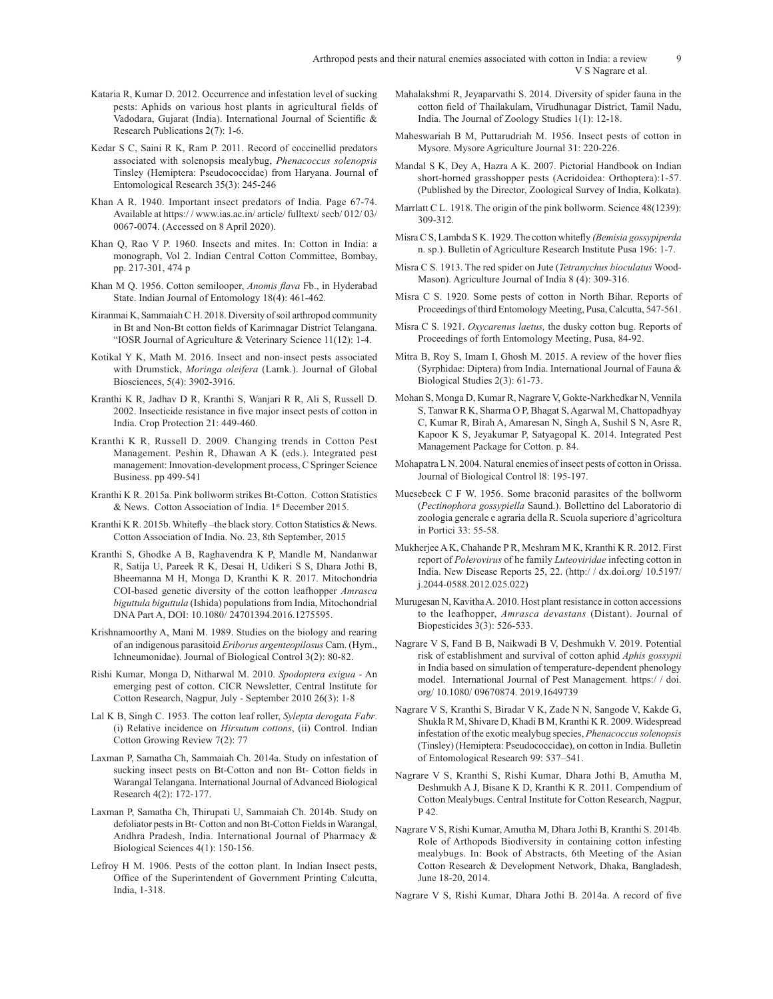- Arthropod pests and their natural enemies associated with cotton in India: a review 9 V S Nagrare et al.
- Kataria R, Kumar D. 2012. Occurrence and infestation level of sucking pests: Aphids on various host plants in agricultural fields of Vadodara, Gujarat (India). International Journal of Scientific & Research Publications 2(7): 1-6.
- Kedar S C, Saini R K, Ram P. 2011. Record of coccinellid predators associated with solenopsis mealybug, *Phenacoccus solenopsis*  Tinsley (Hemiptera: Pseudococcidae) from Haryana. Journal of Entomological Research 35(3): 245-246
- Khan A R. 1940. Important insect predators of India. Page 67-74. Available at https:/ / www.ias.ac.in/ article/ fulltext/ secb/ 012/ 03/ 0067-0074. (Accessed on 8 April 2020).
- Khan Q, Rao V P. 1960. Insects and mites. In: Cotton in India: a monograph, Vol 2. Indian Central Cotton Committee, Bombay, pp. 217-301, 474 p
- Khan M Q. 1956. Cotton semilooper, *Anomis flava* Fb., in Hyderabad State. Indian Journal of Entomology 18(4): 461-462.
- Kiranmai K, Sammaiah C H. 2018. Diversity of soil arthropod community in Bt and Non-Bt cotton fields of Karimnagar District Telangana. "IOSR Journal of Agriculture & Veterinary Science 11(12): 1-4.
- Kotikal Y K, Math M. 2016. Insect and non-insect pests associated with Drumstick, *Moringa oleifera* (Lamk.). Journal of Global Biosciences, 5(4): 3902-3916.
- Kranthi K R, Jadhav D R, Kranthi S, Wanjari R R, Ali S, Russell D. 2002. Insecticide resistance in five major insect pests of cotton in India. Crop Protection 21: 449-460.
- Kranthi K R, Russell D. 2009. Changing trends in Cotton Pest Management. Peshin R, Dhawan A K (eds.). Integrated pest management: Innovation-development process, C Springer Science Business. pp 499-541
- Kranthi K R. 2015a. Pink bollworm strikes Bt-Cotton. Cotton Statistics & News. Cotton Association of India. 1st December 2015.
- Kranthi K R. 2015b. Whitefly –the black story. Cotton Statistics & News. Cotton Association of India. No. 23, 8th September, 2015
- Kranthi S, Ghodke A B, Raghavendra K P, Mandle M, Nandanwar R, Satija U, Pareek R K, Desai H, Udikeri S S, Dhara Jothi B, Bheemanna M H, Monga D, Kranthi K R. 2017. Mitochondria COI-based genetic diversity of the cotton leafhopper *Amrasca biguttula biguttula* (Ishida) populations from India, Mitochondrial DNA Part A, DOI: 10.1080/ 24701394.2016.1275595.
- Krishnamoorthy A, Mani M. 1989. Studies on the biology and rearing of an indigenous parasitoid *Eriborus argenteopilosus* Cam. (Hym., Ichneumonidae). Journal of Biological Control 3(2): 80-82.
- Rishi Kumar, Monga D, Nitharwal M. 2010. *Spodoptera exigua* An emerging pest of cotton. CICR Newsletter, Central Institute for Cotton Research, Nagpur, July - September 2010 26(3): 1-8
- Lal K B, Singh C. 1953. The cotton leaf roller, *Sylepta derogata Fabr*. (i) Relative incidence on *Hirsutum cottons*, (ii) Control. Indian Cotton Growing Review 7(2): 77
- Laxman P, Samatha Ch, Sammaiah Ch. 2014a. Study on infestation of sucking insect pests on Bt-Cotton and non Bt- Cotton fields in Warangal Telangana. International Journal of Advanced Biological Research 4(2): 172-177.
- Laxman P, Samatha Ch, Thirupati U, Sammaiah Ch. 2014b. Study on defoliator pests in Bt- Cotton and non Bt-Cotton Fields in Warangal, Andhra Pradesh, India. International Journal of Pharmacy & Biological Sciences 4(1): 150-156.
- Lefroy H M. 1906. Pests of the cotton plant. In Indian Insect pests, Office of the Superintendent of Government Printing Calcutta, India, 1-318.
- Mahalakshmi R, Jeyaparvathi S. 2014. Diversity of spider fauna in the cotton field of Thailakulam, Virudhunagar District, Tamil Nadu, India. The Journal of Zoology Studies 1(1): 12-18.
- Maheswariah B M, Puttarudriah M. 1956. Insect pests of cotton in Mysore. Mysore Agriculture Journal 31: 220-226.
- Mandal S K, Dey A, Hazra A K. 2007. Pictorial Handbook on Indian short-horned grasshopper pests (Acridoidea: Orthoptera):1-57. (Published by the Director, Zoological Survey of India, Kolkata).
- Marrlatt C L. 1918. The origin of the pink bollworm. Science 48(1239): 309-312.
- Misra C S, Lambda S K. 1929. The cotton whitefly *(Bemisia gossypiperda*  n. sp.). Bulletin of Agriculture Research Institute Pusa 196: 1-7.
- Misra C S. 1913. The red spider on Jute (*Tetranychus bioculatus* Wood-Mason). Agriculture Journal of India 8 (4): 309-316.
- Misra C S. 1920. Some pests of cotton in North Bihar. Reports of Proceedings of third Entomology Meeting, Pusa, Calcutta, 547-561.
- Misra C S. 1921. *Oxycarenus laetus,* the dusky cotton bug. Reports of Proceedings of forth Entomology Meeting, Pusa, 84-92.
- Mitra B, Roy S, Imam I, Ghosh M. 2015. A review of the hover flies (Syrphidae: Diptera) from India. International Journal of Fauna & Biological Studies 2(3): 61-73.
- Mohan S, Monga D, Kumar R, Nagrare V, Gokte-Narkhedkar N, Vennila S, Tanwar R K, Sharma O P, Bhagat S, Agarwal M, Chattopadhyay C, Kumar R, Birah A, Amaresan N, Singh A, Sushil S N, Asre R, Kapoor K S, Jeyakumar P, Satyagopal K. 2014. Integrated Pest Management Package for Cotton. p. 84.
- Mohapatra L N. 2004. Natural enemies of insect pests of cotton in Orissa. Journal of Biological Control l8: 195-197.
- Muesebeck C F W. 1956. Some braconid parasites of the bollworm (*Pectinophora gossypiella* Saund.). Bollettino del Laboratorio di zoologia generale e agraria della R. Scuola superiore d'agricoltura in Portici 33: 55-58.
- Mukherjee A K, Chahande P R, Meshram M K, Kranthi K R. 2012. First report of *Polerovirus* of he family *Luteoviridae* infecting cotton in India. New Disease Reports 25, 22. (http:/ / dx.doi.org/ 10.5197/ j.2044-0588.2012.025.022)
- Murugesan N, Kavitha A. 2010. Host plant resistance in cotton accessions to the leafhopper, *Amrasca devastans* (Distant). Journal of Biopesticides 3(3): 526-533.
- Nagrare V S, Fand B B, Naikwadi B V, Deshmukh V. 2019. Potential risk of establishment and survival of cotton aphid *Aphis gossypii*  in India based on simulation of temperature-dependent phenology model. International Journal of Pest Management*.* https:/ / doi. org/ 10.1080/ 09670874. 2019.1649739
- Nagrare V S, Kranthi S, Biradar V K, Zade N N, Sangode V, Kakde G, Shukla R M, Shivare D, Khadi B M, Kranthi K R. 2009. Widespread infestation of the exotic mealybug species, *Phenacoccus solenopsis* (Tinsley) (Hemiptera: Pseudococcidae), on cotton in India. Bulletin of Entomological Research 99: 537–541.
- Nagrare V S, Kranthi S, Rishi Kumar, Dhara Jothi B, Amutha M, Deshmukh A J, Bisane K D, Kranthi K R. 2011. Compendium of Cotton Mealybugs. Central Institute for Cotton Research, Nagpur, P 42.
- Nagrare V S, Rishi Kumar, Amutha M, Dhara Jothi B, Kranthi S. 2014b. Role of Arthopods Biodiversity in containing cotton infesting mealybugs. In: Book of Abstracts, 6th Meeting of the Asian Cotton Research & Development Network, Dhaka, Bangladesh, June 18-20, 2014.
- Nagrare V S, Rishi Kumar, Dhara Jothi B. 2014a. A record of five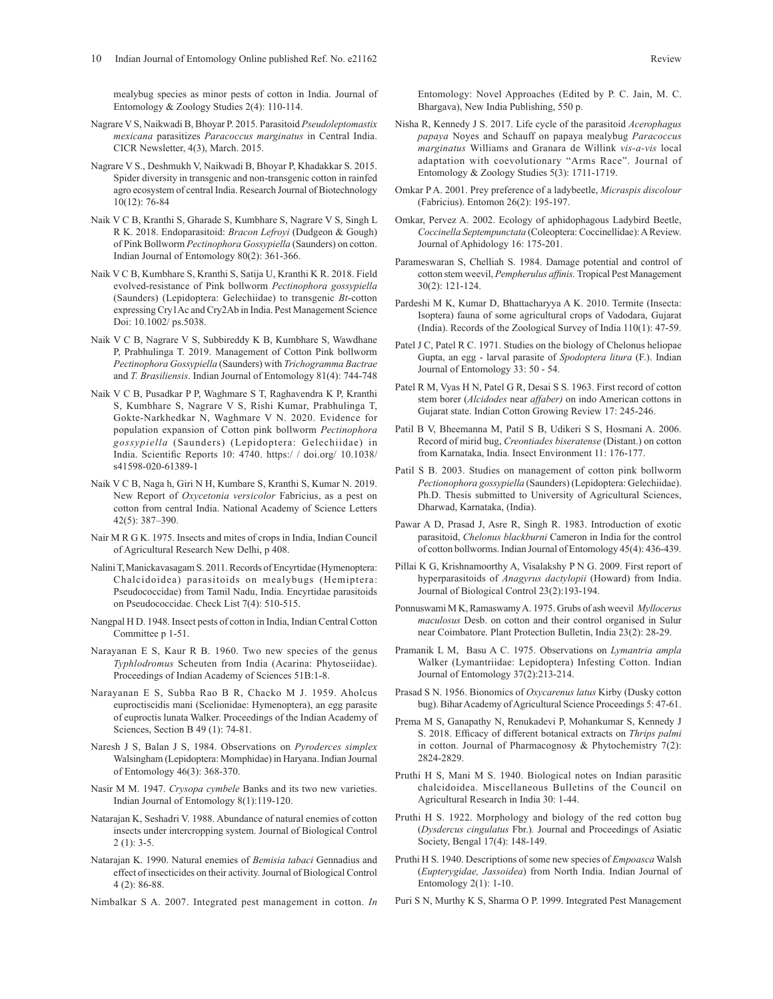mealybug species as minor pests of cotton in India. Journal of Entomology & Zoology Studies 2(4): 110-114.

- Nagrare V S, Naikwadi B, Bhoyar P. 2015. Parasitoid *Pseudoleptomastix mexicana* parasitizes *Paracoccus marginatus* in Central India. CICR Newsletter, 4(3), March. 2015.
- Nagrare V S., Deshmukh V, Naikwadi B, Bhoyar P, Khadakkar S. 2015. Spider diversity in transgenic and non-transgenic cotton in rainfed agro ecosystem of central India. Research Journal of Biotechnology 10(12): 76-84
- Naik V C B, Kranthi S, Gharade S, Kumbhare S, Nagrare V S, Singh L R K. 2018. Endoparasitoid: *Bracon Lefroyi* (Dudgeon & Gough) of Pink Bollworm *Pectinophora Gossypiella* (Saunders) on cotton. Indian Journal of Entomology 80(2): 361-366.
- Naik V C B, Kumbhare S, Kranthi S, Satija U, Kranthi K R. 2018. Field evolved-resistance of Pink bollworm *Pectinophora gossypiella*  (Saunders) (Lepidoptera: Gelechiidae) to transgenic *Bt*-cotton expressing Cry1Ac and Cry2Ab in India. Pest Management Science Doi: 10.1002/ ps.5038.
- Naik V C B, Nagrare V S, Subbireddy K B, Kumbhare S, Wawdhane P, Prabhulinga T. 2019. Management of Cotton Pink bollworm *Pectinophora Gossypiella* (Saunders) with *Trichogramma Bactrae* and *T. Brasiliensis*. Indian Journal of Entomology 81(4): 744-748
- Naik V C B, Pusadkar P P, Waghmare S T, Raghavendra K P, Kranthi S, Kumbhare S, Nagrare V S, Rishi Kumar, Prabhulinga T, Gokte-Narkhedkar N, Waghmare V N. 2020. Evidence for population expansion of Cotton pink bollworm *Pectinophora gossypiella* (Saunders) (Lepidoptera: Gelechiidae) in India. Scientific Reports 10: 4740. https:/ / doi.org/ 10.1038/ s41598-020-61389-1
- Naik V C B, Naga h, Giri N H, Kumbare S, Kranthi S, Kumar N. 2019. New Report of *Oxycetonia versicolor* Fabricius, as a pest on cotton from central India. National Academy of Science Letters 42(5): 387–390.
- Nair M R G K. 1975. Insects and mites of crops in India, Indian Council of Agricultural Research New Delhi, p 408.
- Nalini T,Manickavasagam S. 2011. Records of Encyrtidae (Hymenoptera: Chalcidoidea) parasitoids on mealybugs (Hemiptera: Pseudococcidae) from Tamil Nadu, India. Encyrtidae parasitoids on Pseudococcidae. Check List 7(4): 510-515.
- Nangpal H D. 1948. Insect pests of cotton in India, Indian Central Cotton Committee p 1-51.
- Narayanan E S, Kaur R B. 1960. Two new species of the genus *Typhlodromus* Scheuten from India (Acarina: Phytoseiidae). Proceedings of Indian Academy of Sciences 51B:1-8.
- Narayanan E S, Subba Rao B R, Chacko M J. 1959. Aholcus euproctiscidis mani (Scelionidae: Hymenoptera), an egg parasite of euproctis lunata Walker. Proceedings of the Indian Academy of Sciences, Section B 49 (1): 74-81.
- Naresh J S, Balan J S, 1984. Observations on *Pyroderces simplex* Walsingham (Lepidoptera: Momphidae) in Haryana. Indian Journal of Entomology 46(3): 368-370.
- Nasir M M. 1947. *Crysopa cymbele* Banks and its two new varieties. Indian Journal of Entomology 8(1):119-120.
- Natarajan K, Seshadri V. 1988. Abundance of natural enemies of cotton insects under intercropping system. Journal of Biological Control  $2(1): 3-5.$
- Natarajan K. 1990. Natural enemies of *Bemisia tabaci* Gennadius and effect of insecticides on their activity. Journal of Biological Control 4 (2): 86-88.
- Nimbalkar S A. 2007. Integrated pest management in cotton. *In*

Entomology: Novel Approaches (Edited by P. C. Jain, M. C. Bhargava), New India Publishing, 550 p.

- Nisha R, Kennedy J S. 2017. Life cycle of the parasitoid *Acerophagus papaya* Noyes and Schauff on papaya mealybug *Paracoccus marginatus* Williams and Granara de Willink *vis-a-vis* local adaptation with coevolutionary "Arms Race". Journal of Entomology & Zoology Studies 5(3): 1711-1719.
- Omkar P A. 2001. Prey preference of a ladybeetle, *Micraspis discolour* (Fabricius). Entomon 26(2): 195-197.
- Omkar, Pervez A. 2002. Ecology of aphidophagous Ladybird Beetle, *Coccinella Septempunctata* (Coleoptera: Coccinellidae): A Review. Journal of Aphidology 16: 175-201.
- Parameswaran S, Chelliah S. 1984. Damage potential and control of cotton stem weevil, *Pempherulus affinis.* Tropical Pest Management 30(2): 121-124.
- Pardeshi M K, Kumar D, Bhattacharyya A K. 2010. Termite (Insecta: Isoptera) fauna of some agricultural crops of Vadodara, Gujarat (India). Records of the Zoological Survey of India 110(1): 47-59.
- Patel J C, Patel R C. 1971. Studies on the biology of Chelonus heliopae Gupta, an egg - larval parasite of *Spodoptera litura* (F.). Indian Journal of Entomology 33: 50 - 54.
- Patel R M, Vyas H N, Patel G R, Desai S S. 1963. First record of cotton stem borer (*Alcidodes* near *affaber)* on indo American cottons in Gujarat state. Indian Cotton Growing Review 17: 245-246.
- Patil B V, Bheemanna M, Patil S B, Udikeri S S, Hosmani A. 2006. Record of mirid bug, *Creontiades biseratense* (Distant.) on cotton from Karnataka, India. Insect Environment 11: 176-177.
- Patil S B. 2003. Studies on management of cotton pink bollworm *Pectionophora gossypiella* (Saunders) (Lepidoptera: Gelechiidae). Ph.D. Thesis submitted to University of Agricultural Sciences, Dharwad, Karnataka, (India).
- Pawar A D, Prasad J, Asre R, Singh R. 1983. Introduction of exotic parasitoid, *Chelonus blackburni* Cameron in India for the control of cotton bollworms. Indian Journal of Entomology 45(4): 436-439.
- Pillai K G, Krishnamoorthy A, Visalakshy P N G. 2009. First report of hyperparasitoids of *Anagyrus dactylopii* (Howard) from India. Journal of Biological Control 23(2):193-194.
- Ponnuswami M K, Ramaswamy A. 1975. Grubs of ash weevil *Myllocerus maculosus* Desb. on cotton and their control organised in Sulur near Coimbatore. Plant Protection Bulletin, India 23(2): 28-29.
- Pramanik L M, Basu A C. 1975. Observations on *Lymantria ampla* Walker (Lymantriidae: Lepidoptera) Infesting Cotton. Indian Journal of Entomology 37(2):213-214.
- Prasad S N. 1956. Bionomics of *Oxycarenus latus* Kirby (Dusky cotton bug). Bihar Academy of Agricultural Science Proceedings 5: 47-61.
- Prema M S, Ganapathy N, Renukadevi P, Mohankumar S, Kennedy J S. 2018. Efficacy of different botanical extracts on *Thrips palmi* in cotton. Journal of Pharmacognosy & Phytochemistry 7(2): 2824-2829.
- Pruthi H S, Mani M S. 1940. Biological notes on Indian parasitic chalcidoidea. Miscellaneous Bulletins of the Council on Agricultural Research in India 30: 1-44.
- Pruthi H S. 1922. Morphology and biology of the red cotton bug (*Dysdercus cingulatus* Fbr.)*.* Journal and Proceedings of Asiatic Society, Bengal 17(4): 148-149.
- Pruthi H S. 1940. Descriptions of some new species of *Empoasca* Walsh (*Eupterygidae, Jassoidea*) from North India. Indian Journal of Entomology 2(1): 1-10.
- Puri S N, Murthy K S, Sharma O P. 1999. Integrated Pest Management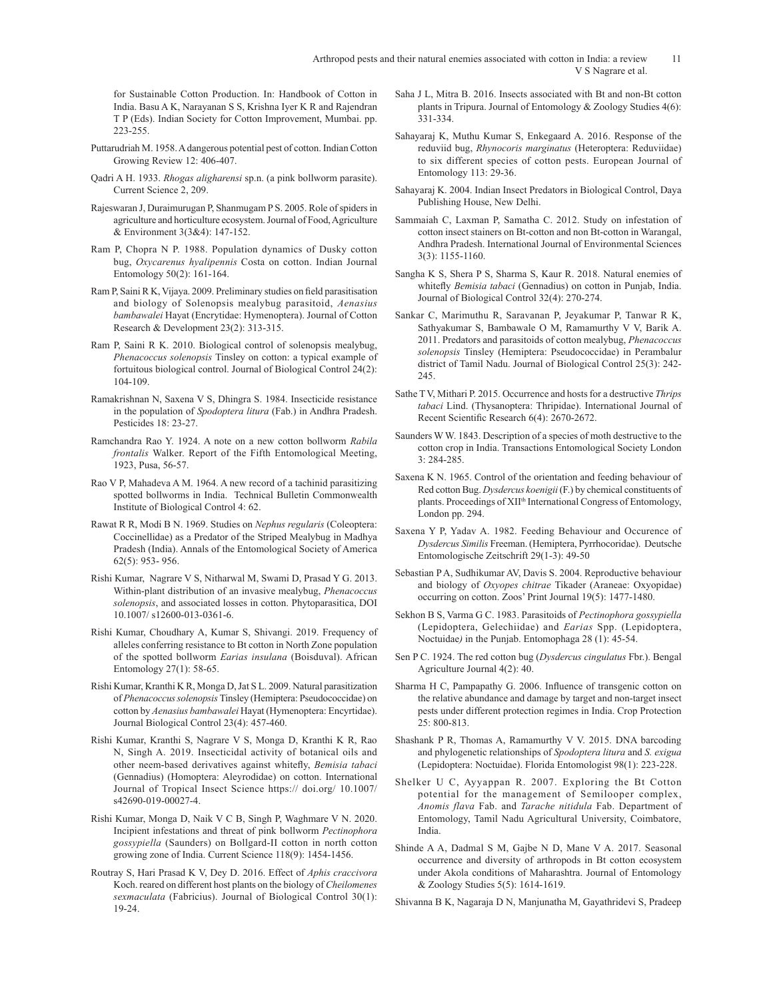Arthropod pests and their natural enemies associated with cotton in India: a review 11 V S Nagrare et al.

for Sustainable Cotton Production. In: Handbook of Cotton in India. Basu A K, Narayanan S S, Krishna Iyer K R and Rajendran T P (Eds). Indian Society for Cotton Improvement, Mumbai. pp. 223-255.

- Puttarudriah M. 1958. A dangerous potential pest of cotton. Indian Cotton Growing Review 12: 406-407.
- Qadri A H. 1933. *Rhogas aligharensi* sp.n. (a pink bollworm parasite). Current Science 2, 209.
- Rajeswaran J, Duraimurugan P, Shanmugam P S. 2005. Role of spiders in agriculture and horticulture ecosystem. Journal of Food, Agriculture & Environment 3(3&4): 147-152.
- Ram P, Chopra N P. 1988. Population dynamics of Dusky cotton bug, *Oxycarenus hyalipennis* Costa on cotton. Indian Journal Entomology 50(2): 161-164.
- Ram P, Saini R K, Vijaya. 2009. Preliminary studies on field parasitisation and biology of Solenopsis mealybug parasitoid, *Aenasius bambawalei* Hayat (Encrytidae: Hymenoptera). Journal of Cotton Research & Development 23(2): 313-315.
- Ram P, Saini R K. 2010. Biological control of solenopsis mealybug, *Phenacoccus solenopsis* Tinsley on cotton: a typical example of fortuitous biological control. Journal of Biological Control 24(2): 104-109.
- Ramakrishnan N, Saxena V S, Dhingra S. 1984. Insecticide resistance in the population of *Spodoptera litura* (Fab.) in Andhra Pradesh. Pesticides 18: 23-27.
- Ramchandra Rao Y. 1924. A note on a new cotton bollworm *Rabila frontalis* Walker. Report of the Fifth Entomological Meeting, 1923, Pusa, 56-57.
- Rao V P, Mahadeva A M. 1964. A new record of a tachinid parasitizing spotted bollworms in India. Technical Bulletin Commonwealth Institute of Biological Control 4: 62.
- Rawat R R, Modi B N. 1969. Studies on *Nephus regularis* (Coleoptera: Coccinellidae) as a Predator of the Striped Mealybug in Madhya Pradesh (India). Annals of the Entomological Society of America 62(5): 953- 956.
- Rishi Kumar, Nagrare V S, Nitharwal M, Swami D, Prasad Y G. 2013. Within-plant distribution of an invasive mealybug, *Phenacoccus solenopsis*, and associated losses in cotton. Phytoparasitica, DOI 10.1007/ s12600-013-0361-6.
- Rishi Kumar, Choudhary A, Kumar S, Shivangi. 2019. Frequency of alleles conferring resistance to Bt cotton in North Zone population of the spotted bollworm *Earias insulana* (Boisduval). African Entomology 27(1): 58-65.
- Rishi Kumar, Kranthi K R, Monga D, Jat S L. 2009. Natural parasitization of *Phenacoccus solenopsis* Tinsley (Hemiptera: Pseudococcidae) on cotton by *Aenasius bambawalei* Hayat (Hymenoptera: Encyrtidae). Journal Biological Control 23(4): 457-460.
- Rishi Kumar, Kranthi S, Nagrare V S, Monga D, Kranthi K R, Rao N, Singh A. 2019. Insecticidal activity of botanical oils and other neem-based derivatives against whitefly, *Bemisia tabaci* (Gennadius) (Homoptera: Aleyrodidae) on cotton. International Journal of Tropical Insect Science https:// doi.org/ 10.1007/ s42690-019-00027-4.
- Rishi Kumar, Monga D, Naik V C B, Singh P, Waghmare V N. 2020. Incipient infestations and threat of pink bollworm *Pectinophora gossypiella* (Saunders) on Bollgard-II cotton in north cotton growing zone of India. Current Science 118(9): 1454-1456.
- Routray S, Hari Prasad K V, Dey D. 2016. Effect of *Aphis craccivora*  Koch. reared on different host plants on the biology of *Cheilomenes sexmaculata* (Fabricius). Journal of Biological Control 30(1): 19-24.
- Saha J L, Mitra B. 2016. Insects associated with Bt and non-Bt cotton plants in Tripura. Journal of Entomology & Zoology Studies 4(6): 331-334.
- Sahayaraj K, Muthu Kumar S, Enkegaard A. 2016. Response of the reduviid bug, *Rhynocoris marginatus* (Heteroptera: Reduviidae) to six different species of cotton pests. European Journal of Entomology 113: 29-36.
- Sahayaraj K. 2004. Indian Insect Predators in Biological Control, Daya Publishing House, New Delhi.
- Sammaiah C, Laxman P, Samatha C. 2012. Study on infestation of cotton insect stainers on Bt-cotton and non Bt-cotton in Warangal, Andhra Pradesh. International Journal of Environmental Sciences 3(3): 1155-1160.
- Sangha K S, Shera P S, Sharma S, Kaur R. 2018. Natural enemies of whitefly *Bemisia tabaci* (Gennadius) on cotton in Punjab, India. Journal of Biological Control 32(4): 270-274.
- Sankar C, Marimuthu R, Saravanan P, Jeyakumar P, Tanwar R K, Sathyakumar S, Bambawale O M, Ramamurthy V V, Barik A. 2011. Predators and parasitoids of cotton mealybug, *Phenacoccus solenopsis* Tinsley (Hemiptera: Pseudococcidae) in Perambalur district of Tamil Nadu. Journal of Biological Control 25(3): 242- 245.
- Sathe T V, Mithari P. 2015. Occurrence and hosts for a destructive *Thrips tabaci* Lind. (Thysanoptera: Thripidae). International Journal of Recent Scientific Research 6(4): 2670-2672.
- Saunders W W. 1843. Description of a species of moth destructive to the cotton crop in India. Transactions Entomological Society London 3: 284-285.
- Saxena K N. 1965. Control of the orientation and feeding behaviour of Red cotton Bug. *Dysdercus koenigii* (F.) by chemical constituents of plants. Proceedings of XII<sup>th</sup> International Congress of Entomology, London pp. 294.
- Saxena Y P, Yadav A. 1982. Feeding Behaviour and Occurence of *Dysdercus Similis* Freeman. (Hemiptera, Pyrrhocoridae). Deutsche Entomologische Zeitschrift 29(1-3): 49-50
- Sebastian P A, Sudhikumar AV, Davis S. 2004. Reproductive behaviour and biology of *Oxyopes chitrae* Tikader (Araneae: Oxyopidae) occurring on cotton. Zoos' Print Journal 19(5): 1477-1480.
- Sekhon B S, Varma G C. 1983. Parasitoids of *Pectinophora gossypiella*  (Lepidoptera, Gelechiidae) and *Earias* Spp. (Lepidoptera, Noctuidae*)* in the Punjab. Entomophaga 28 (1): 45-54.
- Sen P C. 1924. The red cotton bug (*Dysdercus cingulatus* Fbr.). Bengal Agriculture Journal 4(2): 40.
- Sharma H C, Pampapathy G. 2006. Influence of transgenic cotton on the relative abundance and damage by target and non-target insect pests under different protection regimes in India. Crop Protection 25: 800-813.
- Shashank P R, Thomas A, Ramamurthy V V. 2015. DNA barcoding and phylogenetic relationships of *Spodoptera litura* and *S. exigua*  (Lepidoptera: Noctuidae). Florida Entomologist 98(1): 223-228.
- Shelker U C, Ayyappan R. 2007. Exploring the Bt Cotton potential for the management of Semilooper complex, *Anomis flava* Fab. and *Tarache nitidula* Fab. Department of Entomology, Tamil Nadu Agricultural University, Coimbatore, India.
- Shinde A A, Dadmal S M, Gajbe N D, Mane V A. 2017. Seasonal occurrence and diversity of arthropods in Bt cotton ecosystem under Akola conditions of Maharashtra. Journal of Entomology & Zoology Studies 5(5): 1614-1619.
- Shivanna B K, Nagaraja D N, Manjunatha M, Gayathridevi S, Pradeep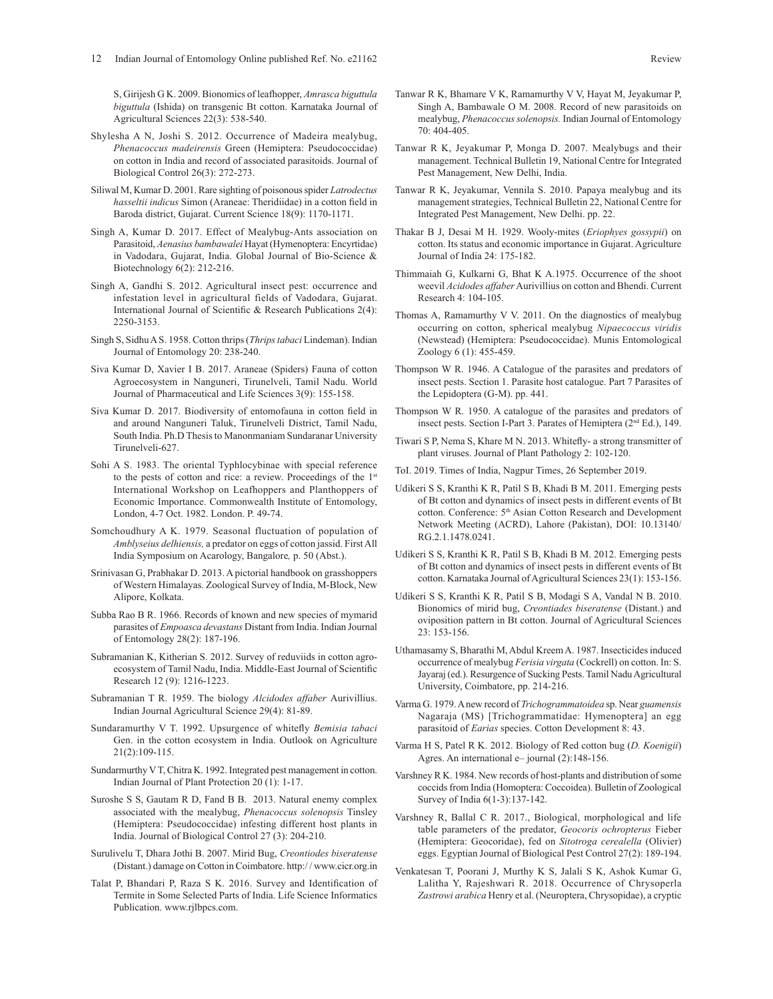S, Girijesh G K. 2009. Bionomics of leafhopper, *Amrasca biguttula biguttula* (Ishida) on transgenic Bt cotton. Karnataka Journal of Agricultural Sciences 22(3): 538-540.

- Shylesha A N, Joshi S. 2012. Occurrence of Madeira mealybug, *Phenacoccus madeirensis* Green (Hemiptera: Pseudococcidae) on cotton in India and record of associated parasitoids. Journal of Biological Control 26(3): 272-273.
- Siliwal M, Kumar D. 2001. Rare sighting of poisonous spider *Latrodectus hasseltii indicus* Simon (Araneae: Theridiidae) in a cotton field in Baroda district, Gujarat. Current Science 18(9): 1170-1171.
- Singh A, Kumar D. 2017. Effect of Mealybug-Ants association on Parasitoid, *Aenasius bambawalei* Hayat (Hymenoptera: Encyrtidae) in Vadodara, Gujarat, India. Global Journal of Bio-Science & Biotechnology 6(2): 212-216.
- Singh A, Gandhi S. 2012. Agricultural insect pest: occurrence and infestation level in agricultural fields of Vadodara, Gujarat. International Journal of Scientific & Research Publications 2(4): 2250-3153.
- Singh S, SidhuA S. 1958. Cotton thrips (*Thrips tabaci* Lindeman). Indian Journal of Entomology 20: 238-240.
- Siva Kumar D, Xavier I B. 2017. Araneae (Spiders) Fauna of cotton Agroecosystem in Nanguneri, Tirunelveli, Tamil Nadu. World Journal of Pharmaceutical and Life Sciences 3(9): 155-158.
- Siva Kumar D. 2017. Biodiversity of entomofauna in cotton field in and around Nanguneri Taluk, Tirunelveli District, Tamil Nadu, South India. Ph.D Thesis to Manonmaniam Sundaranar University Tirunelveli-627.
- Sohi A S. 1983. The oriental Typhlocybinae with special reference to the pests of cotton and rice: a review. Proceedings of the 1<sup>st</sup> International Workshop on Leafhoppers and Planthoppers of Economic Importance. Commonwealth Institute of Entomology, London, 4-7 Oct. 1982. London. P. 49-74.
- Somchoudhury A K. 1979. Seasonal fluctuation of population of *Amblyseius delhiensis,* a predator on eggs of cotton jassid. First All India Symposium on Acarology, Bangalore*,* p. 50 (Abst.).
- Srinivasan G, Prabhakar D. 2013. A pictorial handbook on grasshoppers of Western Himalayas. Zoological Survey of India, M-Block, New Alipore, Kolkata.
- Subba Rao B R. 1966. Records of known and new species of mymarid parasites of *Empoasca devastans* Distant from India. Indian Journal of Entomology 28(2): 187-196.
- Subramanian K, Kitherian S. 2012. Survey of reduviids in cotton agroecosystem of Tamil Nadu, India. Middle-East Journal of Scientific Research 12 (9): 1216-1223.
- Subramanian T R. 1959. The biology *Alcidodes affaber* Aurivillius. Indian Journal Agricultural Science 29(4): 81-89.
- Sundaramurthy V T. 1992. Upsurgence of whitefly *Bemisia tabaci* Gen. in the cotton ecosystem in India. Outlook on Agriculture 21(2):109-115.
- Sundarmurthy V T, Chitra K. 1992. Integrated pest management in cotton. Indian Journal of Plant Protection 20 (1): 1-17.
- Suroshe S S, Gautam R D, Fand B B. 2013. Natural enemy complex associated with the mealybug, *Phenacoccus solenopsis* Tinsley (Hemiptera: Pseudococcidae) infesting different host plants in India. Journal of Biological Control 27 (3): 204-210.
- Surulivelu T, Dhara Jothi B. 2007. Mirid Bug, *Creontiodes biseratense*  (Distant.) damage on Cotton in Coimbatore. http:/ / www.cicr.org.in
- Talat P, Bhandari P, Raza S K. 2016. Survey and Identification of Termite in Some Selected Parts of India. Life Science Informatics Publication. www.rjlbpcs.com.
- Tanwar R K, Bhamare V K, Ramamurthy V V, Hayat M, Jeyakumar P, Singh A, Bambawale O M. 2008. Record of new parasitoids on mealybug, *Phenacoccus solenopsis.* Indian Journal of Entomology  $70 \cdot 404 - 405$
- Tanwar R K, Jeyakumar P, Monga D. 2007. Mealybugs and their management. Technical Bulletin 19, National Centre for Integrated Pest Management, New Delhi, India.
- Tanwar R K, Jeyakumar, Vennila S. 2010. Papaya mealybug and its management strategies, Technical Bulletin 22, National Centre for Integrated Pest Management, New Delhi. pp. 22.
- Thakar B J, Desai M H. 1929. Wooly-mites (*Eriophyes gossypii*) on cotton. Its status and economic importance in Gujarat. Agriculture Journal of India 24: 175-182.
- Thimmaiah G, Kulkarni G, Bhat K A.1975. Occurrence of the shoot weevil *Acidodes affaber* Aurivillius on cotton and Bhendi. Current Research 4: 104-105.
- Thomas A, Ramamurthy V V. 2011. On the diagnostics of mealybug occurring on cotton, spherical mealybug *Nipaecoccus viridis*  (Newstead) (Hemiptera: Pseudococcidae). Munis Entomological Zoology 6 (1): 455-459.
- Thompson W R. 1946. A Catalogue of the parasites and predators of insect pests. Section 1. Parasite host catalogue. Part 7 Parasites of the Lepidoptera (G-M). pp. 441.
- Thompson W R. 1950. A catalogue of the parasites and predators of insect pests. Section I-Part 3. Parates of Hemiptera (2nd Ed.), 149.
- Tiwari S P, Nema S, Khare M N. 2013. Whitefly- a strong transmitter of plant viruses. Journal of Plant Pathology 2: 102-120.
- ToI. 2019. Times of India, Nagpur Times, 26 September 2019.
- Udikeri S S, Kranthi K R, Patil S B, Khadi B M. 2011. Emerging pests of Bt cotton and dynamics of insect pests in different events of Bt cotton. Conference: 5<sup>th</sup> Asian Cotton Research and Development Network Meeting (ACRD), Lahore (Pakistan), DOI: 10.13140/ RG.2.1.1478.0241.
- Udikeri S S, Kranthi K R, Patil S B, Khadi B M. 2012. Emerging pests of Bt cotton and dynamics of insect pests in different events of Bt cotton. Karnataka Journal of Agricultural Sciences 23(1): 153-156.
- Udikeri S S, Kranthi K R, Patil S B, Modagi S A, Vandal N B. 2010. Bionomics of mirid bug, *Creontiades biseratense* (Distant.) and oviposition pattern in Bt cotton. Journal of Agricultural Sciences 23: 153-156.
- Uthamasamy S, Bharathi M, Abdul Kreem A. 1987. Insecticides induced occurrence of mealybug *Ferisia virgata* (Cockrell) on cotton. In: S. Jayaraj (ed.). Resurgence of Sucking Pests. Tamil Nadu Agricultural University, Coimbatore, pp. 214-216.
- Varma G. 1979. A new record of *Trichogrammatoidea* sp. Near *guamensis* Nagaraja (MS) [Trichogrammatidae: Hymenoptera] an egg parasitoid of *Earias* species. Cotton Development 8: 43.
- Varma H S, Patel R K. 2012. Biology of Red cotton bug (*D. Koenigii*) Agres. An international e– journal (2):148-156.
- Varshney R K. 1984. New records of host-plants and distribution of some coccids from India (Homoptera: Coccoidea). Bulletin of Zoological Survey of India 6(1-3):137-142.
- Varshney R, Ballal C R. 2017., Biological, morphological and life table parameters of the predator, *Geocoris ochropterus* Fieber (Hemiptera: Geocoridae), fed on *Sitotroga cerealella* (Olivier) eggs. Egyptian Journal of Biological Pest Control 27(2): 189-194.
- Venkatesan T, Poorani J, Murthy K S, Jalali S K, Ashok Kumar G, Lalitha Y, Rajeshwari R. 2018. Occurrence of Chrysoperla *Zastrowi arabica* Henry et al. (Neuroptera, Chrysopidae), a cryptic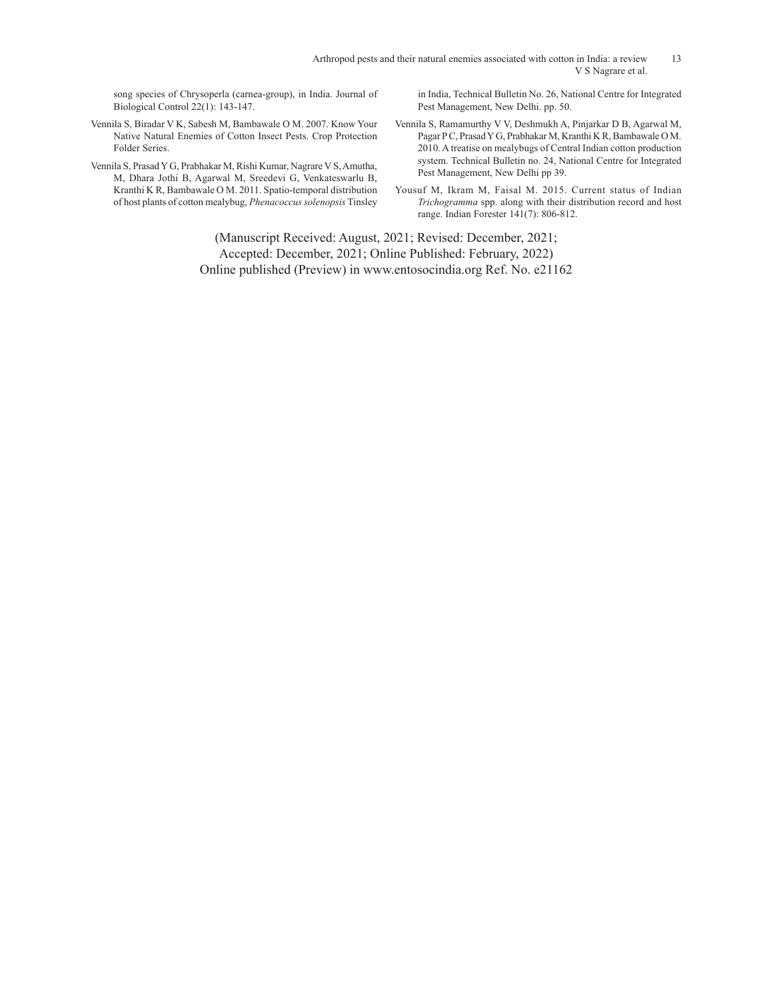Arthropod pests and their natural enemies associated with cotton in India: a review 13 V S Nagrare et al.

song species of Chrysoperla (carnea-group), in India. Journal of Biological Control 22(1): 143-147.

- Vennila S, Biradar V K, Sabesh M, Bambawale O M. 2007. Know Your Native Natural Enemies of Cotton Insect Pests. Crop Protection Folder Series.
- Vennila S, Prasad Y G, Prabhakar M, Rishi Kumar, Nagrare V S, Amutha, M, Dhara Jothi B, Agarwal M, Sreedevi G, Venkateswarlu B, Kranthi K R, Bambawale O M. 2011. Spatio-temporal distribution of host plants of cotton mealybug, *Phenacoccus solenopsis* Tinsley

in India, Technical Bulletin No. 26, National Centre for Integrated Pest Management, New Delhi. pp. 50.

Vennila S, Ramamurthy V V, Deshmukh A, Pinjarkar D B, Agarwal M, Pagar P C, Prasad Y G, Prabhakar M, Kranthi K R, Bambawale O M. 2010. A treatise on mealybugs of Central Indian cotton production system. Technical Bulletin no. 24, National Centre for Integrated Pest Management, New Delhi pp 39.

Yousuf M, Ikram M, Faisal M. 2015. Current status of Indian *Trichogramma* spp. along with their distribution record and host range. Indian Forester 141(7): 806-812.

(Manuscript Received: August, 2021; Revised: December, 2021; Accepted: December, 2021; Online Published: February, 2022) Online published (Preview) in www.entosocindia.org Ref. No. e21162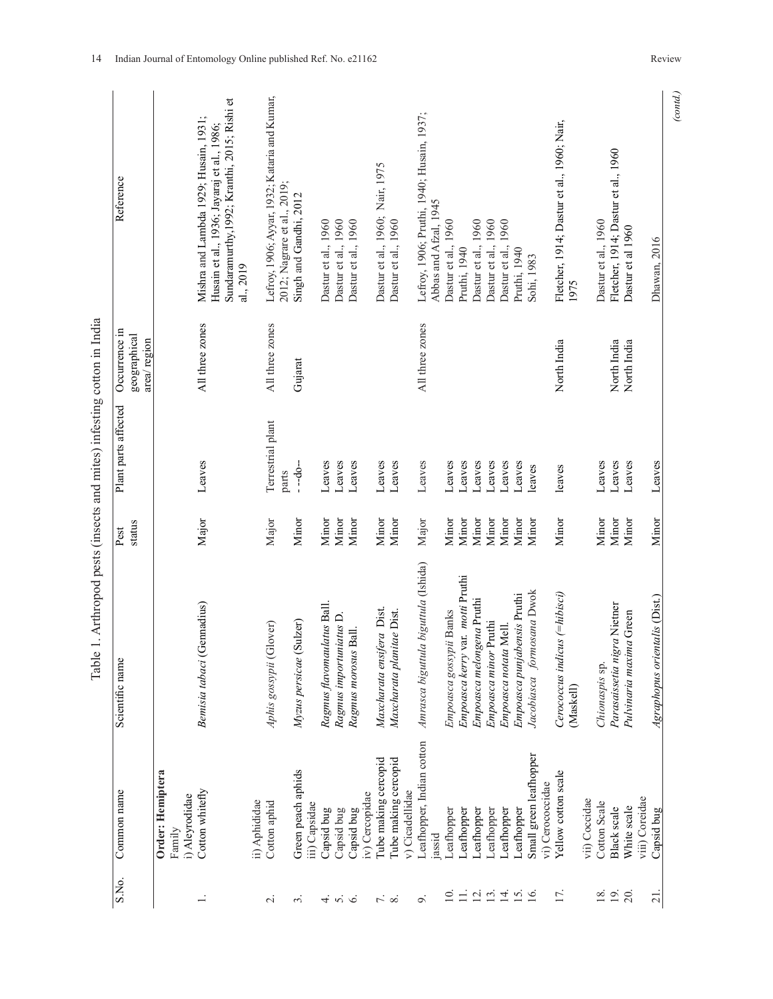| S.No.                           | Common name                                | Scientific name                             | Pest   | Plant parts affected       | Occurrence in               | Reference                                                                                                                                        |
|---------------------------------|--------------------------------------------|---------------------------------------------|--------|----------------------------|-----------------------------|--------------------------------------------------------------------------------------------------------------------------------------------------|
|                                 |                                            |                                             | status |                            | geographical<br>area/region |                                                                                                                                                  |
|                                 | Order: Hemiptera<br>Family                 |                                             |        |                            |                             |                                                                                                                                                  |
|                                 | i) Aleyrodidae                             |                                             |        |                            |                             |                                                                                                                                                  |
| $\div$                          | Cotton whitefly                            | Bemisia tabaci (Gennadius)                  | Major  | Leaves                     | All three zones             | Sundaramurthy, 1992; Kranthi, 2015; Rishi et<br>Mishra and Lambda 1929; Husain, 1931;<br>Husain et al., 1936; Jayaraj et al., 1986;<br>al., 2019 |
|                                 | ii) Aphididae                              |                                             |        |                            |                             |                                                                                                                                                  |
| $\sim$                          | Cotton aphid                               | (Glover)<br>Aphis gossypii                  | Major  | Terrestrial plant<br>parts | All three zones             | Lefroy, 1906; Ayyar, 1932; Kataria and Kumar,<br>2012; Nagrare et al., 2019;                                                                     |
| 2.                              | Green peach aphids<br>iii) Capsidae        | (Sulzer)<br>Myzus persicae                  | Minor  | --do--                     | Gujarat                     | Singh and Gandhi, 2012                                                                                                                           |
|                                 |                                            |                                             | Minor  |                            |                             |                                                                                                                                                  |
| 4.56                            | Capsid bug<br>Capsid bug                   | Ragmus flavomaulatus Ball.                  | Minor  | Leaves<br>Leaves           |                             | Dastur et al., 1960<br>Dastur et al., 1960                                                                                                       |
|                                 |                                            | Ragmus importuniatus D.                     |        |                            |                             |                                                                                                                                                  |
|                                 | iv) Cercopidae<br>Capsid bug               | Ragmus morosus Ball.                        | Minor  | Leaves                     |                             | Dastur et al., 1960                                                                                                                              |
|                                 | Tube making cercopid                       | Maxcharata ensifera Dist.                   | Minor  | Leaves                     |                             | Dastur et al., 1960; Nair, 1975                                                                                                                  |
| $\overline{r}$ $\infty$         | Tube making cercopid<br>v) Cicadellidae    | Maxcharata planitae Dist.                   | Minor  | Leaves                     |                             | Dastur et al., 1960                                                                                                                              |
| o,                              | Leafhopper, Indian cotton<br>jassid        | Amrasca biguttula biguttula (Ishida)        | Major  | Leaves                     | All three zones             | Lefroy, 1906; Pruthi, 1940; Husain, 1937;<br>Abbas and Afzal, 1945                                                                               |
| $\overline{0}$                  | Leafhopper                                 | Empoasca gossypii Banks                     | Minor  | Leaves                     |                             | Dastur et al., 1960                                                                                                                              |
| $\equiv$                        | Leafhopper                                 | Empoasca kerry var. motti Pruthi            | Minor  | Leaves                     |                             | Pruthi, 1940                                                                                                                                     |
|                                 | Leafhopper                                 | Empoasca melongena Pruthi                   | Minor  | Leaves                     |                             | Dastur et al., 1960                                                                                                                              |
| $\overline{2}$ $\overline{3}$ . | Leafhopper                                 | Empoasca minor Pruthi                       | Minor  | Leaves                     |                             | Dastur et al., 1960                                                                                                                              |
| $\overline{4}$ .                | Leafhopper                                 | Empoasca notata Mell.                       | Minor  | Leaves                     |                             | Dastur et al., 1960                                                                                                                              |
| 15.                             | Leafhopper                                 | Empoasca punjabensis Pruthi                 | Minor  | Leaves                     |                             | Pruthi, 1940                                                                                                                                     |
| 16                              | Small green leafhopper<br>vi) Cerococcidae | Jacobiasca formosana Dwok                   | Minor  | leaves                     |                             | Sohi, 1983                                                                                                                                       |
|                                 |                                            |                                             |        |                            |                             |                                                                                                                                                  |
| 17.                             | Yellow cotton scale                        | Cerococcus indicus (= hibisci)<br>(Maskell) | Minor  | leaves                     | North India                 | Fletcher, 1914; Dastur et al., 1960; Nair,<br>1975                                                                                               |
|                                 | vii) Coccidae                              |                                             |        |                            |                             |                                                                                                                                                  |
| 18.                             | Cotton Scale                               | Chionaspis sp.                              | Minor  | Leaves                     |                             | Dastur et al., 1960                                                                                                                              |
| 19.                             | Black scale                                | Parasaissetia nigra Nietner                 | Minor  | Leaves                     | North India                 | Fletcher, 1914; Dastur et al., 1960                                                                                                              |
| 20.                             | White scale                                | Pulvinaria maxima Green                     | Minor  | Leaves                     | North India                 | Dastur et al 1960                                                                                                                                |
|                                 | viii) Coreidae                             |                                             |        |                            |                             |                                                                                                                                                  |
| $\overline{21}$ .               | Capsid bug                                 | <i>ientalis</i> (Dist.)<br>Agraphopus or    | Minor  | Leaves                     |                             | Dhawan, 2016                                                                                                                                     |

Table 1. Arthropod pests (insects and mites) infesting cotton in India Table 1. Arthropod pests (insects and mites) infesting cotton in India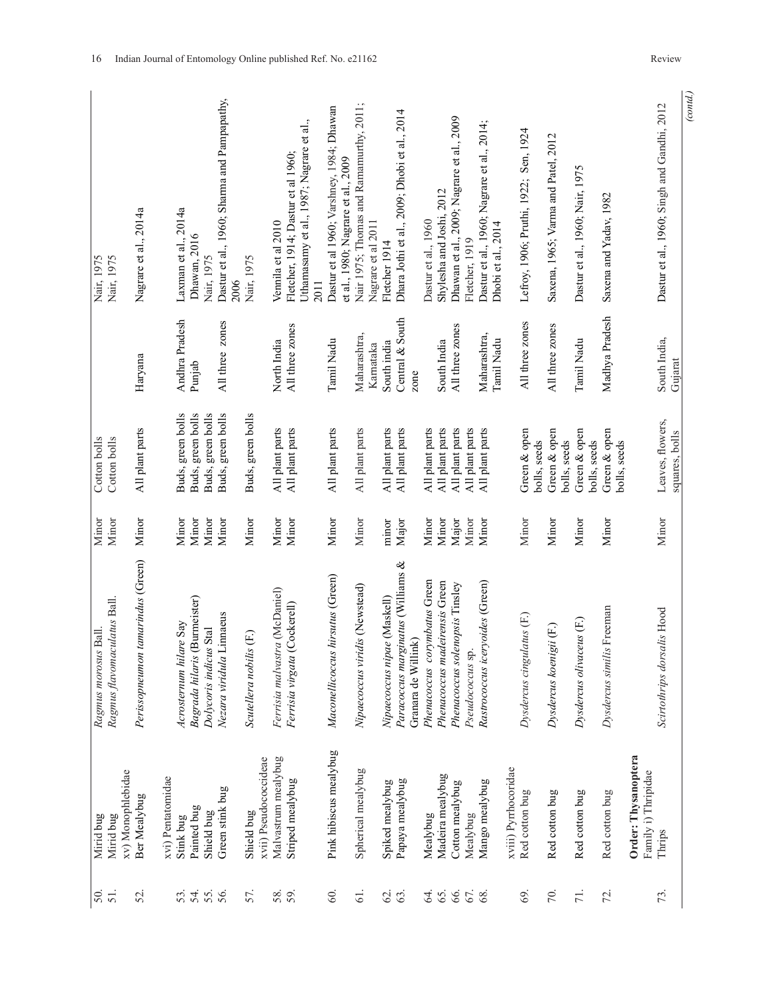| (cond.)                                                                         |                                |                                        |                |                                                                  |                                            |                   |
|---------------------------------------------------------------------------------|--------------------------------|----------------------------------------|----------------|------------------------------------------------------------------|--------------------------------------------|-------------------|
| Dastur et al., 1960; Singh and Gandhi, 2012                                     | South India,<br>Gujarat        | Leaves, flowers,<br>squares, bolls     | Minor          | Scirtothrips dorsalis Hood                                       | Thrips                                     | 73.               |
|                                                                                 |                                |                                        |                |                                                                  | Order: Thysanoptera<br>Family i) Thripidae |                   |
| Saxena and Yadav, 1982                                                          | Madhya Pradesh                 | Green & open<br>bolls, seeds           | Minor          | Dysdercus similis Freeman                                        | Red cotton bug                             | 72.               |
|                                                                                 |                                | bolls, seeds                           |                |                                                                  |                                            |                   |
| Dastur et al., 1960; Nair, 1975                                                 | Tamil Nadu                     | Green & open<br>bolls, seeds           | Minor          | Dysdercus olivaceus (F.)                                         | Red cotton bug                             | 71.               |
| Saxena, 1965; Varma and Patel, 2012                                             | All three zones                | Green & open                           | Minor          | Dysdercus koenigii (F.)                                          | Red cotton bug                             | 70.               |
| Lefroy, 1906; Pruthi, 1922; Sen, 1924                                           | All three zones                | Green & open<br>bolls, seeds           | Minor          | Dysdercus cingulatus (F.)                                        | Red cotton bug                             | 69                |
| Dhobi et al., 2014                                                              | Tamil Nadu                     |                                        |                |                                                                  | xviii) Pyrrhocoridae                       |                   |
| Dastur et al., 1960; Nagrare et al., 2014;                                      | Maharashtra,                   | All plant parts                        | Minor          | Rastrococcus iceryoides (Green)                                  | Mango mealybug                             | 68.               |
| Fletcher, 1919                                                                  |                                | All plant parts                        | Minor          | Pseudococcus sp                                                  | Mealybug                                   | 67.               |
| Dhawan et al., 2009; Nagrare et al., 2009<br>Shylesha and Joshi, 2012           | All three zones<br>South India | All plant parts<br>All plant parts     | Minor<br>Major | Phenacoccus madeirensis Green<br>Phenacoccus solenopsis Tinsley  | Madeira mealybug<br>Cotton mealybug        | 65.<br>66.        |
| Dastur et al., 1960                                                             |                                | All plant parts                        | Minor          | Phenacoccus corymbatus Green                                     | Mealybug                                   | 64.               |
| Dhara Jothi et al., 2009; Dhobi et al., 2014                                    | Central & South<br>zone        | All plant parts                        | Major          | Paracoccus marginatus (Williams &<br>Granara de Willink)         | Papaya mealybug                            | $63$ .            |
| Nagrare et al 2011<br>Fletcher 1914                                             | South india<br>Karnataka       | All plant parts                        | minor          | Nipaecoccus nipae (Maskell)                                      | Spiked mealybug                            | 62.               |
| Nair 1975; Thomas and Ramamurthy, 2011;                                         | Maharashtra,                   | All plant parts                        | Minor          | Nipaecoccus viridis (Newstead)                                   | Spherical mealybug                         | 61.               |
| Dastur et al 1960; Varshney, 1984; Dhawan<br>et al., 1980; Nagrare et al., 2009 | Tamil Nadu                     | All plant parts                        | Minor          | Maconellicoccus hirsutus (Green)                                 | Pink hibiscus mealybug                     | $\overline{60}$   |
| Uthamasamy et al., 1987; Nagrare et al.,<br>2011                                |                                |                                        |                |                                                                  |                                            |                   |
| Fletcher, 1914; Dastur et al 1960;<br>Vennila et al 2010                        | All three zones<br>North India | All plant parts<br>All plant parts     | Minor<br>Minor | Ferrisia malvastra (McDaniel)<br>(Cockerell)<br>Ferrisia virgata | Malvastrum mealybug<br>Striped mealybug    | 58.<br>59.        |
|                                                                                 |                                |                                        |                |                                                                  | xvii) Pseudococcideae                      |                   |
| Nair, 1975<br>2006                                                              |                                | Buds, green bolls                      | Minor          | Scutellera nobilis (F.)                                          | Shield bug                                 | 57.               |
| Dastur et al., 1960; Sharma and Pampapathy,                                     | All three zones                | Buds, green bolls                      | Minor          | Nezara viridula Linnaeus                                         | Green stink bug                            | 55.               |
| Nair, 1975                                                                      |                                | Buds, green bolls                      | Minor          | Dolycoris indicus Stal                                           | Shield bug                                 |                   |
| Laxman et al., 2014a<br>Dhawan, 2016                                            | Andhra Pradesh<br>Punjab       | Buds, green bolls<br>Buds, green bolls | Minor<br>Minor | Bagrada hilaris (Burmeister)<br>Acrosternum hilare Say           | Painted bug<br>Stink bug                   | 54.<br>53.        |
|                                                                                 |                                |                                        |                |                                                                  | xvi) Pentatomidae                          |                   |
| Nagrare et al., 2014a                                                           | Haryana                        | All plant parts                        | Minor          | tamarindus (Green)<br>Perissopneumon                             | Ber Mealybug                               | 52.               |
| Nair, 1975                                                                      |                                | Cotton bolls                           | Minor          | Ragmus flavomaculatus Ball.                                      | xv) Monophlebidae<br>Mirid bug             | $\frac{50}{51}$ . |
| Nair, 1975                                                                      |                                | Cotton bolls                           | Minor          | Ragmus morosus Ball.                                             | Mirid bug                                  |                   |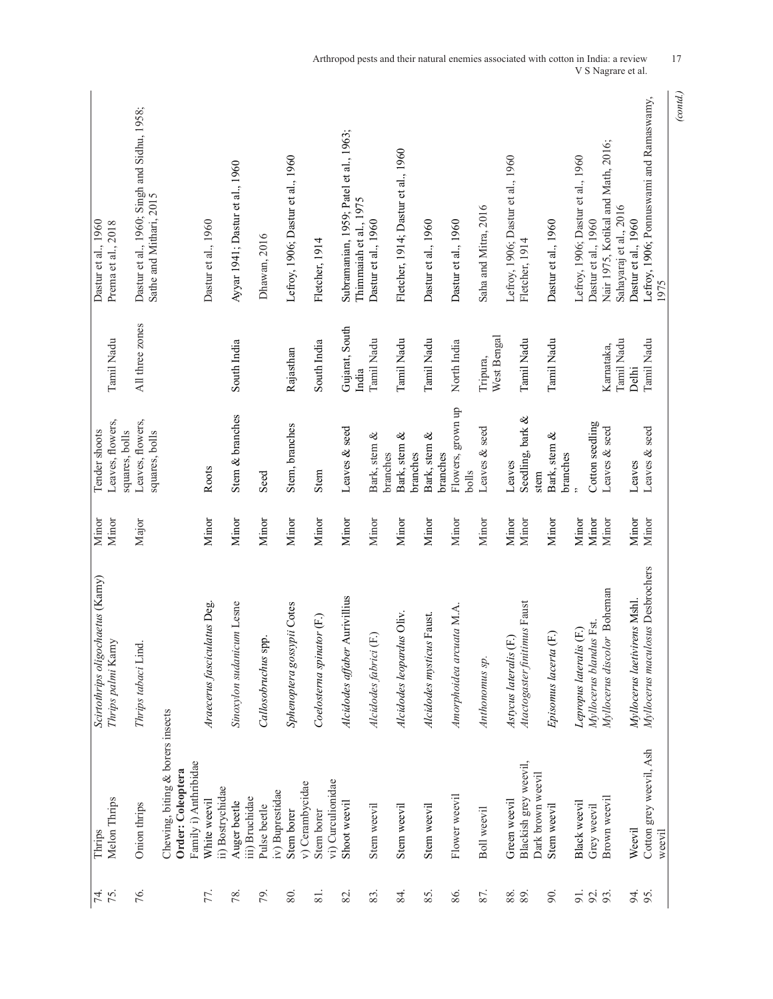| Nair 1975, Kotikal and Math, 2016;<br>Fletcher, 1914; Dastur et al., 1960<br>Lefroy, 1906; Dastur et al., 1960<br>Lefroy, 1906; Dastur et al., 1960<br>Lefroy, 1906; Dastur et al., 1960<br>Ayyar 1941; Dastur et al., 1960<br>Sathe and Mithari, 2015<br>Thimmaiah et al., 1975<br>Sahayaraj et al., 2016<br>Saha and Mitra, 2016<br>Dastur et al., 1960<br>Dastur et al., 1960<br>Dastur et al., 1960<br>Dastur et al., 1960<br>Dastur et al., 1960<br>Dastur et al., 1960<br>Dastur et al., 1960<br>Dastur et al., 1960<br>Prema et al., 2018<br>Dhawan, 2016<br>Fletcher, 1914<br>Fletcher, 1914<br>1975<br>All three zones<br>Gujarat, South<br>West Bengal<br>Tamil Nadu<br>Tamil Nadu<br>Tamil Nadu<br>Tamil Nadu<br>Tamil Nadu<br>Tamil Nadu<br>Tamil Nadu<br>Tamil Nadu<br>South India<br>South India<br>North India<br>Karnataka,<br>Rajasthan<br>Tripura,<br>Delhi<br>India<br>Flowers, grown up<br>Stem & branches<br>Seedling, bark &<br>Leaves, flowers,<br>Leaves, flowers,<br>Cotton seedling<br>Stem, branches<br>Leaves & seed<br>Leaves & seed<br>Leaves & seed<br>Leaves & seed<br>Tender shoots<br>squares, bolls<br>squares, bolls<br>Bark, stem &<br>Bark, stem &<br>Bark, stem &<br>Bark, stem &<br>branches<br>branches<br>branches<br>branches<br>Leaves<br>Leaves<br>Roots<br>Stem<br>bolls<br>Seed<br>stem<br>Minor<br>Minor<br>Minor<br>Minor<br>Minor<br>Minor<br>Minor<br>Minor<br>Minor<br>Minor<br>Minor<br>Minor<br>Minor<br>Minor<br>Minor<br>Minor<br>Major<br>Minor<br>Minor<br>Minor<br>Minor<br>Minor<br>Myllocerus maculosus Desbrochers<br>Scirtothrips oligochaetus (Karny)<br>Myllocerus discolor Boheman<br>Alcidodes affaber Aurivillius<br>Myllocerus laetivirens Mshl<br>Araecerus fasciculatus Deg.<br>Sinoxylon sudanicum Lesne<br>Atactogaster finitimus Faust<br>Sphenoptera gossypii Cotes<br>Amorphoidea arcuata M.A<br>Alcidodes leopardus Oliv.<br>Alcidodes mysticus Faust.<br>Coelosterna spinator (F.)<br>Myllocerus blandus Fst.<br>Lepropus lateralis (F.)<br>$(\mathbb{E})$<br>$(\mathbb{E})$<br>Astycus lateralis (F.)<br>Callosobruchus spp.<br>Thrips palmi Karny<br>Thrips tabaci Lind.<br>Alcidodes fabrici<br>Episomus lacerta<br>Anthonomus sp.<br>Chewing, biting & borers insects<br>Cotton grey weevil, Ash<br>Family i) Anthribidae<br>Blackish grey weevil,<br>Order: Coleoptera<br>Dark brown weevil<br>vi) Curculionidae<br>v) Cerambycidae<br>ii) Bostrychidae<br>iv) Buprestidae<br>Flower weevil<br>Brown weevil<br>iii) Bruchidae<br>Melon Thrips<br>White weevil<br>Green weevil<br>Auger beetle<br>Shoot weevil<br>Black weevil<br>Onion thrips<br>Stem weevil<br>Stem weevil<br>Stem weevil<br>Stem weevil<br>Grey weevil<br>Pulse beetle<br>Boll weevil<br>Stem borer<br>Stem borer<br>Weevil<br>Thrips<br>weevil<br>76.<br>85.<br>87.<br>77.<br>86.<br>88.<br>92.<br>94.<br>79.<br>80.<br>83.<br>84.<br>90.<br>91.<br>95.<br>74.<br>75.<br>78.<br>$\overline{\infty}$<br>82. |  |  |  |                                             |
|------------------------------------------------------------------------------------------------------------------------------------------------------------------------------------------------------------------------------------------------------------------------------------------------------------------------------------------------------------------------------------------------------------------------------------------------------------------------------------------------------------------------------------------------------------------------------------------------------------------------------------------------------------------------------------------------------------------------------------------------------------------------------------------------------------------------------------------------------------------------------------------------------------------------------------------------------------------------------------------------------------------------------------------------------------------------------------------------------------------------------------------------------------------------------------------------------------------------------------------------------------------------------------------------------------------------------------------------------------------------------------------------------------------------------------------------------------------------------------------------------------------------------------------------------------------------------------------------------------------------------------------------------------------------------------------------------------------------------------------------------------------------------------------------------------------------------------------------------------------------------------------------------------------------------------------------------------------------------------------------------------------------------------------------------------------------------------------------------------------------------------------------------------------------------------------------------------------------------------------------------------------------------------------------------------------------------------------------------------------------------------------------------------------------------------------------------------------------------------------------------------------------------------------------------------------------------------------------------------------------------------------------------------------------------------------------------------------------------------------------------------------------------------------------------------------------------------------------------------------------------------------------------------------------------------------------------------------|--|--|--|---------------------------------------------|
|                                                                                                                                                                                                                                                                                                                                                                                                                                                                                                                                                                                                                                                                                                                                                                                                                                                                                                                                                                                                                                                                                                                                                                                                                                                                                                                                                                                                                                                                                                                                                                                                                                                                                                                                                                                                                                                                                                                                                                                                                                                                                                                                                                                                                                                                                                                                                                                                                                                                                                                                                                                                                                                                                                                                                                                                                                                                                                                                                                  |  |  |  |                                             |
|                                                                                                                                                                                                                                                                                                                                                                                                                                                                                                                                                                                                                                                                                                                                                                                                                                                                                                                                                                                                                                                                                                                                                                                                                                                                                                                                                                                                                                                                                                                                                                                                                                                                                                                                                                                                                                                                                                                                                                                                                                                                                                                                                                                                                                                                                                                                                                                                                                                                                                                                                                                                                                                                                                                                                                                                                                                                                                                                                                  |  |  |  | Dastur et al., 1960; Singh and Sidhu, 1958; |
|                                                                                                                                                                                                                                                                                                                                                                                                                                                                                                                                                                                                                                                                                                                                                                                                                                                                                                                                                                                                                                                                                                                                                                                                                                                                                                                                                                                                                                                                                                                                                                                                                                                                                                                                                                                                                                                                                                                                                                                                                                                                                                                                                                                                                                                                                                                                                                                                                                                                                                                                                                                                                                                                                                                                                                                                                                                                                                                                                                  |  |  |  |                                             |
|                                                                                                                                                                                                                                                                                                                                                                                                                                                                                                                                                                                                                                                                                                                                                                                                                                                                                                                                                                                                                                                                                                                                                                                                                                                                                                                                                                                                                                                                                                                                                                                                                                                                                                                                                                                                                                                                                                                                                                                                                                                                                                                                                                                                                                                                                                                                                                                                                                                                                                                                                                                                                                                                                                                                                                                                                                                                                                                                                                  |  |  |  |                                             |
|                                                                                                                                                                                                                                                                                                                                                                                                                                                                                                                                                                                                                                                                                                                                                                                                                                                                                                                                                                                                                                                                                                                                                                                                                                                                                                                                                                                                                                                                                                                                                                                                                                                                                                                                                                                                                                                                                                                                                                                                                                                                                                                                                                                                                                                                                                                                                                                                                                                                                                                                                                                                                                                                                                                                                                                                                                                                                                                                                                  |  |  |  |                                             |
|                                                                                                                                                                                                                                                                                                                                                                                                                                                                                                                                                                                                                                                                                                                                                                                                                                                                                                                                                                                                                                                                                                                                                                                                                                                                                                                                                                                                                                                                                                                                                                                                                                                                                                                                                                                                                                                                                                                                                                                                                                                                                                                                                                                                                                                                                                                                                                                                                                                                                                                                                                                                                                                                                                                                                                                                                                                                                                                                                                  |  |  |  |                                             |
|                                                                                                                                                                                                                                                                                                                                                                                                                                                                                                                                                                                                                                                                                                                                                                                                                                                                                                                                                                                                                                                                                                                                                                                                                                                                                                                                                                                                                                                                                                                                                                                                                                                                                                                                                                                                                                                                                                                                                                                                                                                                                                                                                                                                                                                                                                                                                                                                                                                                                                                                                                                                                                                                                                                                                                                                                                                                                                                                                                  |  |  |  |                                             |
|                                                                                                                                                                                                                                                                                                                                                                                                                                                                                                                                                                                                                                                                                                                                                                                                                                                                                                                                                                                                                                                                                                                                                                                                                                                                                                                                                                                                                                                                                                                                                                                                                                                                                                                                                                                                                                                                                                                                                                                                                                                                                                                                                                                                                                                                                                                                                                                                                                                                                                                                                                                                                                                                                                                                                                                                                                                                                                                                                                  |  |  |  |                                             |
|                                                                                                                                                                                                                                                                                                                                                                                                                                                                                                                                                                                                                                                                                                                                                                                                                                                                                                                                                                                                                                                                                                                                                                                                                                                                                                                                                                                                                                                                                                                                                                                                                                                                                                                                                                                                                                                                                                                                                                                                                                                                                                                                                                                                                                                                                                                                                                                                                                                                                                                                                                                                                                                                                                                                                                                                                                                                                                                                                                  |  |  |  |                                             |
|                                                                                                                                                                                                                                                                                                                                                                                                                                                                                                                                                                                                                                                                                                                                                                                                                                                                                                                                                                                                                                                                                                                                                                                                                                                                                                                                                                                                                                                                                                                                                                                                                                                                                                                                                                                                                                                                                                                                                                                                                                                                                                                                                                                                                                                                                                                                                                                                                                                                                                                                                                                                                                                                                                                                                                                                                                                                                                                                                                  |  |  |  |                                             |
|                                                                                                                                                                                                                                                                                                                                                                                                                                                                                                                                                                                                                                                                                                                                                                                                                                                                                                                                                                                                                                                                                                                                                                                                                                                                                                                                                                                                                                                                                                                                                                                                                                                                                                                                                                                                                                                                                                                                                                                                                                                                                                                                                                                                                                                                                                                                                                                                                                                                                                                                                                                                                                                                                                                                                                                                                                                                                                                                                                  |  |  |  | Subramanian, 1959; Patel et al., 1963;      |
|                                                                                                                                                                                                                                                                                                                                                                                                                                                                                                                                                                                                                                                                                                                                                                                                                                                                                                                                                                                                                                                                                                                                                                                                                                                                                                                                                                                                                                                                                                                                                                                                                                                                                                                                                                                                                                                                                                                                                                                                                                                                                                                                                                                                                                                                                                                                                                                                                                                                                                                                                                                                                                                                                                                                                                                                                                                                                                                                                                  |  |  |  |                                             |
|                                                                                                                                                                                                                                                                                                                                                                                                                                                                                                                                                                                                                                                                                                                                                                                                                                                                                                                                                                                                                                                                                                                                                                                                                                                                                                                                                                                                                                                                                                                                                                                                                                                                                                                                                                                                                                                                                                                                                                                                                                                                                                                                                                                                                                                                                                                                                                                                                                                                                                                                                                                                                                                                                                                                                                                                                                                                                                                                                                  |  |  |  |                                             |
|                                                                                                                                                                                                                                                                                                                                                                                                                                                                                                                                                                                                                                                                                                                                                                                                                                                                                                                                                                                                                                                                                                                                                                                                                                                                                                                                                                                                                                                                                                                                                                                                                                                                                                                                                                                                                                                                                                                                                                                                                                                                                                                                                                                                                                                                                                                                                                                                                                                                                                                                                                                                                                                                                                                                                                                                                                                                                                                                                                  |  |  |  |                                             |
|                                                                                                                                                                                                                                                                                                                                                                                                                                                                                                                                                                                                                                                                                                                                                                                                                                                                                                                                                                                                                                                                                                                                                                                                                                                                                                                                                                                                                                                                                                                                                                                                                                                                                                                                                                                                                                                                                                                                                                                                                                                                                                                                                                                                                                                                                                                                                                                                                                                                                                                                                                                                                                                                                                                                                                                                                                                                                                                                                                  |  |  |  |                                             |
|                                                                                                                                                                                                                                                                                                                                                                                                                                                                                                                                                                                                                                                                                                                                                                                                                                                                                                                                                                                                                                                                                                                                                                                                                                                                                                                                                                                                                                                                                                                                                                                                                                                                                                                                                                                                                                                                                                                                                                                                                                                                                                                                                                                                                                                                                                                                                                                                                                                                                                                                                                                                                                                                                                                                                                                                                                                                                                                                                                  |  |  |  |                                             |
|                                                                                                                                                                                                                                                                                                                                                                                                                                                                                                                                                                                                                                                                                                                                                                                                                                                                                                                                                                                                                                                                                                                                                                                                                                                                                                                                                                                                                                                                                                                                                                                                                                                                                                                                                                                                                                                                                                                                                                                                                                                                                                                                                                                                                                                                                                                                                                                                                                                                                                                                                                                                                                                                                                                                                                                                                                                                                                                                                                  |  |  |  |                                             |
|                                                                                                                                                                                                                                                                                                                                                                                                                                                                                                                                                                                                                                                                                                                                                                                                                                                                                                                                                                                                                                                                                                                                                                                                                                                                                                                                                                                                                                                                                                                                                                                                                                                                                                                                                                                                                                                                                                                                                                                                                                                                                                                                                                                                                                                                                                                                                                                                                                                                                                                                                                                                                                                                                                                                                                                                                                                                                                                                                                  |  |  |  |                                             |
|                                                                                                                                                                                                                                                                                                                                                                                                                                                                                                                                                                                                                                                                                                                                                                                                                                                                                                                                                                                                                                                                                                                                                                                                                                                                                                                                                                                                                                                                                                                                                                                                                                                                                                                                                                                                                                                                                                                                                                                                                                                                                                                                                                                                                                                                                                                                                                                                                                                                                                                                                                                                                                                                                                                                                                                                                                                                                                                                                                  |  |  |  |                                             |
|                                                                                                                                                                                                                                                                                                                                                                                                                                                                                                                                                                                                                                                                                                                                                                                                                                                                                                                                                                                                                                                                                                                                                                                                                                                                                                                                                                                                                                                                                                                                                                                                                                                                                                                                                                                                                                                                                                                                                                                                                                                                                                                                                                                                                                                                                                                                                                                                                                                                                                                                                                                                                                                                                                                                                                                                                                                                                                                                                                  |  |  |  |                                             |
|                                                                                                                                                                                                                                                                                                                                                                                                                                                                                                                                                                                                                                                                                                                                                                                                                                                                                                                                                                                                                                                                                                                                                                                                                                                                                                                                                                                                                                                                                                                                                                                                                                                                                                                                                                                                                                                                                                                                                                                                                                                                                                                                                                                                                                                                                                                                                                                                                                                                                                                                                                                                                                                                                                                                                                                                                                                                                                                                                                  |  |  |  |                                             |
|                                                                                                                                                                                                                                                                                                                                                                                                                                                                                                                                                                                                                                                                                                                                                                                                                                                                                                                                                                                                                                                                                                                                                                                                                                                                                                                                                                                                                                                                                                                                                                                                                                                                                                                                                                                                                                                                                                                                                                                                                                                                                                                                                                                                                                                                                                                                                                                                                                                                                                                                                                                                                                                                                                                                                                                                                                                                                                                                                                  |  |  |  |                                             |
|                                                                                                                                                                                                                                                                                                                                                                                                                                                                                                                                                                                                                                                                                                                                                                                                                                                                                                                                                                                                                                                                                                                                                                                                                                                                                                                                                                                                                                                                                                                                                                                                                                                                                                                                                                                                                                                                                                                                                                                                                                                                                                                                                                                                                                                                                                                                                                                                                                                                                                                                                                                                                                                                                                                                                                                                                                                                                                                                                                  |  |  |  |                                             |
|                                                                                                                                                                                                                                                                                                                                                                                                                                                                                                                                                                                                                                                                                                                                                                                                                                                                                                                                                                                                                                                                                                                                                                                                                                                                                                                                                                                                                                                                                                                                                                                                                                                                                                                                                                                                                                                                                                                                                                                                                                                                                                                                                                                                                                                                                                                                                                                                                                                                                                                                                                                                                                                                                                                                                                                                                                                                                                                                                                  |  |  |  | Lefroy, 1906; Ponnuswami and Ramaswamy,     |

*(contd.)*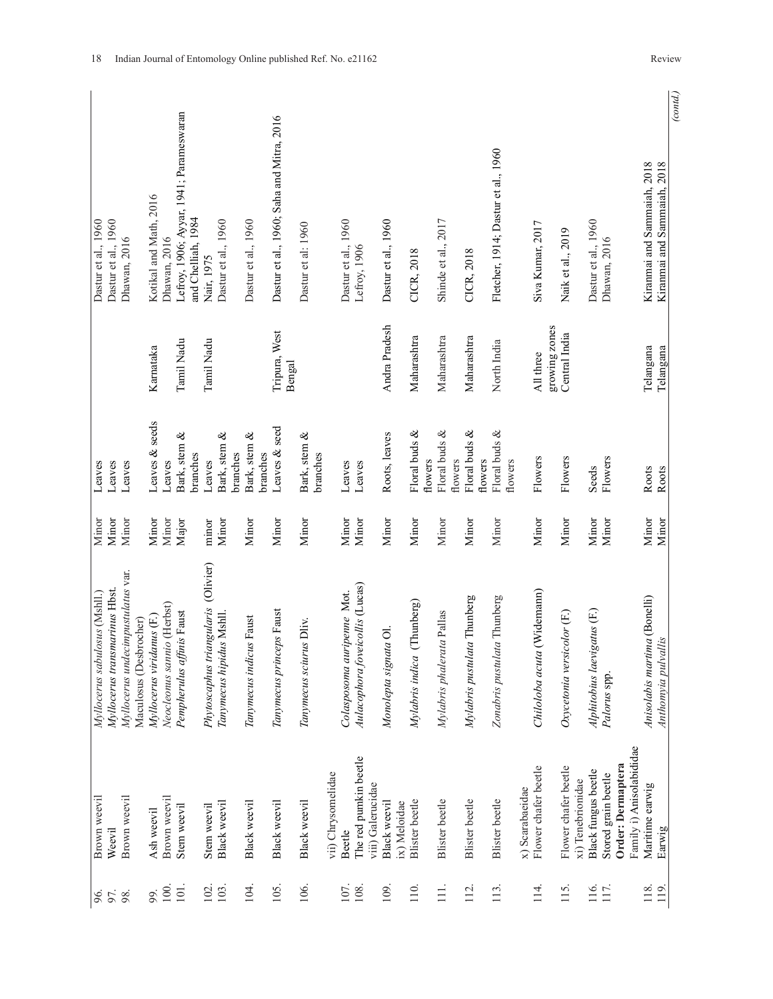|                               |                               |                                   |                        |                           |                            |                                                               |                                     |                          |          |                          |                                           |                          |                    |                            |                                            |                              |                               |                           |                             |                                     |                 |                            |                                           |                             |                                          |                          |                                                            | (contd.) |
|-------------------------------|-------------------------------|-----------------------------------|------------------------|---------------------------|----------------------------|---------------------------------------------------------------|-------------------------------------|--------------------------|----------|--------------------------|-------------------------------------------|--------------------------|--------------------|----------------------------|--------------------------------------------|------------------------------|-------------------------------|---------------------------|-----------------------------|-------------------------------------|-----------------|----------------------------|-------------------------------------------|-----------------------------|------------------------------------------|--------------------------|------------------------------------------------------------|----------|
| Dastur et al., 1960           | Dastur et al., 1960           | Dhawan, 2016                      |                        | Kotikal and Math, 2016    | Dhawan, 2016               | Lefroy, 1906; Ayyar, 1941; Parameswaran<br>and Chelliah, 1984 | Nair, 1975                          | Dastur et al., 1960      |          | Dastur et al., 1960      | Dastur et al., 1960; Saha and Mitra, 2016 | Dastur et al: 1960       |                    | Dastur et al., 1960        | Lefroy, 1906                               | Dastur et al., 1960          | CICR, 2018                    | Shinde et al., 2017       | CICR, 2018                  | Fletcher, 1914; Dastur et al., 1960 |                 | Siva Kumar, 2017           | Naik et al., 2019                         | Dastur et al., 1960         | Dhawan, 2016                             |                          | Kiranmai and Sammaiah, 2018<br>Kiranmai and Sammaiah, 2018 |          |
|                               |                               |                                   |                        | Karnataka                 |                            | Tamil Nadu                                                    | Tamil Nadu                          |                          |          |                          | Tripura, West<br>Bengal                   |                          |                    |                            |                                            | Andra Pradesh                | Maharashtra                   | Maharashtra               | Maharashtra                 | North India                         |                 | growing zones<br>All three | Central India                             |                             |                                          |                          | Telangana<br>Telangana                                     |          |
| Leaves                        | Leaves                        | Leaves                            |                        | Leaves & seeds            | Leaves                     | Bark, stem &<br>branches                                      | Leaves                              | శ<br>Bark, stem          | branches | Bark, stem &<br>branches | Leaves & seed                             | Bark, stem &<br>branches |                    | Leaves                     | Leaves                                     | Roots, leaves                | Floral buds &<br>flowers      | Floral buds &<br>flowers  | Floral buds &<br>flowers    | Floral buds &<br>flowers            |                 | Flowers                    | Flowers                                   | Seeds                       | Flowers                                  |                          | Roots<br>Roots                                             |          |
| Minor                         | Minor                         | Minor                             |                        | Minor                     | Minor                      | Major                                                         | minor                               | Minor                    |          | Minor                    | Minor                                     | Minor                    |                    | Minor                      | Minor                                      | Minor                        | Minor                         | Minor                     | Minor                       | Minor                               |                 | Minor                      | Minor                                     | Minor                       | Minor                                    |                          | Minor<br>Minor                                             |          |
| Myllocerus sabulosus (Mshll.) | Myllocerus transmarinus Hbst. | Myllocerus undecimpustulatus var. | Maculosus (Desbrocher) | Myllocerus viridanus (F.) | Neocleonus sannio (Herbst) | Pempherulus affinis Faust                                     | Phytoscaphus triangularis (Olivier) | Tanymecus hipidus Mshll. |          | Tanymecus indicus Faust  | Tanymecus princeps Faust                  | Tanymecus sciurus Dliv.  |                    | Colasposoma auripenne Mot. | Aulacophora foveicollis (Lucas)            | Monolepta signata Ol.        | (Thunberg)<br>Mylabris indica | Mylabris phalerata Pallas | Mylabris pustulata Thunberg | Zonabris pustulata Thunberg         |                 | Chiloloba acuta (Widemann) | Oxycetonia versicolor (F.)                | Alphitobius laevigatus (F.) | Palorus spp.                             |                          | Anisolabis martima (Bonelli)<br>Anthomyia pulvallis        |          |
| Brown weevil                  | Weevil                        | Brown weevil                      |                        | Ash weevil                | Brown weevil               | Stem weevil                                                   | Stem weevil                         | Black weevil             |          | Black weevil             | Black weevil                              | Black weevil             | vii) Chrysomelidae | Beetle                     | The red pumkin beetle<br>viii) Galerucidae | Black weevil<br>ix) Meloidae | <b>Blister</b> beetle         | <b>Blister</b> beetle     | <b>Blister</b> beetle       | <b>Blister</b> beetle               | x) Scarabaeidae | Flower chafer beetle       | Flower chafer beetle<br>xi) Tenebrionidae | Black fungus beetle         | Order: Dermaptera<br>Stored grain beetle | Family i) Anisolabididae | Maritime earwig<br>Earwig                                  |          |
| 96.                           | 97.                           | 98.                               |                        | 99.                       | 100                        | $\overline{101}$                                              | 102.                                | 103.                     |          | 104.                     | 105.                                      | 106.                     |                    | 107.                       | 108.                                       | 109.                         | 110                           | $\equiv$                  | 112                         | 113.                                |                 | $\overline{14}$            | 115.                                      | 116.                        | 117.                                     |                          | 118.<br>119.                                               |          |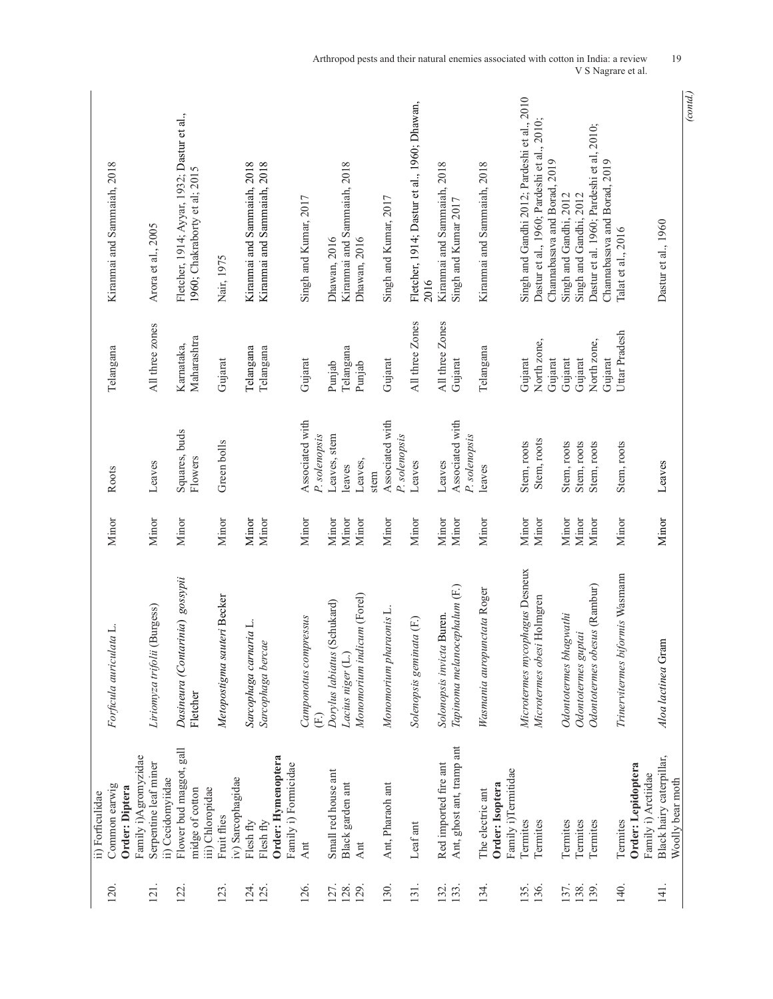| 120.         | Common earwig<br>ii) Forficulidae            | Forficula auriculata L.                     | Minor          | Roots                            | Telangana                 | Kiranmai and Sammaiah, 2018                                                  |
|--------------|----------------------------------------------|---------------------------------------------|----------------|----------------------------------|---------------------------|------------------------------------------------------------------------------|
|              | Order: Diptera                               |                                             |                |                                  |                           |                                                                              |
|              | Family i)Agromyzidae                         |                                             |                |                                  |                           |                                                                              |
| 121.         | Serpentine leaf miner<br>ii) Cecidomyiidae   | (Burgess)<br>Liriomyza trifolii             | Minor          | Leaves                           | All three zones           | Arora et al., 2005                                                           |
| 122.         | Flower bud maggot, gall<br>midge of cotton   | Dasineura (Contarinia) gossypii<br>Fletcher | Minor          | Squares, buds<br>Flowers         | Maharashtra<br>Karnataka, | Fletcher, 1914; Ayyar, 1932; Dastur et al.,<br>1960; Chakraborty et al; 2015 |
|              | iii) Chloropidae                             |                                             |                |                                  |                           |                                                                              |
| 123.         | Fruit flies                                  | Metopostigma sauteri Becker                 | Minor          | Green bolls                      | Gujarat                   | Nair, 1975                                                                   |
|              | iv) Sarcophagidae                            |                                             |                |                                  |                           |                                                                              |
| 124.<br>125. | Flesh fly<br>Flesh fly                       | Sarcophaga carnaria L.<br>Sarcophaga bercae | Minor<br>Minor |                                  | Telangana<br>Telangana    | Kiranmai and Sammaiah, 2018<br>Kiranmai and Sammaiah, 2018                   |
|              | Order: Hymenoptera                           |                                             |                |                                  |                           |                                                                              |
|              | Family i) Formicidae                         |                                             |                |                                  |                           |                                                                              |
| 126.         | Ant                                          | Camponotus compressus<br>(E)                | Minor          | Associated with<br>P. solenopsis | Gujarat                   | Singh and Kumar, 2017                                                        |
| 127.         | Small red house ant                          | (Schukard)<br>Dorylus labiatus              | Minor          | Leaves, stem                     | Punjab                    | Dhawan, 2016                                                                 |
| 128.         | Black garden ant                             | Lacius niger (L.)                           | Minor          | leaves                           | Telangana                 | Kiranmai and Sammaiah, 2018                                                  |
| 129.         | Ant                                          | Monomorium indicum (Forel)                  | Minor          | Leaves,                          | Punjab                    | Dhawan, 2016                                                                 |
|              |                                              |                                             |                | stem                             |                           |                                                                              |
| 130.         | Ant, Pharaoh ant                             | Monomorium pharaonis L.                     | Minor          | Associated with<br>P. solenopsis | Gujarat                   | Singh and Kumar, 2017                                                        |
| 131.         | Leaf ant                                     | Solenopsis geminata (F.)                    | Minor          | Leaves                           | All three Zones           | Fletcher, 1914; Dastur et al., 1960; Dhawan,                                 |
|              |                                              |                                             |                |                                  |                           | 2016                                                                         |
| 132.         | Red imported fire ant                        | Solonopsis invicta Buren.                   | Minor          | Leaves                           | All three Zones           | Kiranmai and Sammaiah, 2018                                                  |
| 133.         | Ant, ghost ant, tramp ant                    | Tapinoma melanocephalum (F.)                | Minor          | Associated with<br>P. solenopsis | Gujarat                   | Singh and Kumar 2017                                                         |
| 134.         | The electric ant                             | Wasmania auropunctata Roger                 | Minor          | leaves                           | Telangana                 | Kiranmai and Sammaiah, 2018                                                  |
|              | Order: Isoptera                              |                                             |                |                                  |                           |                                                                              |
|              | Family i)Termitidae                          |                                             |                |                                  |                           |                                                                              |
| 135.         | Termites                                     | Microtermes mycophagus Desneux              | Minor          | Stem, roots                      | Gujarat                   | Singh and Gandhi 2012; Pardeshi et al., 2010                                 |
| 136.         | Termites                                     | Microtermes obesi Holmgren                  | Minor          | Stem, roots                      | North zone,<br>Gujarat    | Dastur et al., 1960; Pardeshi et al., 2010;<br>Channabasava and Borad, 2019  |
| 137.         | Termites                                     | Odontotermes bhagwathi                      | Minor          | Stem, roots                      | Gujarat                   | Singh and Gandhi, 2012                                                       |
| 138.         | Termites                                     | Odontotermes guptai                         | Minor          | Stem, roots                      | Gujarat                   | Singh and Gandhi, 2012                                                       |
| 139.         | Termites                                     | Odontotermes obesus (Rambur)                | Minor          | Stem, roots                      | North zone,<br>Gujarat    | Dastur et al. 1960; Pardeshi et al, 2010;<br>Channabasava and Borad, 2019    |
| 140.         | Termites                                     | Trinervitermes biformis Wasmann             | Minor          | Stem, roots                      | Uttar Pradesh             | Talat et al., 2016                                                           |
|              | Order: Lepidoptera                           |                                             |                |                                  |                           |                                                                              |
|              | Family i) Arctiidae                          |                                             |                |                                  |                           |                                                                              |
| 141.         | Black hairy caterpillar,<br>Woolly bear moth | Aloa lactinea Gram                          | Minor          | Leaves                           |                           | Dastur et al., 1960                                                          |

*<sup>(</sup>contd.)*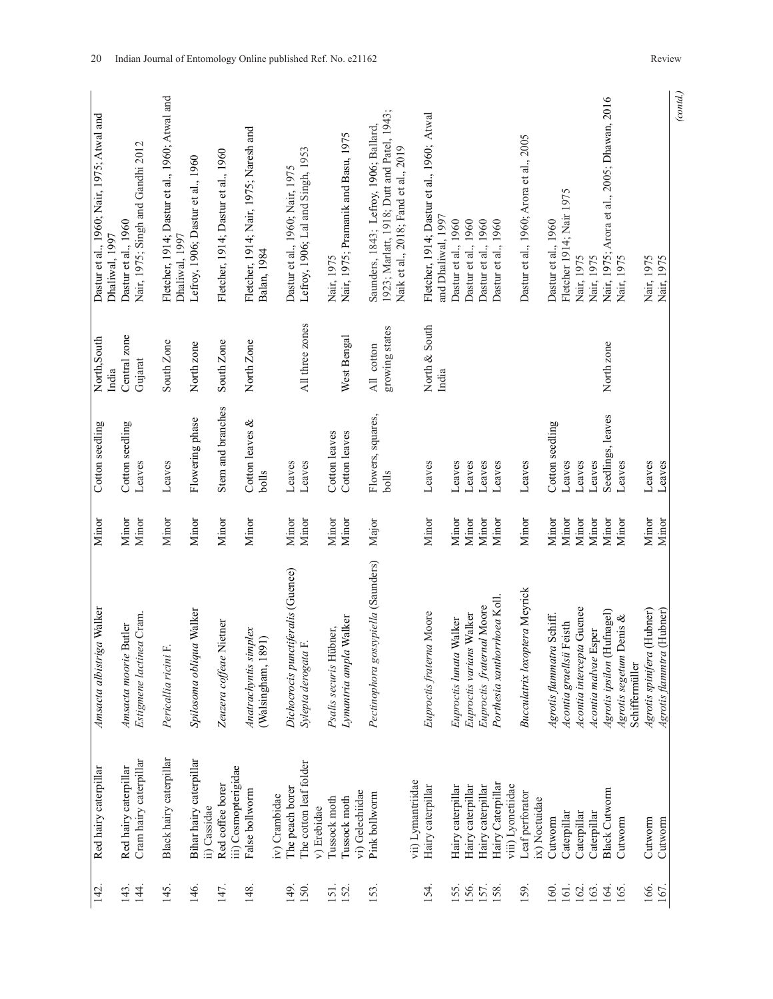| (contd.)                                                                             |                              |                            |                |                                                           |                                                 |              |
|--------------------------------------------------------------------------------------|------------------------------|----------------------------|----------------|-----------------------------------------------------------|-------------------------------------------------|--------------|
| Nair, 1975<br>Nair, 1975                                                             |                              | Leaves<br>Leaves           | Minor<br>Minor | Agrotis spinifera (Hubner)<br>Agrotis flammtra (Hubner)   | Cutworm<br>Cutworm                              | 166.<br>167. |
| Nair, 1975                                                                           |                              | Leaves                     | Minor          | Agrotis segetum Denis &<br>Schiffermüller                 | Cutworm                                         | 165          |
| Nair, 1975; Arora et al., 2005; Dhawan, 2016                                         | North zone                   | Seedlings, leaves          | Minor          | Agrotis ipsilon (Hufnagel)                                | <b>Black Cutworm</b>                            | 164          |
| Nair, 1975                                                                           |                              | Leaves                     | Minor          | Acontia malvae Esper                                      | Caterpillar                                     | 163.         |
| Nair, 1975                                                                           |                              | Leaves                     | Minor          | Acontia intercepta Guenee                                 | Caterpillar                                     | 162.         |
| Fletcher 1914; Nair 1975                                                             |                              | Leaves                     | Minor          | Acontia graellsii Feisth                                  | Caterpillar                                     | 161.         |
| Dastur et al., 1960                                                                  |                              | Cotton seedling            | Minor          | Agrotis flammatra Schiff.                                 | Cutworm                                         | 160          |
|                                                                                      |                              |                            |                |                                                           | ix) Noctuidae                                   |              |
| Dastur et al., 1960; Arora et al., 2005                                              |                              | Leaves                     | Minor          | <b>Bucculatrix loxoptera Meyrick</b>                      | Leaf perforator                                 | 159.         |
| Dastur et al., 1960                                                                  |                              | Leaves                     | Minor          | Porthesia xanthorrhoea Koll.                              | Hairy Caterpillar<br>viii) Lyonetiidae          | 158.         |
| Dastur et al., 1960                                                                  |                              | Leaves                     | Minor          | Euproctis fraternal Moore                                 | Hairy caterpillar                               | 157.         |
| Dastur et al., 1960                                                                  |                              | Leaves                     | Minor          | Euproctis varians Walker                                  | Hairy caterpillar                               | 156.         |
| Dastur et al., 1960                                                                  |                              | Leaves                     | Minor          | Euproctis lunata Walker                                   | Hairy caterpillar                               | 155.         |
| Fletcher, 1914; Dastur et al., 1960; Atwal<br>and Dhaliwal, 1997                     | North & South<br>India       | Leaves                     | Minor          | Euproctis fraterna Moore                                  | Hairy caterpillar                               | 154.         |
| Naik et al., 2018; Fand et al., 2019                                                 |                              |                            |                |                                                           | vii) Lymantriidae                               |              |
| 1923; Marlatt, 1918; Dutt and Patel, 1943;<br>Saunders, 1843; Lefroy, 1906; Ballard, | growing states<br>All cotton | Flowers, squares,<br>bolls | Major          | Pectinophora gossypiella (Saunders)                       | Pink bollworm                                   | 153.         |
|                                                                                      |                              |                            |                |                                                           | vi) Gelechiidae                                 |              |
| Nair, 1975; Pramanik and Basu, 1975<br>Nair, 1975                                    | West Bengal                  | Cotton leaves              | Minor          | Lymantria ampla Walker<br>Psalis securis Hübner,          | Tussock moth                                    | 152.         |
|                                                                                      |                              | Cotton leaves              | Minor          |                                                           | Tussock moth<br>v) Erebidae                     | 151.         |
| Lefroy, 1906; Lal and Singh, 1953<br>Dastur et al., 1960; Nair, 1975                 | All three zones              | Leaves<br>Leaves           | Minor<br>Minor | Dichocrocis punctiferalis (Guenee)<br>Sylepta derogata F. | The cotton leaf folder<br>The peach borer       | 149.<br>150. |
|                                                                                      |                              |                            |                |                                                           | iv) Crambidae                                   |              |
| Fletcher, 1914; Nair, 1975; Naresh and<br>Balan, 1984                                | North Zone                   | Cotton leaves &<br>bolls   | Minor          | Anatrachyntis simplex<br>891)<br>(Walsingham, 1           | False bollworm                                  | 148.         |
|                                                                                      |                              |                            |                |                                                           | iii) Cosmopterigidae                            |              |
| Fletcher, 1914; Dastur et al., 1960                                                  | South Zone                   | Stem and branches          | Minor          | Zeuzera coffeae Nietner                                   | Red coffee borer                                | 147.         |
| Lefroy, 1906; Dastur et al., 1960                                                    | North zone                   | Flowering phase            | Minor          | Spilosoma obliqua Walker                                  | Bihar hairy caterpillar<br>ii) Cassidae         | 146.         |
| Fletcher, 1914; Dastur et al., 1960; Atwal and<br>Dhaliwal, 1997                     | South Zone                   | Leaves                     | Minor          | Pericallia ricini F.                                      | Black hairy caterpillar                         | 145.         |
|                                                                                      |                              |                            |                |                                                           |                                                 |              |
| Nair, 1975; Singh and Gandhi 2012<br>Dastur et al., 1960                             | Central zone<br>Gujarat      | Cotton seedling<br>Leaves  | Minor<br>Minor | Estigmene lactinea Cram.<br>Amsacta moorie Butler         | Cram hairy caterpillar<br>Red hairy caterpillar | 143.<br>144. |
| Dhaliwal, 1997                                                                       | India                        |                            |                |                                                           |                                                 |              |
| Dastur et al., 1960; Nair, 1975; Atwal and                                           | North, South                 | Cotton seedling            | Minor          | Amsacta albistriga Walker                                 | Red hairy caterpillar                           | 142.         |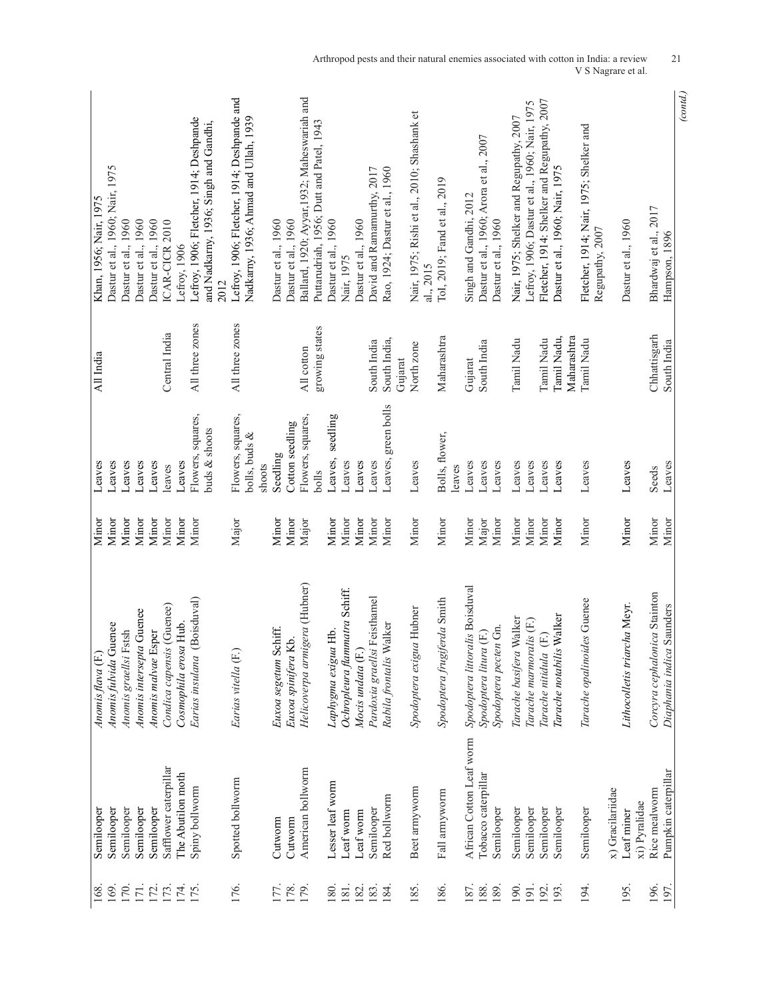| Dastur et al., 1960; Nair, 1975            |                       |                          |                     |                           |                       | Lefroy, 1906; Fletcher, 1914; Deshpande | and Nadkarny, 1936; Singh and Gandhi, | Lefroy, 1906; Fletcher, 1914; Deshpande and | Nadkarny, 1936; Ahmad and Ullah, 1939 |        |                       |                     | Ballard, 1920; Ayyar, 1932; Maheswariah and<br>Puttarudriah, 1956; Dutt and Patel, 1943 |                     |                               |                     | David and Ramamurthy, 2017   | Rao, 1924; Dastur et al., 1960 |         | Nair, 1975; Rishi et al., 2010; Shashank et |                              |        |                                 | Dastur et al., 1960; Arora et al., 2007         | Nair, 1975; Shelker and Regupathy, 2007 | Lefroy, 1906; Dastur et al., 1960; Nair, 1975 | Fletcher, 1914: Shelker and Regupathy, 2007 | Dastur et al., 1960; Nair, 1975 | Fletcher, 1914; Nair, 1975; Shelker and |                  |                              |                                |                           | (cond.) |
|--------------------------------------------|-----------------------|--------------------------|---------------------|---------------------------|-----------------------|-----------------------------------------|---------------------------------------|---------------------------------------------|---------------------------------------|--------|-----------------------|---------------------|-----------------------------------------------------------------------------------------|---------------------|-------------------------------|---------------------|------------------------------|--------------------------------|---------|---------------------------------------------|------------------------------|--------|---------------------------------|-------------------------------------------------|-----------------------------------------|-----------------------------------------------|---------------------------------------------|---------------------------------|-----------------------------------------|------------------|------------------------------|--------------------------------|---------------------------|---------|
| Khan, 1956; Nair, 1975                     | Dastur et al., 1960   | Dastur et al., 1960      | Dastur et al., 1960 | ICAR-CICR 2010            | Lefroy, 1906          |                                         | 2012                                  |                                             |                                       |        | Dastur et al., 1960   | Dastur et al., 1960 |                                                                                         | Dastur et al., 1960 | Nair, 1975                    | Dastur et al., 1960 |                              |                                |         | al., 2015                                   | ToI, 2019; Fand et al., 2019 |        | Singh and Gandhi, 2012          | Dastur et al., 1960                             |                                         |                                               |                                             |                                 | Regupathy, 2007                         |                  | Dastur et al., 1960          | Bhardwaj et al., 2017          | Hampson, 1896             |         |
| All India                                  |                       |                          |                     | Central India             |                       | All three zones                         |                                       | All three zones                             |                                       |        |                       |                     | growing states<br>All cotton                                                            |                     |                               |                     | South India                  | South India,                   | Gujarat | North zone                                  | Maharashtra                  |        | Gujarat                         | South India                                     | Tamil Nadu                              |                                               | Tamil Nadu                                  | Maharashtra<br>Tamil Nadu,      | Tamil Nadu                              |                  |                              | Chhattisgarh                   | South India               |         |
| Leaves<br>Leaves                           | Leaves                | Leaves                   | Leaves              | leaves                    | Leaves                | Flowers, squares,                       | buds & shoots                         | Flowers, squares,                           | bolls, buds &                         | shoots | Seedling              | Cotton seedling     | Flowers, squares,<br>bolls                                                              | seedling<br>Leaves, | Leaves                        | Leaves              | Leaves                       | Leaves, green bolls            |         | Leaves                                      | Bolls, flower,               | leaves | Leaves                          | Leaves<br>Leaves                                | Leaves                                  | Leaves                                        | Leaves                                      | Leaves                          | Leaves                                  |                  | Leaves                       | Seeds                          | Leaves                    |         |
| Minor<br>Minor                             | Minor                 | Minor                    | Minor               | Minor                     | Minor                 | Minor                                   |                                       | Major                                       |                                       |        | Minor                 | Minor               | Major                                                                                   | Minor               | Minor                         | Minor               | Minor                        | Minor                          |         | Minor                                       | Minor                        |        | Minor                           | Major<br>Minor                                  | Minor                                   | Minor                                         | Minor                                       | Minor                           | Minor                                   |                  | Minor                        | Minor                          | Minor                     |         |
| Anomis fulvida Guenee<br>Anomis flava (F.) | Anomis graellsi Fstsh | Anomis intersepta Guenee | Anomis malvae Esper | Condica capensis (Guenee) | Cosmophila erosa Hub. | (Boisduval)<br>Earias insulana          |                                       | Earias vitella (F.)                         |                                       |        | Euxoa segetum Schiff. | Euxoa spinifera Kb. | Helicoverpa armigera (Hubner)                                                           | Laphygma exigua Hb. | Ochropleura flammatra Schiff. | Mocis undata (F.)   | Pardoxia graellsi Feisthamel | Rabila frontalis Walker        |         | Spodoptera exigua Hubner                    | Spodoptera frugiferda Smith  |        | Spodoptera littoralis Boisduval | Spodoptera pecten Gn.<br>Spodoptera litura (F.) | Walker<br>Tarache basifera              | Tarache marmoralis (F.)                       | Tarache nitidula (F.)                       | Tarache notabilis Walker        | Tarache opalinoides Guenee              |                  | Lithocolletis triarcha Meyr. | Corcyra cephalonica Stainton   | Diaphania indica Saunders |         |
| Semilooper<br>Semilooper                   | Semilooper            | Semilooper               | Semilooper          | Safflower caterpillar     | The Abutilon moth     | Spiny bollworm                          |                                       | Spotted bollworm                            |                                       |        | Cutworm               | Cutworm             | American bollworm                                                                       | Lesser leaf worm    | Leaf worm                     | Leaf worm           | Semilooper                   | Red bollworm                   |         | Beet armyworm                               | Fall armyworm                |        | African Cotton Leaf worm        | Tobacco caterpillar<br>Semilooper               | Semilooper                              | Semilooper                                    | Semilooper                                  | Semilooper                      | Semilooper                              | x) Gracilariidae | Leaf miner                   | Rice mealworm<br>xi) Pyralidae | Pumpkin caterpillar       |         |
| 169.<br>168                                | 170.                  | 171.                     | 172.                | 173.                      | 174.                  | 175                                     |                                       | 176.                                        |                                       |        | 177.                  | 178.                | 179.                                                                                    | 180.                | 181.                          | 182.                | 183.                         | 184                            |         | 185.                                        | 186.                         |        | 187.                            | 188.<br>189.                                    | 190.                                    | 191                                           | 192.                                        | 193                             | 194.                                    |                  | 195.                         | 196.                           | 197                       |         |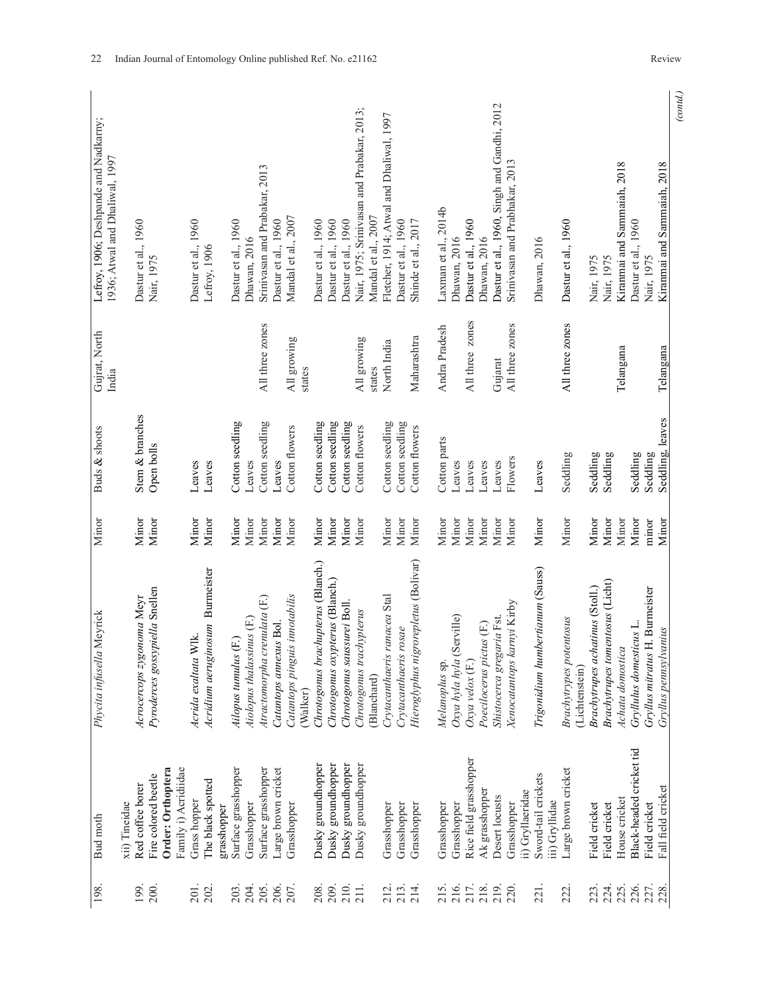| Hieroglyphus nigrorepletus (Bolivar)<br>Chrotogonus brachupterus (Blanch.)<br>Acridium aeruginosum Burmeister<br>Chrotogonus oxypterus (Blanch.)<br>Pyroderces gossypiella Snellen<br>Catantops pinguis innotabilis<br>Crytacanthaeris ranacea Stal<br>Acrocercops zygonoma Meyr<br>Atractomorpha crenulata (F.)<br>Chrotogonus saussurei Boll<br>Chrotogonus trachypterus<br>Aiolopus thalassinus (F.)<br>Catantops annexus Bol.<br>Crytacanthaeris rosae<br>Acrida exaltata Wlk.<br>Ailopus tumulus (F.)<br>Oxya hyla hyla<br>Melanoplus sp.<br>Oxya velox (F.)<br>(Blanchard)<br>(Walker)<br>Rice field grasshopper<br>Dusky groundhopper<br>Dusky groundhopper<br>Dusky groundhopper<br>Dusky groundhopper<br>Order: Orthoptera<br>Family i) Acridiidae<br>Surface grasshopper<br>Surface grasshopper<br>Large brown cricket<br>Fire colored beetle<br>The black spotted |
|------------------------------------------------------------------------------------------------------------------------------------------------------------------------------------------------------------------------------------------------------------------------------------------------------------------------------------------------------------------------------------------------------------------------------------------------------------------------------------------------------------------------------------------------------------------------------------------------------------------------------------------------------------------------------------------------------------------------------------------------------------------------------------------------------------------------------------------------------------------------------|
| Shistocerca gregaria Fst.<br>Poecilocerus pictus (F.)                                                                                                                                                                                                                                                                                                                                                                                                                                                                                                                                                                                                                                                                                                                                                                                                                        |
| Trigonidium humbertianum (Sauss)<br>Xenocatantops karnyi Kirby                                                                                                                                                                                                                                                                                                                                                                                                                                                                                                                                                                                                                                                                                                                                                                                                               |
| Brachytrupes achatinus (Stoll.)<br>Brachytrypes potentosus<br>(Lichtenstein)                                                                                                                                                                                                                                                                                                                                                                                                                                                                                                                                                                                                                                                                                                                                                                                                 |
| Brachytrupes tomentosus (Licht)<br>Gryllulus domesticus L.<br>Achata domostica<br>Black-headed cricket tid                                                                                                                                                                                                                                                                                                                                                                                                                                                                                                                                                                                                                                                                                                                                                                   |
| Gryllus mitratus H. Burneister<br>Gryllus pennsylvanius                                                                                                                                                                                                                                                                                                                                                                                                                                                                                                                                                                                                                                                                                                                                                                                                                      |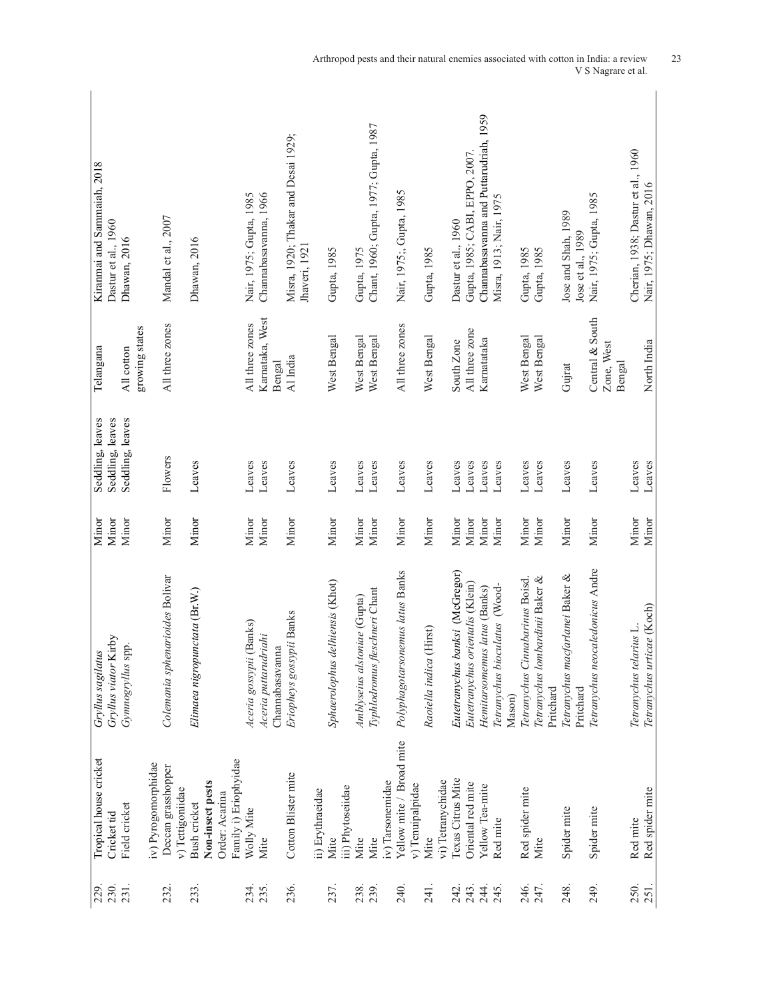| 230.<br>229  | Tropical house cricket<br>Cricket tid         | Gryllus viator Kirby<br>Gryllus sagilatus                           | Minor<br>Minor | Seddling, leaves<br>Seddling, leaves | Telangana                    | Kiranmai and Sammaiah, 2018<br>Dastur et al., 1960   |
|--------------|-----------------------------------------------|---------------------------------------------------------------------|----------------|--------------------------------------|------------------------------|------------------------------------------------------|
| 231.         | Field cricket                                 | Gymnogryllus spp.                                                   | Minor          | Seddling, leaves                     | growing states<br>All cotton | Dhawan, 2016                                         |
| 232.         | iv) Pyrogomorphidae<br>Deccan grasshopper     | Colemania sphenarioides Bolivar                                     | Minor          | Flowers                              | All three zones              | Mandal et al., 2007                                  |
|              | v) Tettigoniidae                              |                                                                     |                |                                      |                              |                                                      |
| 233.         | Non-insect pests<br>Bush cricket              | Elimaea nigropunctata (Br.W.)                                       | Minor          | Leaves                               |                              | Dhawan, 2016                                         |
|              | Family i) Eriophyidae<br>Order: Acarina       |                                                                     |                |                                      |                              |                                                      |
| 234.         | Wolly Mite                                    | Aceria gossypii (Banks)                                             | Minor          | Leaves                               | All three zones              | Nair, 1975; Gupta, 1985                              |
| 235.         | Mite                                          | Aceria puttarudriahi<br>Channabasavanna                             | Minor          | Leaves                               | Karnataka, West<br>Bengal    | Channabasavanna, 1966                                |
| 236.         | Cotton Blister mite                           | Eriopheys gossypii Banks                                            | Minor          | Leaves                               | Al India                     | Misra, 1920; Thakar and Desai 1929;<br>Jhaveri, 1921 |
| 237.         | ii) Erythraeidae<br>Mite                      | Sphaerolophus delhiensis (Khot)                                     | Minor          | Leaves                               | West Bengal                  | Gupta, 1985                                          |
|              | iii) Phytoseiidae                             |                                                                     |                |                                      |                              |                                                      |
| 238.<br>239  | Mite<br>Mite                                  | Typhlodromus fleschneri Chant<br>Amblyseius alstoniae (Gupta)       | Minor<br>Minor | Leaves<br>Leaves                     | West Bengal<br>West Bengal   | Chant, 1960; Gupta, 1977; Gupta, 1987<br>Gupta, 1975 |
|              | iv) Tarsonemidae                              |                                                                     |                |                                      |                              |                                                      |
| 240          | Yellow mite / Broad mite<br>v) Tenuipalpidae  | Polyphagotarsonemus latus Banks                                     | Minor          | Leaves                               | All three zones              | Nair, 1975;, Gupta, 1985                             |
| 241.         | Mite                                          | Raoiella indica (Hirst)                                             | Minor          | Leaves                               | West Bengal                  | Gupta, 1985                                          |
|              | vi) Tetranychidae                             |                                                                     |                |                                      |                              |                                                      |
| 242.<br>243. | <b>Texas Citrus Mite</b><br>Oriental red mite | Eutetranychus banksi (McGregor)<br>Eutetranychus orientalis (Klein) | Minor<br>Minor | Leaves<br>Leaves                     | All three zone<br>South Zone | Gupta, 1985; CABI, EPPO, 2007<br>Dastur et al., 1960 |
| 244.         | Yellow Tea-mite                               | Hemitarsomemus latus (Banks)                                        | Minor          | Leaves                               | Karnatataka                  | Channabasavanna and Puttarudriah, 1959               |
| 245.         | Red mite                                      | Tetranychus bioculatus (Wood-                                       | Minor          | Leaves                               |                              | Misra, 1913; Nair, 1975                              |
|              |                                               | Mason)                                                              |                |                                      |                              |                                                      |
| 246.         | Red spider mite                               | Tetranychus Cinnabarinus Boisd.                                     | Minor          | Leaves                               | West Bengal                  | Gupta, 1985                                          |
| 247.         | Mite                                          | Tetranychus lombardinii Baker &<br>Pritchard                        | Minor          | Leaves                               | West Bengal                  | Gupta, 1985                                          |
| 248.         | Spider mite                                   | Tetranychus macfarlanei Baker &<br>Pritchard                        | Minor          | Leaves                               | Gujrat                       | Jose and Shah, 1989<br>Jose et al., 1989             |
| 249.         | Spider mite                                   | Tetranychus neocaledonicus Andre                                    | Minor          | Leaves                               | Central & South              | Nair, 1975; Gupta, 1985                              |
|              |                                               |                                                                     |                |                                      | Zone, West<br>Bengal         |                                                      |
| 250.         | Red mite                                      | Tetranychus telarius L.                                             | Minor          | Leaves                               |                              | Cherian, 1938; Dastur et al., 1960                   |
| 251.         | Red spider mite                               | Tetranychus urticae (Koch)                                          | Minor          | Leaves                               | North India                  | Nair, 1975; Dhawan, 2016                             |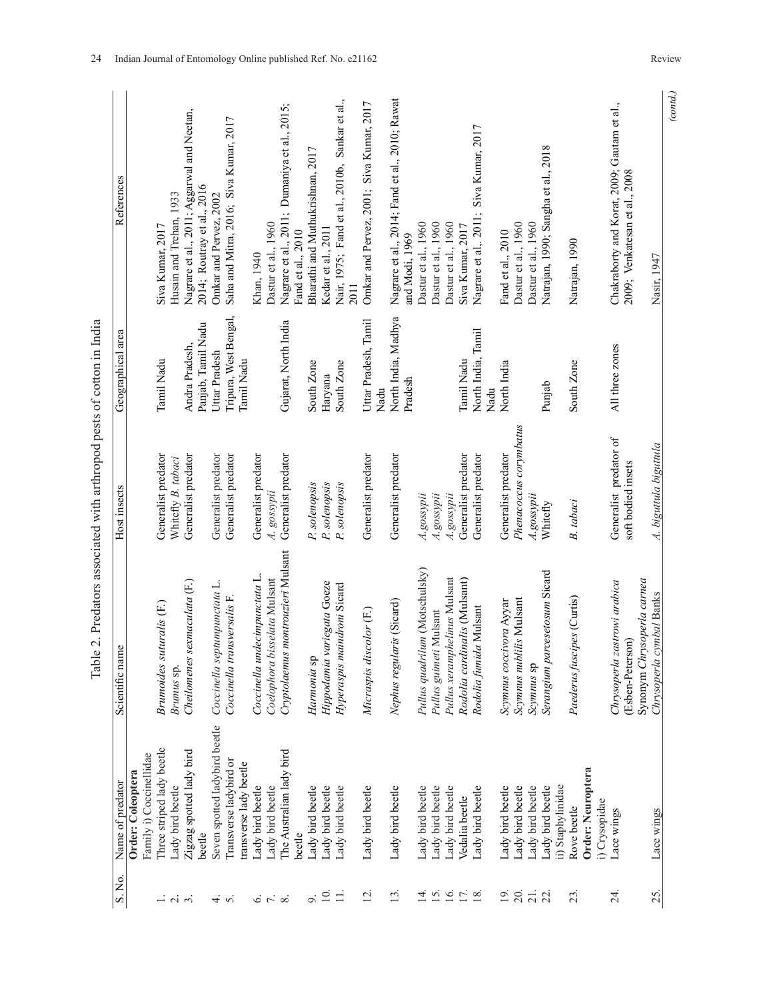| Three striped lady beetle<br>Zigzag spotted lady bird<br>Family i) Coccinellidae<br>Order: Coleoptera<br>Lady bird beetle<br>Lady bird beetle<br>Lady bird beetle<br>Lady bird beetle<br>Lady bird beetle<br>Lady bird beetle<br>Lady bird beetle<br>Lady bird beetle<br>beetle<br>beetle<br>$\overline{10}$<br>$\equiv$<br>$\overline{5}$<br>$\overline{13}$ .<br>o.<br>$\overline{4}$<br>$\infty$<br>$\dot{\tilde{z}}$ |                               | Scientific name                                  | Host insects                                 | Geographical area                    | References                                                                   |
|--------------------------------------------------------------------------------------------------------------------------------------------------------------------------------------------------------------------------------------------------------------------------------------------------------------------------------------------------------------------------------------------------------------------------|-------------------------------|--------------------------------------------------|----------------------------------------------|--------------------------------------|------------------------------------------------------------------------------|
| $6 \nabla$<br>$-1$ $\alpha$<br>$\overline{5}$                                                                                                                                                                                                                                                                                                                                                                            |                               |                                                  |                                              |                                      |                                                                              |
|                                                                                                                                                                                                                                                                                                                                                                                                                          |                               |                                                  |                                              |                                      | Siva Kumar, 2017                                                             |
|                                                                                                                                                                                                                                                                                                                                                                                                                          |                               | Brumoides suturalis (F.)                         | Generalist predator                          | Tamil Nadu                           |                                                                              |
|                                                                                                                                                                                                                                                                                                                                                                                                                          |                               | Brunus sp.                                       | Whitefly B. tabaci                           |                                      | Husain and Trehan, 1933                                                      |
|                                                                                                                                                                                                                                                                                                                                                                                                                          |                               | sexmaculata (F.)<br>Cheilomenes                  | Generalist predator                          | Panjab, Tamil Nadu<br>Andra Pradesh, | Nagrare et al., 2011; Aggarwal and Neetan,<br>2014; Routray et al., 2016     |
|                                                                                                                                                                                                                                                                                                                                                                                                                          | Seven spotted ladybird beetle | Coccinella septumpunctata L.                     | Generalist predator                          | Uttar Pradesh                        | Omkar and Pervez, 2002                                                       |
|                                                                                                                                                                                                                                                                                                                                                                                                                          | Transverse ladybird or        | Coccinella transversalis F.                      | Generalist predator                          | Tripura, West Bengal,                | Saha and Mitra, 2016; Siva Kumar, 2017                                       |
|                                                                                                                                                                                                                                                                                                                                                                                                                          | transverse lady beetle        |                                                  |                                              | Tamil Nadu                           |                                                                              |
|                                                                                                                                                                                                                                                                                                                                                                                                                          |                               | Coccinella undecimpunctata L.                    | Generalist predator                          |                                      | Khan, 1940                                                                   |
|                                                                                                                                                                                                                                                                                                                                                                                                                          |                               | Coelophora bisselata Mulsant                     | A. gossypii                                  |                                      | Dastur et al., 1960                                                          |
|                                                                                                                                                                                                                                                                                                                                                                                                                          | The Australian lady bird      | Cryptolaemus montrouzieri Mulsant                | Generalist predator                          | Gujarat, North India                 | Nagrare et al., 2011; Dumaniya et al., 2015;<br>Fand et al., 2010            |
|                                                                                                                                                                                                                                                                                                                                                                                                                          |                               |                                                  |                                              |                                      |                                                                              |
|                                                                                                                                                                                                                                                                                                                                                                                                                          |                               | Harmonia sp                                      | P. solenopsis                                | South Zone                           | Bharathi and Muthukrishnan, 2017                                             |
|                                                                                                                                                                                                                                                                                                                                                                                                                          |                               | variegata Goeze<br>Hippodamia                    | P. solenopsis                                | Haryana                              | Kedar et al., 2011                                                           |
|                                                                                                                                                                                                                                                                                                                                                                                                                          |                               | Hyperaspis maindroni Sicard                      | P. solenopsis                                | South Zone                           | Nair, 1975; Fand et al., 2010b, Sankar et al.,<br>2011                       |
|                                                                                                                                                                                                                                                                                                                                                                                                                          |                               | Micraspis discolor (F.)                          | Generalist predator                          | Uttar Pradesh, Tamil<br>Nadu         | Omkar and Pervez, 2001; Siva Kumar, 2017                                     |
|                                                                                                                                                                                                                                                                                                                                                                                                                          |                               | Nephus regularis (Sicard)                        | Generalist predator                          | North India, Madhya<br>Pradesh       | Nagrare et al., 2014; Fand et al., 2010; Rawat<br>and Modi, 1969             |
| Lady bird beetle<br>₫.                                                                                                                                                                                                                                                                                                                                                                                                   |                               | Pullus quadrilum (Motschulsky)                   | A.gossypii                                   |                                      | Dastur et al., 1960                                                          |
| Lady bird beetle<br>15.                                                                                                                                                                                                                                                                                                                                                                                                  |                               | Pullus guimeti Mulsant                           | A.gossypii                                   |                                      | Dastur et al., 1960                                                          |
| Lady bird beetle<br>16.                                                                                                                                                                                                                                                                                                                                                                                                  |                               | Pullus xeramphelinus Mulsant                     | A.gossypii                                   |                                      | Dastur et al., 1960                                                          |
| Vedalia beetle<br>17.                                                                                                                                                                                                                                                                                                                                                                                                    |                               | Rodolia cardinalis (Mulsant)                     | Generalist predator                          | <b>Tamil Nadu</b>                    | Siva Kumar, 2017                                                             |
| Lady bird beetle<br>18.                                                                                                                                                                                                                                                                                                                                                                                                  |                               | Rodolia fumida Mulsant                           | Generalist predator                          | North India, Tamil<br>Nadu           | Nagrare et al,. 2011; Siva Kumar, 2017                                       |
| Lady bird beetle<br>$\overline{19}$ .                                                                                                                                                                                                                                                                                                                                                                                    |                               | Scymnus coccivora Ayyar                          | Generalist predator                          | North India                          | Fand et al., 2010                                                            |
| Lady bird beetle<br>20.                                                                                                                                                                                                                                                                                                                                                                                                  |                               | Scymnus nublilis Mulsant                         | Phenacoccus corymbatus                       |                                      | Dastur et al., 1960                                                          |
| Lady bird beetle<br>$\frac{1}{2}$                                                                                                                                                                                                                                                                                                                                                                                        |                               | Scymnus sp                                       | A.gossypii                                   |                                      | Dastur et al., 1960                                                          |
| Lady bird beetle                                                                                                                                                                                                                                                                                                                                                                                                         |                               | Serangium parcesetosum Sicard                    | Whitefly                                     | Punjab                               | Natrajan, 1990; Sangha et al., 2018                                          |
| ii) Staphylinidae                                                                                                                                                                                                                                                                                                                                                                                                        |                               |                                                  |                                              |                                      |                                                                              |
| Order: Neuroptera<br>Rove beetle<br>23.                                                                                                                                                                                                                                                                                                                                                                                  |                               | Paederus fuscipes (Curtis)                       | B. tabaci                                    | South Zone                           | Natrajan, 1990                                                               |
| i) Crysopidae                                                                                                                                                                                                                                                                                                                                                                                                            |                               |                                                  |                                              |                                      |                                                                              |
| Lace wings<br>$\overline{24}$                                                                                                                                                                                                                                                                                                                                                                                            |                               | Chrysoperla zastrowi arabica<br>(Esben-Peterson) | Generalist predator of<br>soft bodied insets | All three zones                      | Chakraborty and Korat, 2009; Gautam et al.,<br>2009; Venkatesan et al., 2008 |
|                                                                                                                                                                                                                                                                                                                                                                                                                          |                               | Synonym Chrysoperla carnea                       |                                              |                                      |                                                                              |
| Lace wings<br>25.                                                                                                                                                                                                                                                                                                                                                                                                        |                               | Chrysoperla cymbal Banks                         | A. biguttula biguttula                       |                                      | Nasir, 1947                                                                  |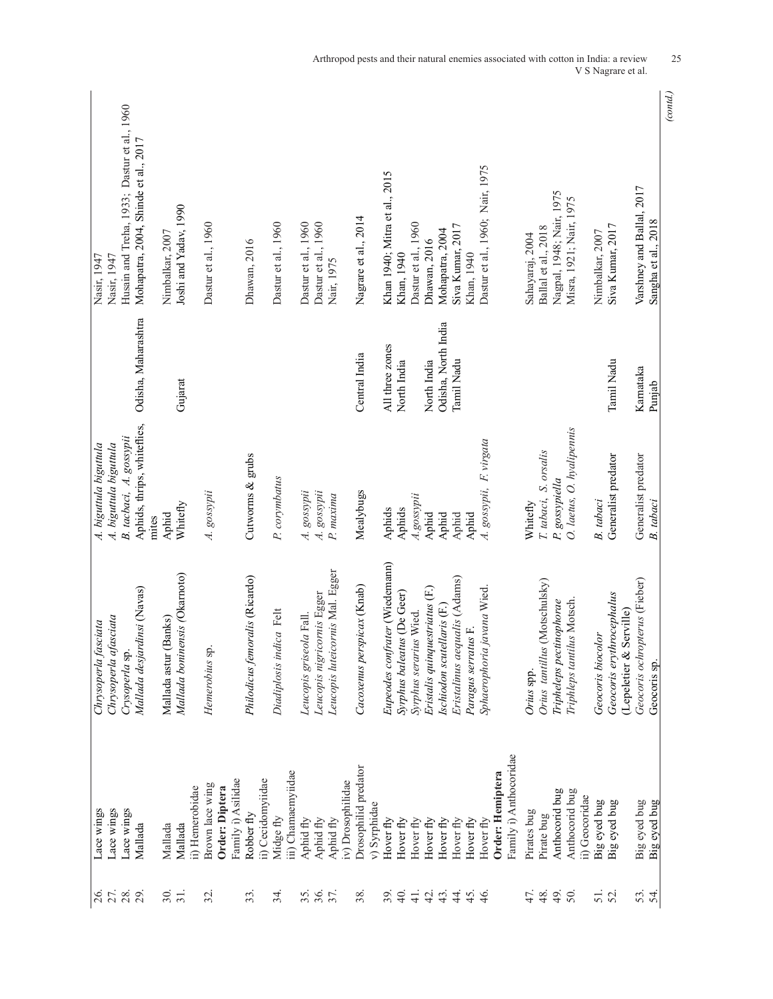| Husain and Treha, 1933; Dastur et al., 1960<br>Mohapatra, 2004, Shinde et al., 2017<br>Dastur et al., 1960; Nair, 1975<br>Khan 1940; Mitra et al., 2015<br>Varshney and Ballal, 2017<br>Nagpal, 1948; Nair, 1975<br>Misra, 1921; Nair, 1975<br>Joshi and Yadav, 1990<br>Nagrare et al., 2014<br>Sangha et al., 2018<br>Dastur et al., 1960<br>Dastur et al., 1960<br>Dastur et al., 1960<br>Dastur et al., 1960<br>Dastur et al., 1960<br>Siva Kumar, 2017<br>Siva Kumar, 2017<br>Ballal et al., 2018<br>Mohapatra, 2004<br>Nimbalkar, 2007<br>Nimbalkar, 2007<br>Sahayaraj, 2004<br>Dhawan, 2016<br>Dhawan, 2016<br>Khan, 1940<br>Khan, 1940<br>Nasir, 1947<br>Nasir, 1947<br>Nair, 1975<br>Odisha, Maharashtra<br>Odisha, North India<br>All three zones<br>Central India<br>Tamil Nadu<br>North India<br>Tamil Nadu<br>North India<br>Karnataka<br>Gujarat<br>Punjab<br>Aphids, thrips, whiteflies,<br>O. laetus, O. hyalipennis<br>B. tacbaci, A. gossypii<br>A. gossypii, F. virgata<br>A. biguttula biguttula<br>4. biguttula biguttula<br>T. tabaci, S. orsalis<br>Generalist predator<br>Cutworms & grubs<br>Generalist predator<br>P. corymbatus<br>P. gossypiella<br>A. gossypii<br>A. gossypii<br>Mealybugs<br>A. gossypii<br>P. maxima<br>A.gossypii<br>B. tabaci<br>B. tabaci<br>Whitefly<br>Whitefly<br>Aphids<br>Aphids<br>Aphid<br>Aphid<br>Aphid<br>Aphid<br>Aphid<br>mites<br>Eupeodes confrater (Wiedemann)<br>Leucopis luteicornis Mal. Egger<br>Mallada boninensis (Okarnoto)<br>Philodicus femoralis (Ricardo)<br>Eristalinus aequalis (Adams)<br>Geocoris ochropterus (Fieber)<br>Orius tantillus (Motschulsky)<br>Cacoxenus perspicax (Knab)<br>Mallada desjardinsi (Navas)<br>Eristalis quinquestriatus (F.)<br>Sphaerophoria javana Wied.<br>Syrphus baleatus (De Geer)<br>Leucopis nigricornis Egger<br>Geocoris erythrocephalus<br>Triphleps tantilus Motsch.<br>Tripheleps pectinophorae<br>Ischiodon scutellaris (F.)<br>Serville)<br>dica Felt<br>Syrphus serarius Wied.<br>Leucopis griseola Fall.<br>Chrysoperla afasciata<br>(Banks)<br>Chrysoperla fasciata<br>Paragus serratus F.<br>Geocoris biocolor<br>Hemerobius sp.<br>Crysoperla sp.<br>Mallada astur<br>Diadiplosis in<br>(Lepeletier &<br>Geocoris sp.<br>Orius spp.<br>ii) Cecidomyiidae<br>Big eyed bug<br>Robber fly<br>Midge fly | (contd.) |  |  |                        |                                           |
|----------------------------------------------------------------------------------------------------------------------------------------------------------------------------------------------------------------------------------------------------------------------------------------------------------------------------------------------------------------------------------------------------------------------------------------------------------------------------------------------------------------------------------------------------------------------------------------------------------------------------------------------------------------------------------------------------------------------------------------------------------------------------------------------------------------------------------------------------------------------------------------------------------------------------------------------------------------------------------------------------------------------------------------------------------------------------------------------------------------------------------------------------------------------------------------------------------------------------------------------------------------------------------------------------------------------------------------------------------------------------------------------------------------------------------------------------------------------------------------------------------------------------------------------------------------------------------------------------------------------------------------------------------------------------------------------------------------------------------------------------------------------------------------------------------------------------------------------------------------------------------------------------------------------------------------------------------------------------------------------------------------------------------------------------------------------------------------------------------------------------------------------------------------------------------------------------------------------------------------------------------------------------------------------------------------------------------|----------|--|--|------------------------|-------------------------------------------|
|                                                                                                                                                                                                                                                                                                                                                                                                                                                                                                                                                                                                                                                                                                                                                                                                                                                                                                                                                                                                                                                                                                                                                                                                                                                                                                                                                                                                                                                                                                                                                                                                                                                                                                                                                                                                                                                                                                                                                                                                                                                                                                                                                                                                                                                                                                                                  |          |  |  | Big eyed bug           | 54.                                       |
|                                                                                                                                                                                                                                                                                                                                                                                                                                                                                                                                                                                                                                                                                                                                                                                                                                                                                                                                                                                                                                                                                                                                                                                                                                                                                                                                                                                                                                                                                                                                                                                                                                                                                                                                                                                                                                                                                                                                                                                                                                                                                                                                                                                                                                                                                                                                  |          |  |  |                        |                                           |
|                                                                                                                                                                                                                                                                                                                                                                                                                                                                                                                                                                                                                                                                                                                                                                                                                                                                                                                                                                                                                                                                                                                                                                                                                                                                                                                                                                                                                                                                                                                                                                                                                                                                                                                                                                                                                                                                                                                                                                                                                                                                                                                                                                                                                                                                                                                                  |          |  |  | Big eyed bug           |                                           |
|                                                                                                                                                                                                                                                                                                                                                                                                                                                                                                                                                                                                                                                                                                                                                                                                                                                                                                                                                                                                                                                                                                                                                                                                                                                                                                                                                                                                                                                                                                                                                                                                                                                                                                                                                                                                                                                                                                                                                                                                                                                                                                                                                                                                                                                                                                                                  |          |  |  | Big eyed bug           | $\frac{5}{2}$                             |
|                                                                                                                                                                                                                                                                                                                                                                                                                                                                                                                                                                                                                                                                                                                                                                                                                                                                                                                                                                                                                                                                                                                                                                                                                                                                                                                                                                                                                                                                                                                                                                                                                                                                                                                                                                                                                                                                                                                                                                                                                                                                                                                                                                                                                                                                                                                                  |          |  |  | ii) Geocoridae         |                                           |
|                                                                                                                                                                                                                                                                                                                                                                                                                                                                                                                                                                                                                                                                                                                                                                                                                                                                                                                                                                                                                                                                                                                                                                                                                                                                                                                                                                                                                                                                                                                                                                                                                                                                                                                                                                                                                                                                                                                                                                                                                                                                                                                                                                                                                                                                                                                                  |          |  |  | Anthocorid bug         | 50.                                       |
|                                                                                                                                                                                                                                                                                                                                                                                                                                                                                                                                                                                                                                                                                                                                                                                                                                                                                                                                                                                                                                                                                                                                                                                                                                                                                                                                                                                                                                                                                                                                                                                                                                                                                                                                                                                                                                                                                                                                                                                                                                                                                                                                                                                                                                                                                                                                  |          |  |  | Anthocorid bug         | 49.                                       |
|                                                                                                                                                                                                                                                                                                                                                                                                                                                                                                                                                                                                                                                                                                                                                                                                                                                                                                                                                                                                                                                                                                                                                                                                                                                                                                                                                                                                                                                                                                                                                                                                                                                                                                                                                                                                                                                                                                                                                                                                                                                                                                                                                                                                                                                                                                                                  |          |  |  | Pirate bug             | 47.                                       |
|                                                                                                                                                                                                                                                                                                                                                                                                                                                                                                                                                                                                                                                                                                                                                                                                                                                                                                                                                                                                                                                                                                                                                                                                                                                                                                                                                                                                                                                                                                                                                                                                                                                                                                                                                                                                                                                                                                                                                                                                                                                                                                                                                                                                                                                                                                                                  |          |  |  | Pirates bug            |                                           |
|                                                                                                                                                                                                                                                                                                                                                                                                                                                                                                                                                                                                                                                                                                                                                                                                                                                                                                                                                                                                                                                                                                                                                                                                                                                                                                                                                                                                                                                                                                                                                                                                                                                                                                                                                                                                                                                                                                                                                                                                                                                                                                                                                                                                                                                                                                                                  |          |  |  | Family i) Anthocoridae |                                           |
|                                                                                                                                                                                                                                                                                                                                                                                                                                                                                                                                                                                                                                                                                                                                                                                                                                                                                                                                                                                                                                                                                                                                                                                                                                                                                                                                                                                                                                                                                                                                                                                                                                                                                                                                                                                                                                                                                                                                                                                                                                                                                                                                                                                                                                                                                                                                  |          |  |  | Order: Hemiptera       |                                           |
|                                                                                                                                                                                                                                                                                                                                                                                                                                                                                                                                                                                                                                                                                                                                                                                                                                                                                                                                                                                                                                                                                                                                                                                                                                                                                                                                                                                                                                                                                                                                                                                                                                                                                                                                                                                                                                                                                                                                                                                                                                                                                                                                                                                                                                                                                                                                  |          |  |  | Hover fly              |                                           |
|                                                                                                                                                                                                                                                                                                                                                                                                                                                                                                                                                                                                                                                                                                                                                                                                                                                                                                                                                                                                                                                                                                                                                                                                                                                                                                                                                                                                                                                                                                                                                                                                                                                                                                                                                                                                                                                                                                                                                                                                                                                                                                                                                                                                                                                                                                                                  |          |  |  | Hover fly              |                                           |
|                                                                                                                                                                                                                                                                                                                                                                                                                                                                                                                                                                                                                                                                                                                                                                                                                                                                                                                                                                                                                                                                                                                                                                                                                                                                                                                                                                                                                                                                                                                                                                                                                                                                                                                                                                                                                                                                                                                                                                                                                                                                                                                                                                                                                                                                                                                                  |          |  |  | Hover fly              |                                           |
|                                                                                                                                                                                                                                                                                                                                                                                                                                                                                                                                                                                                                                                                                                                                                                                                                                                                                                                                                                                                                                                                                                                                                                                                                                                                                                                                                                                                                                                                                                                                                                                                                                                                                                                                                                                                                                                                                                                                                                                                                                                                                                                                                                                                                                                                                                                                  |          |  |  | Hover fly              |                                           |
|                                                                                                                                                                                                                                                                                                                                                                                                                                                                                                                                                                                                                                                                                                                                                                                                                                                                                                                                                                                                                                                                                                                                                                                                                                                                                                                                                                                                                                                                                                                                                                                                                                                                                                                                                                                                                                                                                                                                                                                                                                                                                                                                                                                                                                                                                                                                  |          |  |  | Hover fly              | $\frac{1}{4}$ $\frac{1}{4}$ $\frac{1}{4}$ |
|                                                                                                                                                                                                                                                                                                                                                                                                                                                                                                                                                                                                                                                                                                                                                                                                                                                                                                                                                                                                                                                                                                                                                                                                                                                                                                                                                                                                                                                                                                                                                                                                                                                                                                                                                                                                                                                                                                                                                                                                                                                                                                                                                                                                                                                                                                                                  |          |  |  | Hover fly              |                                           |
|                                                                                                                                                                                                                                                                                                                                                                                                                                                                                                                                                                                                                                                                                                                                                                                                                                                                                                                                                                                                                                                                                                                                                                                                                                                                                                                                                                                                                                                                                                                                                                                                                                                                                                                                                                                                                                                                                                                                                                                                                                                                                                                                                                                                                                                                                                                                  |          |  |  | Hover fly              |                                           |
|                                                                                                                                                                                                                                                                                                                                                                                                                                                                                                                                                                                                                                                                                                                                                                                                                                                                                                                                                                                                                                                                                                                                                                                                                                                                                                                                                                                                                                                                                                                                                                                                                                                                                                                                                                                                                                                                                                                                                                                                                                                                                                                                                                                                                                                                                                                                  |          |  |  | Hover fly              | $\frac{39}{40}$ .                         |
|                                                                                                                                                                                                                                                                                                                                                                                                                                                                                                                                                                                                                                                                                                                                                                                                                                                                                                                                                                                                                                                                                                                                                                                                                                                                                                                                                                                                                                                                                                                                                                                                                                                                                                                                                                                                                                                                                                                                                                                                                                                                                                                                                                                                                                                                                                                                  |          |  |  | v) Syrphidae           |                                           |
|                                                                                                                                                                                                                                                                                                                                                                                                                                                                                                                                                                                                                                                                                                                                                                                                                                                                                                                                                                                                                                                                                                                                                                                                                                                                                                                                                                                                                                                                                                                                                                                                                                                                                                                                                                                                                                                                                                                                                                                                                                                                                                                                                                                                                                                                                                                                  |          |  |  | Drosophilid predator   |                                           |
|                                                                                                                                                                                                                                                                                                                                                                                                                                                                                                                                                                                                                                                                                                                                                                                                                                                                                                                                                                                                                                                                                                                                                                                                                                                                                                                                                                                                                                                                                                                                                                                                                                                                                                                                                                                                                                                                                                                                                                                                                                                                                                                                                                                                                                                                                                                                  |          |  |  | iv) Drosophilidae      |                                           |
|                                                                                                                                                                                                                                                                                                                                                                                                                                                                                                                                                                                                                                                                                                                                                                                                                                                                                                                                                                                                                                                                                                                                                                                                                                                                                                                                                                                                                                                                                                                                                                                                                                                                                                                                                                                                                                                                                                                                                                                                                                                                                                                                                                                                                                                                                                                                  |          |  |  | Aphid fly              |                                           |
|                                                                                                                                                                                                                                                                                                                                                                                                                                                                                                                                                                                                                                                                                                                                                                                                                                                                                                                                                                                                                                                                                                                                                                                                                                                                                                                                                                                                                                                                                                                                                                                                                                                                                                                                                                                                                                                                                                                                                                                                                                                                                                                                                                                                                                                                                                                                  |          |  |  | Aphid fly              | $38 - 5$                                  |
|                                                                                                                                                                                                                                                                                                                                                                                                                                                                                                                                                                                                                                                                                                                                                                                                                                                                                                                                                                                                                                                                                                                                                                                                                                                                                                                                                                                                                                                                                                                                                                                                                                                                                                                                                                                                                                                                                                                                                                                                                                                                                                                                                                                                                                                                                                                                  |          |  |  | Aphid fly              |                                           |
|                                                                                                                                                                                                                                                                                                                                                                                                                                                                                                                                                                                                                                                                                                                                                                                                                                                                                                                                                                                                                                                                                                                                                                                                                                                                                                                                                                                                                                                                                                                                                                                                                                                                                                                                                                                                                                                                                                                                                                                                                                                                                                                                                                                                                                                                                                                                  |          |  |  | iii) Chamaemyiidae     | 34.                                       |
|                                                                                                                                                                                                                                                                                                                                                                                                                                                                                                                                                                                                                                                                                                                                                                                                                                                                                                                                                                                                                                                                                                                                                                                                                                                                                                                                                                                                                                                                                                                                                                                                                                                                                                                                                                                                                                                                                                                                                                                                                                                                                                                                                                                                                                                                                                                                  |          |  |  |                        |                                           |
|                                                                                                                                                                                                                                                                                                                                                                                                                                                                                                                                                                                                                                                                                                                                                                                                                                                                                                                                                                                                                                                                                                                                                                                                                                                                                                                                                                                                                                                                                                                                                                                                                                                                                                                                                                                                                                                                                                                                                                                                                                                                                                                                                                                                                                                                                                                                  |          |  |  |                        |                                           |
|                                                                                                                                                                                                                                                                                                                                                                                                                                                                                                                                                                                                                                                                                                                                                                                                                                                                                                                                                                                                                                                                                                                                                                                                                                                                                                                                                                                                                                                                                                                                                                                                                                                                                                                                                                                                                                                                                                                                                                                                                                                                                                                                                                                                                                                                                                                                  |          |  |  | Family i) Asilidae     |                                           |
|                                                                                                                                                                                                                                                                                                                                                                                                                                                                                                                                                                                                                                                                                                                                                                                                                                                                                                                                                                                                                                                                                                                                                                                                                                                                                                                                                                                                                                                                                                                                                                                                                                                                                                                                                                                                                                                                                                                                                                                                                                                                                                                                                                                                                                                                                                                                  |          |  |  | Order: Diptera         |                                           |
|                                                                                                                                                                                                                                                                                                                                                                                                                                                                                                                                                                                                                                                                                                                                                                                                                                                                                                                                                                                                                                                                                                                                                                                                                                                                                                                                                                                                                                                                                                                                                                                                                                                                                                                                                                                                                                                                                                                                                                                                                                                                                                                                                                                                                                                                                                                                  |          |  |  | Brown lace wing        |                                           |
|                                                                                                                                                                                                                                                                                                                                                                                                                                                                                                                                                                                                                                                                                                                                                                                                                                                                                                                                                                                                                                                                                                                                                                                                                                                                                                                                                                                                                                                                                                                                                                                                                                                                                                                                                                                                                                                                                                                                                                                                                                                                                                                                                                                                                                                                                                                                  |          |  |  | ii) Hemerobidae        |                                           |
|                                                                                                                                                                                                                                                                                                                                                                                                                                                                                                                                                                                                                                                                                                                                                                                                                                                                                                                                                                                                                                                                                                                                                                                                                                                                                                                                                                                                                                                                                                                                                                                                                                                                                                                                                                                                                                                                                                                                                                                                                                                                                                                                                                                                                                                                                                                                  |          |  |  | Mallada                |                                           |
|                                                                                                                                                                                                                                                                                                                                                                                                                                                                                                                                                                                                                                                                                                                                                                                                                                                                                                                                                                                                                                                                                                                                                                                                                                                                                                                                                                                                                                                                                                                                                                                                                                                                                                                                                                                                                                                                                                                                                                                                                                                                                                                                                                                                                                                                                                                                  |          |  |  | Mallada                | $\frac{30}{31}$ .                         |
|                                                                                                                                                                                                                                                                                                                                                                                                                                                                                                                                                                                                                                                                                                                                                                                                                                                                                                                                                                                                                                                                                                                                                                                                                                                                                                                                                                                                                                                                                                                                                                                                                                                                                                                                                                                                                                                                                                                                                                                                                                                                                                                                                                                                                                                                                                                                  |          |  |  | Mallada                |                                           |
|                                                                                                                                                                                                                                                                                                                                                                                                                                                                                                                                                                                                                                                                                                                                                                                                                                                                                                                                                                                                                                                                                                                                                                                                                                                                                                                                                                                                                                                                                                                                                                                                                                                                                                                                                                                                                                                                                                                                                                                                                                                                                                                                                                                                                                                                                                                                  |          |  |  | Lace wings             |                                           |
|                                                                                                                                                                                                                                                                                                                                                                                                                                                                                                                                                                                                                                                                                                                                                                                                                                                                                                                                                                                                                                                                                                                                                                                                                                                                                                                                                                                                                                                                                                                                                                                                                                                                                                                                                                                                                                                                                                                                                                                                                                                                                                                                                                                                                                                                                                                                  |          |  |  | Lace wings             | 27.<br>28.                                |
|                                                                                                                                                                                                                                                                                                                                                                                                                                                                                                                                                                                                                                                                                                                                                                                                                                                                                                                                                                                                                                                                                                                                                                                                                                                                                                                                                                                                                                                                                                                                                                                                                                                                                                                                                                                                                                                                                                                                                                                                                                                                                                                                                                                                                                                                                                                                  |          |  |  | Lace wings             | 26.                                       |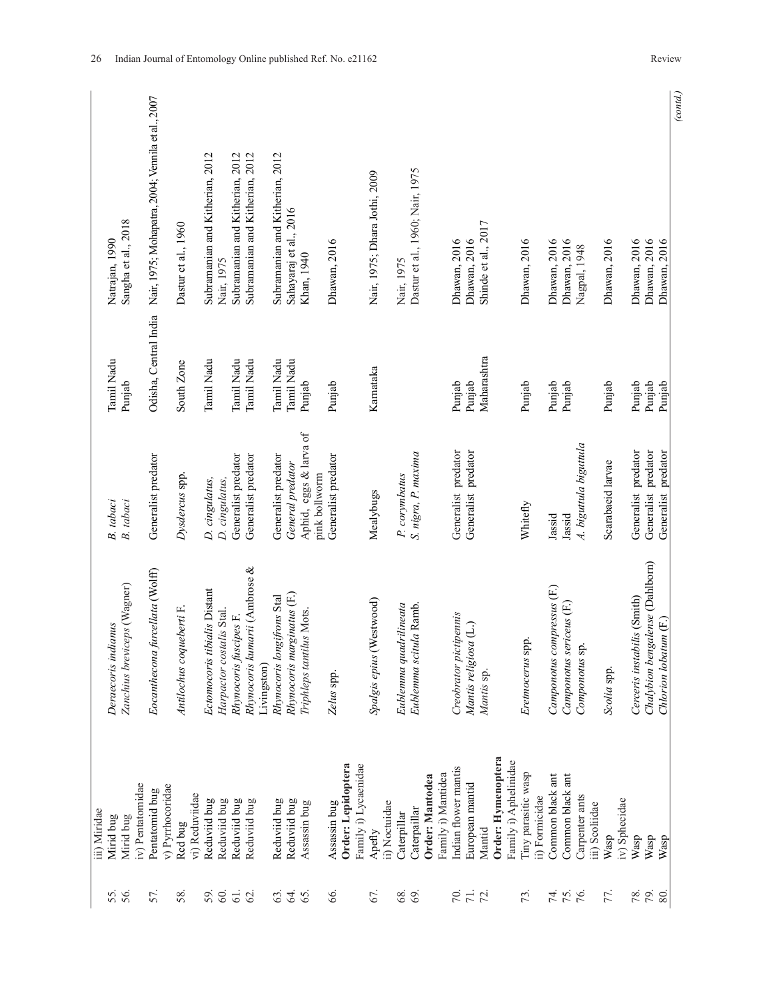|                             | iii) Miridae          |                                 |                        |                       |                                                   |
|-----------------------------|-----------------------|---------------------------------|------------------------|-----------------------|---------------------------------------------------|
| 55.                         | Mirid bug             | Deraecoris indianus             | B. tabaci              | Tamil Nadu            | Natrajan, 1990                                    |
|                             | Mirid bug             | Zanchius breviceps (Wagner)     | B. tabaci              | Punjab                | Sangha et al., 2018                               |
|                             | iv) Pentatomidae      |                                 |                        |                       |                                                   |
| 57.                         | Pentatomid bug        | Eocanthecona furcellata (Wolff) | Generalist predator    | Odisha, Central India | Nair, 1975; Mohapatra, 2004; Vennila et al., 2007 |
|                             | v) Pyrrhocoridae      |                                 |                        |                       |                                                   |
| 58.                         | Red bug               | Antilochus coqueberti F.        | Dysdercus spp.         | South Zone            | Dastur et al., 1960                               |
|                             | vi) Reduviidae        |                                 |                        |                       |                                                   |
| 59.                         | Reduviid bug          | Ectomocoris tibialis Distant    | D. cingulatus,         | Tamil Nadu            | Subramanian and Kitherian, 2012                   |
| 60.                         | Reduviid bug          | Harpactor costalis Stal.        | D. cingulatus,         |                       | Nair, 1975                                        |
| $\overline{6}$              | Reduviid bug          | Rhynocoris fuscipes F.          | Generalist predator    | Tamil Nadu            | Subramanian and Kitherian, 2012                   |
| $\mathcal{O}$               | Reduviid bug          | Rhynocoris kumarii (Ambrose &   | Generalist predator    | Tamil Nadu            | Subramanian and Kitherian, 2012                   |
|                             |                       | Livingston)                     |                        |                       |                                                   |
| 63.                         | Reduviid bug          | Rhynocoris longifrons Stal      | Generalist predator    | Tamil Nadu            | Subramanian and Kitherian, 2012                   |
| Z.                          | Reduviid bug          | Rhynocoris marginatus (F.)      | General predator       | Tamil Nadu            | Sahayaraj et al., 2016                            |
| 65.                         | Assassin bug          | Triphleps tantilus Mots.        | Aphid, eggs & larva of | Punjab                | Khan, 1940                                        |
|                             |                       |                                 | pink bollworm          |                       |                                                   |
| 66.                         | Assassin bug          | Zelus spp.                      | Generalist predator    | Punjab                | Dhawan, 2016                                      |
|                             | Order: Lepidoptera    |                                 |                        |                       |                                                   |
|                             | Family i) Lycaenidae  |                                 |                        |                       |                                                   |
| 67.                         | Apefly                | Spalgis epius (Westwood)        | Mealybugs              | Karnataka             | Nair, 1975; Dhara Jothi, 2009                     |
|                             | ii) Noctuidae         |                                 |                        |                       |                                                   |
| 68.                         | Caterpillar           | Eublemma quadrilineata          | P. corymbatus          |                       | Nair, 1975                                        |
| 69                          | Caterpaillar          | Eublemma scitula Ramb.          | S. nigra, P. maxima    |                       | Dastur et al., 1960; Nair, 1975                   |
|                             | Order: Mantodea       |                                 |                        |                       |                                                   |
|                             | Family i) Mantidea    |                                 |                        |                       |                                                   |
|                             |                       |                                 |                        |                       |                                                   |
|                             | Indian flower mantis  | Creobrator pictipennis          | Generalist predator    | Punjab                | Dhawan, 2016                                      |
| $\frac{1}{2}$ $\frac{1}{2}$ | European mantid       | Mantis religiosa (L.)           | Generalist predator    | Punjab                | Dhawan, 2016                                      |
|                             | Mantid                | Mantis sp.                      |                        | Maharashtra           | Shinde et al., 2017                               |
|                             | Order: Hymenoptera    |                                 |                        |                       |                                                   |
|                             | Family i) Aphelinidae |                                 |                        |                       |                                                   |
| 73.                         | Tiny parasitic wasp   | Eretmocerus spp.                | Whitefly               | Punjab                | Dhawan, 2016                                      |
|                             | ii) Formicidae        |                                 |                        |                       |                                                   |
|                             | Common black ant      | Camponotus compressus (F.)      | Jassid                 | Punjab                | Dhawan, 2016                                      |
| 75.6                        | Common black ant      | Camponotus sericeus (F.)        | Jassid                 | Punjab                | Dhawan, 2016                                      |
|                             | Carpenter ants        | Componotus sp.                  | A. biguttula biguttula |                       | Nagpal, 1948                                      |
|                             | iii) Scoliidae        |                                 |                        |                       |                                                   |
| 77.                         | Wasp                  | Scolia spp.                     | Scarabaeid larvae      | Punjab                | Dhawan, 2016                                      |
|                             | iv) Sphecidae         |                                 |                        |                       |                                                   |
| 78.                         | Wasp                  | Cerceris instabilis (Smith)     | Generalist predator    | Punjab                | Dhawan, 2016                                      |
|                             | Wasp                  | Chalybion bengalense (Dahlborn) | Generalist predator    | Punjab                | Dhawan, 2016                                      |
| 80.                         | Wasp                  | Chlorion lobatum (F.)           | Generalist predator    | Punjab                | Dhawan, 2016                                      |
|                             |                       |                                 |                        |                       | (contd.)                                          |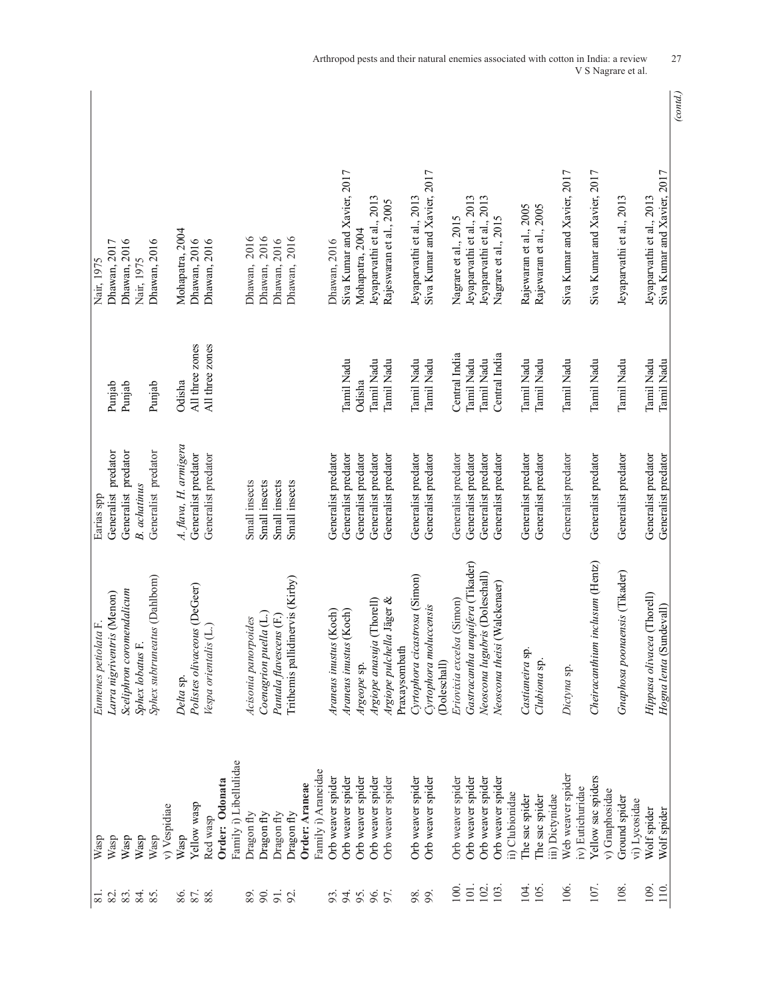| Family i) Libellulidae<br>Family i) Araneidae<br>Orb weaver spider<br>Order: Odonata<br>Order: Araneae<br>Yellow wasp<br>v) Vespidiae<br>Dragon fly<br>Dragon fly<br>Dragon fly<br>Dragon fly<br>Red wasp<br>Wasp<br>Wasp<br>Wasp<br>$\ensuremath{\mathsf{W}\xspace}\xspace$ asp<br>Wasp<br>Wasp<br>84.<br>82.<br>83.<br>85.<br>$\overline{\infty}$ | Sceliphron coromendalicum<br>Larra nigriventris (Menon)<br>Eumenes petiolata F.<br>Sphex lobatus F. | Generalist predator<br>Earias spp          | Punjab<br>Punjab         | Dhawan, 2016<br>Dhawan, 2017<br>Nair, 1975               |          |
|-----------------------------------------------------------------------------------------------------------------------------------------------------------------------------------------------------------------------------------------------------------------------------------------------------------------------------------------------------|-----------------------------------------------------------------------------------------------------|--------------------------------------------|--------------------------|----------------------------------------------------------|----------|
|                                                                                                                                                                                                                                                                                                                                                     |                                                                                                     |                                            |                          |                                                          |          |
|                                                                                                                                                                                                                                                                                                                                                     |                                                                                                     |                                            |                          |                                                          |          |
|                                                                                                                                                                                                                                                                                                                                                     |                                                                                                     | Generalist predator                        |                          |                                                          |          |
|                                                                                                                                                                                                                                                                                                                                                     |                                                                                                     | <b>B.</b> achatinus                        |                          | Nair, 1975                                               |          |
|                                                                                                                                                                                                                                                                                                                                                     | Sphex subtruneatus (Dahlbom)                                                                        | Generalist predator                        | Punjab                   | Dhawan, 2016                                             |          |
| 86.                                                                                                                                                                                                                                                                                                                                                 |                                                                                                     |                                            |                          |                                                          |          |
|                                                                                                                                                                                                                                                                                                                                                     | Delta sp.                                                                                           | A. flava, H. armigera                      | Odisha                   | Mohapatra, 2004                                          |          |
| 88.                                                                                                                                                                                                                                                                                                                                                 | Polistes olivaceous (DeGeer)                                                                        | Generalist predator                        | All three zones          | Dhawan, 2016                                             |          |
|                                                                                                                                                                                                                                                                                                                                                     | Vespa orientalis (L.)                                                                               | Generalist predator                        | All three zones          | Dhawan, 2016                                             |          |
| 89.                                                                                                                                                                                                                                                                                                                                                 |                                                                                                     |                                            |                          |                                                          |          |
|                                                                                                                                                                                                                                                                                                                                                     |                                                                                                     |                                            |                          |                                                          |          |
| 90.<br>$\overline{5}$<br>93.<br>92.                                                                                                                                                                                                                                                                                                                 | Acisonia panorpoides                                                                                | Small insects                              |                          | Dhawan, 2016                                             |          |
|                                                                                                                                                                                                                                                                                                                                                     | Coenagrion puella (L.)                                                                              | Small insects                              |                          | Dhawan, 2016                                             |          |
|                                                                                                                                                                                                                                                                                                                                                     | Pantala flavescens (F.)                                                                             | Small insects                              |                          | Dhawan, 2016                                             |          |
|                                                                                                                                                                                                                                                                                                                                                     | Trithemis pallidinervis (Kirby)                                                                     | Small insects                              |                          | Dhawan, 2016                                             |          |
|                                                                                                                                                                                                                                                                                                                                                     |                                                                                                     |                                            |                          |                                                          |          |
|                                                                                                                                                                                                                                                                                                                                                     |                                                                                                     |                                            |                          |                                                          |          |
|                                                                                                                                                                                                                                                                                                                                                     | Araneus inustus (Koch)                                                                              | Generalist predator                        |                          | Dhawan, 2016                                             |          |
| Orb weaver spider<br>94.                                                                                                                                                                                                                                                                                                                            | Araneus inustus (Koch)                                                                              | Generalist predator                        | Tamil Nadu               | Siva Kumar and Xavier, 2017                              |          |
| Orb weaver spider<br>95.                                                                                                                                                                                                                                                                                                                            | Argeope sp.                                                                                         | Generalist predator                        | Odisha                   | Mohapatra, 2004                                          |          |
| Orb weaver spider<br>96.                                                                                                                                                                                                                                                                                                                            | Argiope anasuja (Thorell)                                                                           | Generalist predator                        | Tamil Nadu               | Jeyaparvathi et al., 2013                                |          |
| Orb weaver spider<br>97.                                                                                                                                                                                                                                                                                                                            | Argiope pulchella Jäger &                                                                           | Generalist predator                        | Tamil Nadu               | Rajeswaran et al., 2005                                  |          |
|                                                                                                                                                                                                                                                                                                                                                     | Praxaysombath                                                                                       |                                            |                          |                                                          |          |
| Orb weaver spider<br>98.                                                                                                                                                                                                                                                                                                                            | Cyrtophora cicastrosa (Simon)                                                                       | Generalist predator                        | Tamil Nadu               | Jeyaparvathi et al., 2013                                |          |
| Orb weaver spider<br>99.                                                                                                                                                                                                                                                                                                                            | Cyrtophora moluccensis<br>(Doleschall)                                                              | Generalist predator                        | Tamil Nadu               | Siva Kumar and Xavier, 2017                              |          |
| Orb weaver spider<br>100                                                                                                                                                                                                                                                                                                                            | Eriovixia excelsa (Simon)                                                                           | Generalist predator                        | Central India            | Nagrare et al., 2015                                     |          |
| Orb weaver spider<br>$101$ .                                                                                                                                                                                                                                                                                                                        | Gastracantha unquifera (Tikader)                                                                    | Generalist predator                        | Tamil Nadu               | Jeyaparvathi et al., 2013                                |          |
| Orb weaver spider<br>102                                                                                                                                                                                                                                                                                                                            | Neoscona lugubris (Doleschall)                                                                      | Generalist predator                        | Tamil Nadu               | Jeyaparvathi et al., 2013                                |          |
| Orb weaver spider<br>103                                                                                                                                                                                                                                                                                                                            | Neoscona theisi (Walckenaer)                                                                        | Generalist predator                        | Central India            | Nagrare et al., 2015                                     |          |
| ii) Clubionidae                                                                                                                                                                                                                                                                                                                                     |                                                                                                     |                                            |                          |                                                          |          |
| The sac spider<br>104.                                                                                                                                                                                                                                                                                                                              | Castianeira sp.                                                                                     | Generalist predator                        | Tamil Nadu               | Rajewaran et al., 2005                                   |          |
| The sac spider<br>105                                                                                                                                                                                                                                                                                                                               | Clubiona sp.                                                                                        | Generalist predator                        | Tamil Nadu               | Rajewaran et al., 2005                                   |          |
| iii) Dictynidae                                                                                                                                                                                                                                                                                                                                     |                                                                                                     |                                            |                          |                                                          |          |
| Web weaver spider<br>106.                                                                                                                                                                                                                                                                                                                           | Dictyna sp.                                                                                         | Generalist predator                        | Tamil Nadu               | Siva Kumar and Xavier, 2017                              |          |
| iv) Eutichuridae                                                                                                                                                                                                                                                                                                                                    |                                                                                                     |                                            |                          |                                                          |          |
| Yellow sac spiders<br>107.                                                                                                                                                                                                                                                                                                                          | Cheiracanthium inclusum (Hentz)                                                                     | Generalist predator                        | Tamil Nadu               | Siva Kumar and Xavier, 2017                              |          |
| v) Gnaphosidae                                                                                                                                                                                                                                                                                                                                      |                                                                                                     |                                            |                          |                                                          |          |
| Ground spider<br>108                                                                                                                                                                                                                                                                                                                                | naensis (Tikader)<br>Gnaphosa poor                                                                  | Generalist predator                        | Tamil Nadu               | Jeyaparvathi et al., 2013                                |          |
| vi) Lycosidae<br>109                                                                                                                                                                                                                                                                                                                                |                                                                                                     |                                            |                          |                                                          |          |
| Wolf spider<br>Wolf spider<br>$110$ .                                                                                                                                                                                                                                                                                                               | Hippasa olivacea (Thorell)<br>Hogna lenta (Sundevall)                                               | Generalist predator<br>Generalist predator | Tamil Nadu<br>Tamil Nadu | Siva Kumar and Xavier, 2017<br>Jeyaparvathi et al., 2013 |          |
|                                                                                                                                                                                                                                                                                                                                                     |                                                                                                     |                                            |                          |                                                          | (contd.) |

Arthropod pests and their natural enemies associated with cotton in India: a review 27 V S Nagrare et al.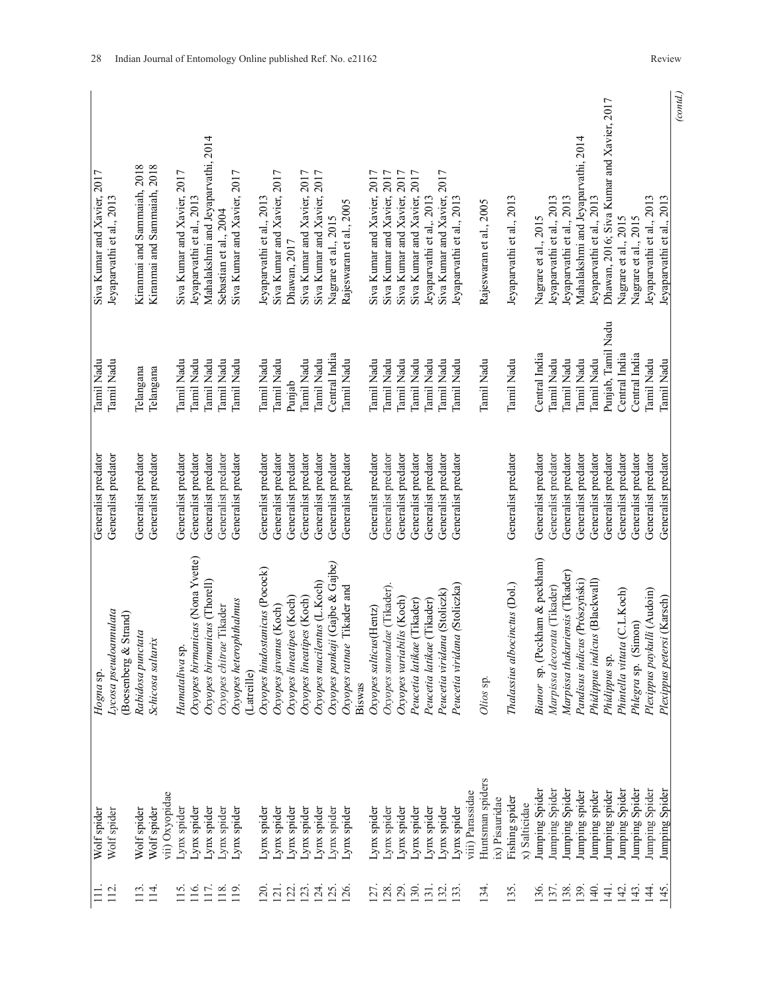| $\equiv$          | Wolf spider      | Hogna sp.                        | Generalist predator | Tamil Nadu         | Siva Kumar and Xavier, 2017               |
|-------------------|------------------|----------------------------------|---------------------|--------------------|-------------------------------------------|
| 112               | Wolf spider      | Lycosa pseudoannulata            | Generalist predator | Tamil Nadu         | Jeyaparvathi et al., 2013                 |
|                   |                  | (Boesenberg & Strand)            |                     |                    |                                           |
| 113.              | Wolf spider      | Rabidosa punctata                | Generalist predator | Telangana          | Kiranmai and Sammaiah, 2018               |
| $\overline{14}$   | Wolf spider      | Schicosa saltarix                | Generalist predator | Telangana          | Kiranmai and Sammaiah, 2018               |
|                   | vii) Oxyopidae   |                                  |                     |                    |                                           |
| 115               | Lynx spider      | Hamataliwa sp.                   | Generalist predator | Tamil Nadu         | Siva Kumar and Xavier, 2017               |
| 116.              | Lynx spider      | Oxyopes birmanicus (Nona Yvette) | Generalist predator | Tamil Nadu         | Jeyaparvathi et al., 2013                 |
| 117.              | Lynx spider      | Oxyopes birmanicus (Thorell)     | Generalist predator | Tamil Nadu         | Mahalakshmi and Jeyaparvathi, 2014        |
| $118$ .           | Lynx spider      | Oxyopes chitrae Tikader          | Generalist predator | Tamil Nadu         | Sebastian et al., 2004                    |
| 119               | Lynx spider      | Oxyopes heterophthalmus          | Generalist predator | Tamil Nadu         | Siva Kumar and Xavier, 2017               |
|                   |                  | (Latreille)                      |                     |                    |                                           |
| 20                | Lynx spider      | Oxyopes hindostanicus (Pocock)   | Generalist predator | Tamil Nadu         | Jeyaparvathi et al., 2013                 |
| $\overline{21}$   | Lynx spider      | Oxyopes javanus (Koch)           | Generalist predator | Tamil Nadu         | Siva Kumar and Xavier, 2017               |
| 22.               | Lynx spider      | Oxyopes lineatipes (Koch)        | Generalist predator | Punjab             | Dhawan, 2017                              |
| 123.              | Lynx spider      | Oxyopes lineatipes (Koch)        | Generalist predator | Tamil Nadu         | Siva Kumar and Xavier, 2017               |
| $\overline{24}$   | Lynx spider      | Oxyopes macilentus (L.Koch)      | Generalist predator | Tamil Nadu         | Siva Kumar and Xavier, 2017               |
| $\overline{25}$   | Lynx spider      | Oxyopes pankaji (Gajbe & Gajbe)  | Generalist predator | Central India      | Nagrare et al., 2015                      |
| 26                | Lynx spider      | Oxyopes ratnae Tikader and       | Generalist predator | Tamil Nadu         | Rajeswaran et al., 2005                   |
|                   |                  | Biswas                           |                     |                    |                                           |
| 27.               | Lynx spider      | Oxyopes salticus (Hentz)         | Generalist predator | Tamil Nadu         | Siva Kumar and Xavier, 2017               |
| <b>28</b>         | Lynx spider      | Oxyopes sunandae (Tikader)       | Generalist predator | Tamil Nadu         | Siva Kumar and Xavier, 2017               |
| <b>29.</b>        | Lynx spider      | Oxyopes variabilis (Koch)        | Generalist predator | Tamil Nadu         | Siva Kumar and Xavier, 2017               |
| 130.              | Lynx spider      | Peucetia latikae (Tikader)       | Generalist predator | Tamil Nadu         | Siva Kumar and Xavier, 2017               |
| $\overline{31}$ . | Lynx spider      | Peucetia latikae (Tikader)       | Generalist predator | Tamil Nadu         | Jeyaparvathi et al,. 2013                 |
| 32                |                  | Peucetia viridana (Stoliczk)     | Generalist predator | <b>Tamil Nadu</b>  | Siva Kumar and Xavier, 2017               |
|                   | Lynx spider      |                                  |                     |                    |                                           |
| 33                | Lynx spider      | Peucetia viridana (Stoliczka)    | Generalist predator | Tamil Nadu         | Jeyaparvathi et al., 2013                 |
|                   | viii) Parassidae |                                  |                     |                    |                                           |
| 134               | Huntsman spiders | Olios sp.                        |                     | Tamil Nadu         | Rajeswaran et al., 2005                   |
|                   | $(x)$ Pisauridae |                                  |                     |                    |                                           |
| 135               | Fishing spider   | Thalassius albocinctus (Dol.)    | Generalist predator | Tamil Nadu         | Jeyaparvathi et al., 2013                 |
|                   | x) Salticidae    |                                  |                     |                    |                                           |
| .36               | Jumping Spider   | Bianor sp. (Peckham & peckham)   | Generalist predator | Central India      | Nagrare et al., 2015                      |
| 137.              | Jumping Spider   | Marpissa decorata (Tikader)      | Generalist predator | Tamil Nadu         | Jeyaparvathi et al., 2013                 |
| 138.              | Jumping Spider   | Marpissa thakuriensis (Tikader)  | Generalist predator | Tamil Nadu         | Jeyaparvathi et al., 2013                 |
| 139.              | Jumping spider   | Pandisus indicus (Prószyński)    | Generalist predator | Tamil Nadu         | Mahalakshmi and Jeyaparvathi, 2014        |
| 140               | lumping spider   | Phidippus indicus (Blackwall)    | Generalist predator | Tamil Nadu         | Jeyaparvathi et al., 2013                 |
| $\frac{14}{1}$    | Jumping spider   | Phidippus sp.                    | Generalist predator | Punjab, Tamil Nadu | Dhawan, 2016; Siva Kumar and Xavier, 2017 |
| 142.              | Jumping Spider   | Phintella vittata (C.L.Koch)     | Generalist predator | Central India      | Nagrare et al., 2015                      |
| 143.              | Jumping Spider   | Phlegra sp. (Simon)              | Generalist predator | Central India      | Nagrare et al., 2015                      |
| $\frac{44}{3}$    | lumping Spider   | Plexippus paykulli (Audoin)      | Generalist predator | Tamil Nadu         | Jeyaparvathi et al., 2013                 |
| 145.              | Jumping Spider   | Plexippus petersi (Karsch)       | Generalist predator | Tamil Nadu         | Jeyaparvathi et al., 2013                 |
|                   |                  |                                  |                     |                    | (cond.)                                   |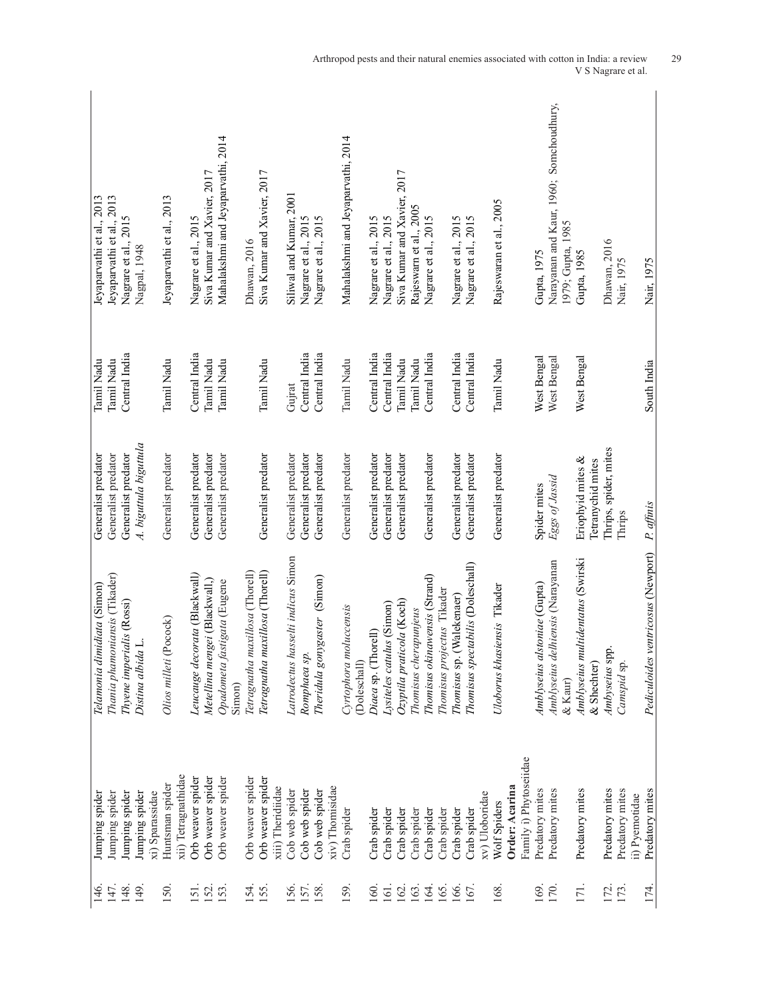| 146.            | Jumping spider                         | Telamonia dimidiata (Simon)                      | Generalist predator                    | Tamil Nadu    | Jeyaparvathi et al., 2013               |
|-----------------|----------------------------------------|--------------------------------------------------|----------------------------------------|---------------|-----------------------------------------|
| 147.            | Jumping spider                         | Thania phamoniansis (Tikader)                    | Generalist predator                    | Tamil Nadu    | Jeyaparvathi et al., 2013               |
| 148.            | Jumping spider                         | Thyene imperialis (Rossi)                        | Generalist predator                    | Central India | Nagrare et al., 2015                    |
| 149             | Jumping spider                         | Distina albida L.                                | A. biguttula biguttula                 |               | Nagpal, 1948                            |
|                 | xi) Sparassidae                        |                                                  |                                        |               |                                         |
| [50]            | Huntsman spider                        | Olios milleti (Pocock)                           | Generalist predator                    | Tamil Nadu    | Jeyaparvathi et al., 2013               |
|                 | xii) Tetragnathidae                    |                                                  |                                        |               |                                         |
| $\overline{5}$  | Orb weaver spider                      | Leucauge decorata (Blackwall)                    | Generalist predator                    | Central India | Nagrare et al., 2015                    |
| 152.            | Orb weaver spider                      | Metellina mengei (Blackwall,)                    | Generalist predator                    | Tamil Nadu    | Siva Kumar and Xavier, 2017             |
| <b>153</b>      | Orb weaver spider                      | Opadometa fastigata (Eugene                      | Generalist predator                    | Tamil Nadu    | Mahalakshmi and Jeyaparvathi, 2014      |
|                 |                                        | Simon)                                           |                                        |               |                                         |
| 154.            | Orb weaver spider                      | Tetragnatha maxillosa (Thorell)                  |                                        |               | Dhawan, 2016                            |
| I <sub>55</sub> | Orb weaver spider<br>xiii) Theridiidae | Tetragnatha maxillosa (Thorell)                  | Generalist predator                    | Tamil Nadu    | Siva Kumar and Xavier, 2017             |
|                 |                                        |                                                  |                                        |               |                                         |
| 156.            | Cob web spider                         | Latrodectus hasselti indicus Simon               | Generalist predator                    | Gujrat        | Siliwal and Kumar, 2001                 |
| 157.            | Cob web spider                         | Romphaea sp.                                     | Generalist predator                    | Central India | Nagrare et al., 2015                    |
| <b>58</b>       | Cob web spider                         | gaster (Simon)<br>Theridula gony                 | Generalist predator                    | Central India | Nagrare et al., 2015                    |
|                 | xiv) Thomisidae                        |                                                  |                                        |               |                                         |
| I <sub>59</sub> | Crab spider                            | Cyrtophora moluccensis                           | Generalist predator                    | Tamil Nadu    | Mahalakshmi and Jeyaparvathi, 2014      |
|                 |                                        | (Doleschall)                                     |                                        |               |                                         |
| $\overline{60}$ | Crab spider                            | Diaea sp. (Thorell)                              | Generalist predator                    | Central India | Nagrare et al., 2015                    |
| $\overline{6}$  | Crab spider                            | Lysiteles catulus (Simon)                        | Generalist predator                    | Central India | Nagrare et al., 2015                    |
| 162.            | Crab spider                            | Ozyptila praticola (Koch)                        | Generalist predator                    | Tamil Nadu    | Siva Kumar and Xavier, 2017             |
| 163.            | Crab spider                            | Thomisus cherapunjeus                            |                                        | Tamil Nadu    | Rajeswarn et al., 2005                  |
| 164.            | Crab spider                            | Thomisus okinawensis (Strand)                    | Generalist predator                    | Central India | Nagrare et al., 2015                    |
| 165.            | Crab spider                            | Thomisus projectus Tikader                       |                                        |               |                                         |
| 166.            | Crab spider                            | Thomisus sp. (Walekenaer)                        | Generalist predator                    | Central India | Nagrare et al., 2015                    |
| 167             | Crab spider                            | Thomisus spectabilis (Doleschall)                | Generalist predator                    | Central India | Nagrare et al., 2015                    |
|                 | xv) Uloboridae                         |                                                  |                                        |               |                                         |
| 168.            | Wolf Spiders                           | Uloborus khasiensis Tikader                      | Generalist predator                    | Tamil Nadu    | Rajeswaran et al., 2005                 |
|                 | Order: Acarina                         |                                                  |                                        |               |                                         |
|                 | Family i) Phytoseiidae                 |                                                  |                                        |               |                                         |
| 169             | Predatory mites                        | Amblyseius alstoniae (Gupta)                     | Spider mites                           | West Bengal   | Gupta, 1975                             |
| 170             | Predatory mites                        | Amblyseius delhiensis (Narayanan                 | Eggs of Jassid                         | West Bengal   | Narayanan and Kaur, 1960; Somchoudhury, |
|                 |                                        | & Kaur)                                          |                                        |               | 1979; Gupta, 1985                       |
| 171.            | Predatory mites                        | Amblyseius multidentatus (Swirski<br>& Shechter) | Eriophyid mites &<br>Tetranychid mites | West Bengal   | Gupta, 1985                             |
|                 |                                        |                                                  |                                        |               |                                         |
| 172.            | Predatory mites                        | Ambyseius spp                                    | Thrips, spider, mites                  |               | Dhawan, 2016                            |
| 173.            | Predatory mites                        | Camspid sp.                                      | Thrips                                 |               | Nair, 1975                              |
|                 | ii) Pyemotidae                         |                                                  |                                        |               |                                         |
| 174.            | Predatory mites                        | Pediculoides ventricosus (Newport)               | P. affinis                             | South India   | Nair, 1975                              |

Arthropod pests and their natural enemies associated with cotton in India: a review 29 V S Nagrare et al.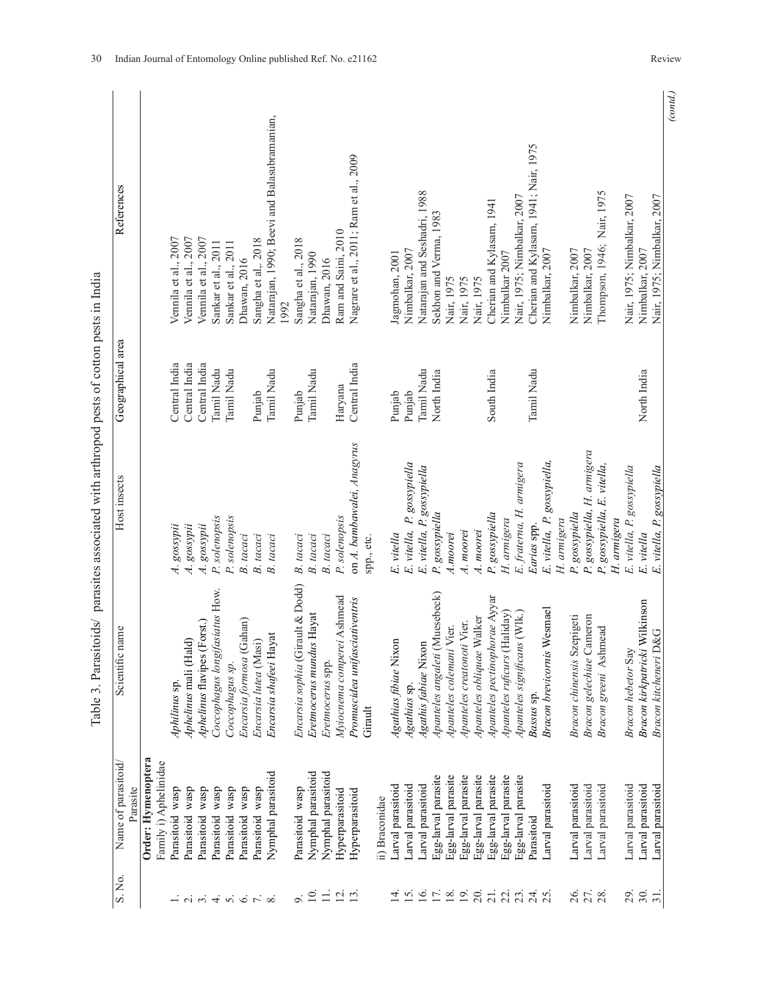|        | 4                          |
|--------|----------------------------|
|        | $t$ case $\sim t$          |
|        |                            |
|        | l                          |
|        | こく くそくく くくくくくく<br>I        |
|        | ٔ,                         |
|        | ı                          |
|        | くうくさく                      |
|        | l<br>ית היית הי<br>ł       |
| ļ      | I<br>į<br>Ī<br>ï<br>5.0424 |
| ۔<br>F | ֧֚֬<br>I                   |

| References                      |                                             | Vennila et al., 2007 | Vennila et al., 2007                                              |                             | Vennila et al., 2007 | Sankar et al., 2011            | Sankar et al., 2011 | Dhawan, 2016                | Sangha et al,. 2018   | Natarajan, 1990; Beevi and Balasubramanian,<br>1992 | Sangha et al., 2018              | Natarajan, 1990          | Dhawan, 2016       | Ram and Saini, 2010        | Nagrare et al., 2011; Ram et al., 2009    |                | Jagmohan, 2001        | Nimbalkar, 2007            | Natarajan and Seshadri, 1988 | Sekhon and Verma, 1983         | Nair, 1975               | Nair, 1975                 | Nair, 1975                | Cherian and Kylasam, 1941     | Nimbalkar 2007               | Nair, 1975; Nimbalkar, 2007  | Cherian and Kylasam, 1941; Nair, 1975 | Nimbalkar, 2007             |             | Nimbalkar, 2007            | Nimbalkar, 2007                | Thompson, 1946; Nair, 1975     |             | Nair, 1975; Nimbalkar, 2007 | Nimbalkar, 2007               | Nair, 1975; Nimbalkar, 2007     |
|---------------------------------|---------------------------------------------|----------------------|-------------------------------------------------------------------|-----------------------------|----------------------|--------------------------------|---------------------|-----------------------------|-----------------------|-----------------------------------------------------|----------------------------------|--------------------------|--------------------|----------------------------|-------------------------------------------|----------------|-----------------------|----------------------------|------------------------------|--------------------------------|--------------------------|----------------------------|---------------------------|-------------------------------|------------------------------|------------------------------|---------------------------------------|-----------------------------|-------------|----------------------------|--------------------------------|--------------------------------|-------------|-----------------------------|-------------------------------|---------------------------------|
| Geographical area               |                                             | Central India        | Central India                                                     | Central India               |                      | Tamil Nadu                     | Tamil Nadu          |                             | Punjab                | Tamil Nadu                                          | Punjab                           | Tamil Nadu               |                    | Haryana                    | Central India                             |                | Punjab                | Punjab                     | Tamil Nadu                   | North India                    |                          |                            |                           | South India                   |                              |                              | Tamil Nadu                            |                             |             |                            |                                |                                |             |                             | North India                   |                                 |
| Host insects                    |                                             | A. gossypii          | A. gossypii                                                       | $\overline{\tau}$           | gossypii             | P. solenopsis                  | solenopsis<br>P.    | B. tacaci                   | B. tacaci             | B. tacaci                                           | B. tacaci                        | B. tacaci                | B. tacaci          | P. solenopsis              | on A. bambawalei, Anagyrus<br>spp., etc.  |                | E. vitella            | E. vitella, P. gossypiella | E. vitella, P. gossypiella   | P. gossypiella                 | A.moorei                 | A. moorei                  | A. moorei                 | P. gossypiella                | H. armigera                  | E. fraterna, H. armigera     | Earias spp.                           | E. vitella, P. gossypiella, | H. armigera | gossypiella<br>P.          | gossypiella, H. armigera<br>P. | gossypiella, E. vitella,<br>P. | H. armigera | E. vitella, P. gossypiella  | E. vitella                    | E. vitella, P. gossypiella      |
| Scientific name                 |                                             | Aphilinus sp.        | Aphelinus mali (Hald)                                             | Aphelinus flavipes (Forst.) |                      | Coccophagus longifasiatus How. | Coccophagus sp.     | (Gahan)<br>Encarsia formosa | Encarsia lutea (Masi) | Encarsia shafeei Hayat                              | Encarsia sophia (Girault & Dodd) | Eretmocerus mundus Hayat | Eretmocerus spp.   | Myiocnema comperei Ashmead | Promuscidea unifasciativentris<br>Girault |                | Agathias fibiae Nixon | Agathias sp.               | Agathis fabiae Nixon         | Apanteles angaleti (Muesebeck) | Apanteles colemani Vier. | Apanteles creatonoti Vier. | Apanteles obliquae Walker | Apanteles pectinophorae Ayyar | Apanteles ruficurs (Haliday) | Apanteles significans (Wlk.) | Bassus sp.                            | Bracon brevicornis Wesmael  |             | Bracon chinensis Szepigeti | Cameron<br>Bracon gelechiae    | Bracon greeni Ashmead          |             | Bracon hebetor Say          | Bracon kirkpatricki Wilkinson | D&G<br><b>Bracon kitcheneri</b> |
| Name of parasitoid/<br>Parasite | Order: Hymenoptera<br>Family i) Aphelinidae | Parasitoid wasp      | Parasitoid wasp                                                   | Parasitoid wasp             |                      | wasp<br>Parasitoid             | Parasitoid wasp     | Parasitoid wasp             | Parasitoid wasp       | Nymphal parasitoid                                  | Parasitoid wasp                  | Nymphal parasitoid       | Nymphal parasitoid | Hyperparasitoid            | Hyperparasitoid                           | ii) Braconidae | Larval parasitoid     | Larval parasitoid          | Larval parasitoid            | Egg-larval parasite            | Egg-larval parasite      | Egg-larval parasite        | Egg-larval parasite       | Egg-larval parasite           | Egg-larval parasite          | Egg-larval parasite          | Parasitoid                            | Larval parasitoid           |             | Larval parasitoid          | Larval parasitoid              | Larval parasitoid              |             | Larval parasitoid           | Larval parasitoid             | Larval parasitoid               |
| S. No.                          |                                             |                      | $-i$ $\alpha$ $\alpha$ $i$ $\alpha$ $i$ $\alpha$ $i$ $\alpha$ $i$ |                             |                      |                                |                     |                             |                       |                                                     |                                  | $\sigma$ $\approx$       |                    | $\equiv$ $\overline{2}$    | $\overline{13}$                           |                |                       | $\frac{4}{1}$ 5.6          |                              | 17.                            | $\frac{8}{19}$           |                            | $\frac{20}{21}$ .         |                               | 23.3                         |                              | 24.5                                  |                             |             | 26.                        | 27.                            | 28                             |             | 29.                         | 30.                           | $\overline{31}$                 |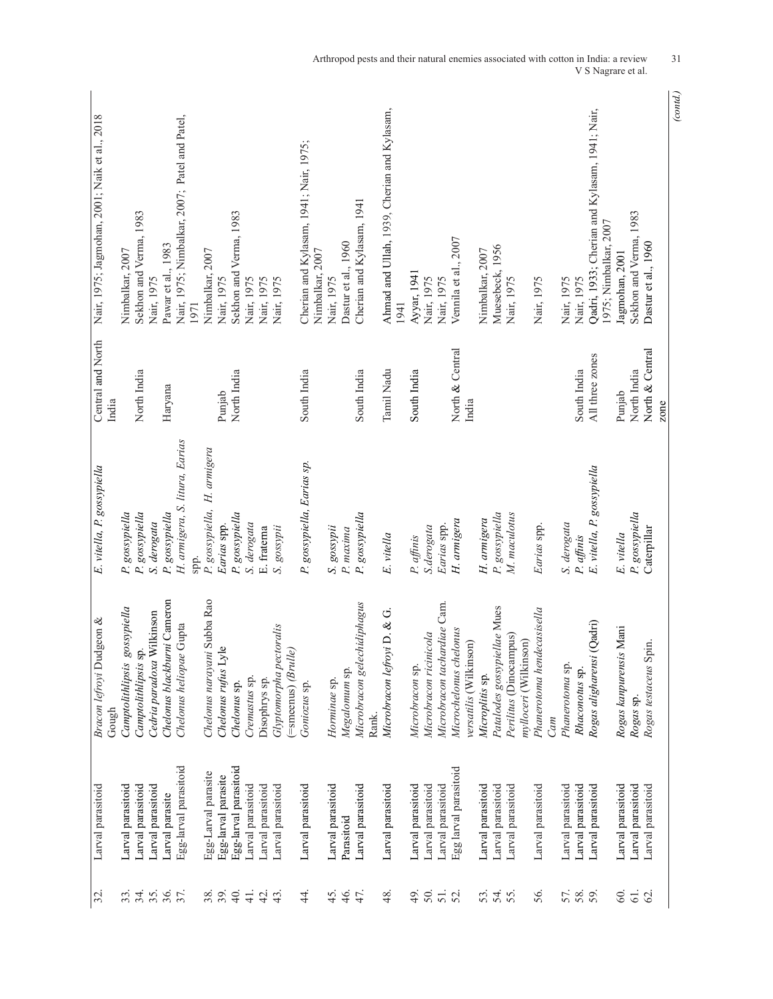| 32. | Larval parasitoid     | $1$ geon $\&$<br>Bracon lefroyi Dud              | E. vitella, P. gossypiella     | Central and North        | Nair, 1975; Jagmohan, 2001; Naik et al., 2018                          |
|-----|-----------------------|--------------------------------------------------|--------------------------------|--------------------------|------------------------------------------------------------------------|
|     |                       | Gough                                            |                                | India                    |                                                                        |
|     | Larval parasitoid     | gossypiella<br>Camptolithlipsis                  | P. gossypiella                 |                          | Nimbalkar, 2007                                                        |
|     | Larval parasitoid     | Camptolithlipsis sp                              | P. gossypiella                 | North India              | Sekhon and Verma, 1983                                                 |
|     | Larval parasitoid     | Cedria paradoxa Wilkinson                        | S. derogata                    |                          | Nair, 1975                                                             |
|     | Larval parasite       | Chelonus blackburni Cameron                      | P. gossypiella                 | Haryana                  | Pawar et al., 1983                                                     |
|     | Egg-larval parasitoid | Gupta<br>Chelonus heliopae                       | H. armigera, S. litura, Earias |                          | Nair, 1975; Nimbalkar, 2007; Patel and Patel,                          |
|     |                       |                                                  | spp.                           |                          | 1971                                                                   |
|     | Egg-Larval parasite   | Subba Rao<br>Chelonus narayani                   | P. gossypiella, H. armigera    |                          | Nimbalkar, 2007                                                        |
|     | Egg-larval parasite   | $\bullet$<br>Chelonus rufus Lyl                  | Earias spp.                    | Punjab                   | Nair, 1975                                                             |
|     | Egg-larval parasitoid | Chelonus sp.                                     | P. gossypiella                 | North India              | Sekhon and Verma, 1983                                                 |
|     | Larval parasitoid     | Cremastus sp.                                    | S. derogata                    |                          | Nair, 1975                                                             |
|     | Larval parasitoid     | Disophrys sp.                                    | E. fraterna                    |                          | Nair, 1975                                                             |
|     | Larval parasitoid     | Glyptomorpha pectoralis<br>(=smeenus) (Brulle)   | gossypii                       |                          | Nair, 1975                                                             |
|     | Larval parasitoid     | Goniozus sp                                      | P. gossypiella, Earias sp.     | South India              | Cherian and Kylasam, 1941; Nair, 1975;<br>Nimbalkar, 2007              |
|     | Larval parasitoid     | Horminae sp.                                     | S. gossypii                    |                          | Nair, 1975                                                             |
|     | Parasitoid            | Megalomum sp.                                    | P. maxima                      |                          | Dastur et al., 1960                                                    |
|     | Larval parasitoid     | Microbracon gelechidiphagus<br>Rank.             | P. gossypiella                 | South India              | Cherian and Kylasam, 1941                                              |
|     | Larval parasitoid     | Microbracon lefroyi D. & G.                      | E. vitella                     | Tamil Nadu               | Ahmad and Ullah, 1939, Cherian and Kylasam,<br>1941                    |
|     | Larval parasitoid     | Microbracon sp.                                  | P. affinis                     | South India              | Ayyar, 1941                                                            |
|     | Larval parasitoid     | Microbracon ricinicola                           | S.derogata                     |                          | Nair, 1975                                                             |
|     | Larval parasitoid     | Microbracon tachardiae Cam.                      | Earias spp.                    |                          | Nair, 1975                                                             |
|     | Egg larval parasitoid | Microchelonus chelonus<br>versatilis (Wilkinson) | H. armigera                    | North & Central<br>India | Vennila et al., 2007                                                   |
|     | Larval parasitoid     | Microplitis sp.                                  | H. armigera                    |                          | Nimbalkar, 2007                                                        |
|     | Larval parasitoid     | Patalodes gossypiellae Mues                      | P. gossypiella                 |                          | Muesebeck, 1956                                                        |
|     | Larval parasitoid     | Perilitus (Dinocampus)<br>mylloceri (Wilkinson)  | M. maculotus                   |                          | Nair, 1975                                                             |
|     | Larval parasitoid     | Phanerotoma hendecasisella                       | Earias spp.                    |                          | Nair, 1975                                                             |
|     |                       | Cam                                              |                                |                          |                                                                        |
|     | Larval parasitoid     | Phanerotoma sp.                                  | S. derogata                    |                          | Nair, 1975                                                             |
|     | Larval parasitoid     | Rhaconotus sp.                                   | P. affinis                     | South India              | Nair, 1975                                                             |
|     | Larval parasitoid     | (Qadri)<br>Rogas aligharensi                     | E. vitella, P. gossypiella     | All three zones          | Qadri, 1933; Cherian and Kylasam, 1941; Nair,<br>1975; Nimbalkar, 2007 |
|     | Larval parasitoid     | Mani<br>Rogas kanpurensis                        | E. vitella                     | Punjab                   | Jagmohan, 2001                                                         |
|     | Larval parasitoid     | Rogas sp.                                        | P. gossypiella                 | North India              | Sekhon and Verma, 1983                                                 |
|     | Larval parasitoid     | Rogas testaceus Spin.                            | Caterpillar                    | North & Central          | Dastur et al., 1960                                                    |
|     |                       |                                                  |                                | zone                     |                                                                        |

*(contd.)*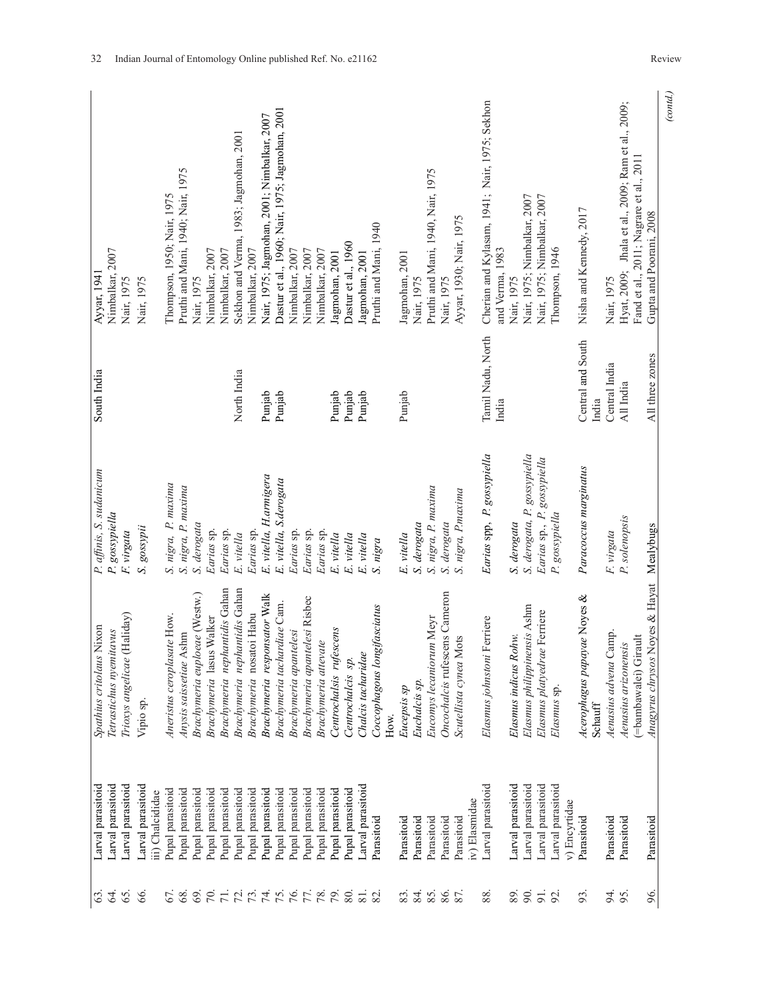| (cond.)                                                          |                            |                                    |                                                          |                                       |                        |
|------------------------------------------------------------------|----------------------------|------------------------------------|----------------------------------------------------------|---------------------------------------|------------------------|
| Gupta and Poorani, 2008                                          | All three zones            |                                    | Noyes & Hayat Mealybugs<br>Anagyrus chrysos              | Parasitoid                            | 96.                    |
| Fand et al., 2011; Nagrare et al., 2011                          |                            |                                    | (=bambawalei) Girault                                    |                                       |                        |
| Hyat, 2009; Jhala et al., 2009; Ram et al., 2009;                | All India                  | P. solenopsis                      | Aenasius arizonensis                                     | Parasitoid                            | 95                     |
| Nair, 1975                                                       | Central India              | F. virgata                         | Aenasius advena Camp.                                    | Parasitoid                            | 54.                    |
| Nisha and Kennedy, 2017                                          | Central and South<br>India | Paracoccus marginatus              | Acerophagus papayae Noyes &<br>Schauff                   | Parasitoid                            | 93.                    |
| Thompson, 1946                                                   |                            | P. gossypiella                     | Elasmus sp.                                              | Larval parasitoid<br>v) Encyrtidae    |                        |
|                                                                  |                            | Earias sp., P. gossypiella         | Elasmus platyedrae Ferriere                              | Larval parasitoid                     | 92.                    |
| Nair, 1975; Nimbalkar, 2007                                      |                            |                                    |                                                          |                                       | $\overline{5}$         |
| Nair, 1975; Nimbalkar, 2007                                      |                            | S. derogata, P. gossypiella        | Elasmus philippinensis Ashm                              | Larval parasitoid                     | $\infty$               |
| Nair, 1975                                                       |                            | S. derogata                        | ohw<br>Elasmus indicus R                                 | Larval parasitoid                     | 89.                    |
| Cherian and Kylasam, 1941; Nair, 1975; Sekhon<br>and Verma, 1983 | Tamil Nadu, North<br>India | Earias spp, P. gossypiella         | Elasmus johnstoni Ferriere                               | Larval parasitoid                     | 88.                    |
|                                                                  |                            |                                    |                                                          | iv) Elasmidae                         |                        |
| Ayyar, 1930; Nair, 1975                                          |                            | S. nigra, P.maxima                 | Scutellista cynea Mots                                   | Parasitoid                            | 87.                    |
| Pruthi and Mani, 1940, Nair, 1975<br>Nair, 1975                  |                            | S. nigra, P. maxima<br>S. derogata | Oncochalcis rufescens Cameron<br>Eucomys lecaniorum Meyr | Parasitoid<br>Parasitoid              | 85.<br>86.             |
| Nair, 1975                                                       |                            | S. derogata                        | Euchalcis sp.                                            | Parasitoid                            | 84.                    |
| Jagmohan, 2001                                                   | Punjab                     | E. vitella                         | Eucepsis sp                                              | Parasitoid                            | 83.                    |
| Pruthi and Mani, 1940                                            |                            | S. nigra                           | Coccophagous longifasciatus<br>How.                      | Parasitoid                            |                        |
| Jagmohan, 2001                                                   | Punjab                     | E. vitella                         | Chalcis tacharidae                                       | Larval parasitoid                     | $\overline{81}$<br>82. |
| Dastur et al., 1960                                              | Punjab                     | E. vitella                         | Centrochalcis sp.                                        | Pupal parasitoid                      | 80.                    |
| Jagmohan, 2001                                                   | Punjab                     | E. vitella                         | Centrochalsis rufescens                                  | Pupal parasitoid                      |                        |
| Nimbalkar, 2007                                                  |                            | Earias sp.                         | Brachymeria attevate                                     | Pupal parasitoid                      | 78.                    |
| Nimbalkar, 2007                                                  |                            | Earias sp.                         | Brachymeria apantelesi Risbec                            | Pupal parasitoid                      |                        |
| Nimbalkar, 2007                                                  |                            | Earias sp.                         | Brachymeria apantelesi                                   | Pupal parasitoid                      |                        |
| Dastur et al., 1960; Nair, 1975; Jagmohan, 2001                  | Punjab                     | E. vitella, S.derogata             | Brachymeria tachardiae Cam.                              | Pupal parasitoid                      | 74.007                 |
| Nair, 1975; Jagmohan, 2001; Nimbalkar, 2007                      | Punjab                     | E. vitella, H.armigera             | Brachymeria responsator Walk                             | Pupal parasitoid                      |                        |
| Nimbalkar, 2007                                                  |                            | Earias sp.                         | Brachymeria nosatoi Habu                                 | Pupal parasitoid                      | 8729                   |
| Sekhon and Verma, 1983; Jagmohan, 2001                           | North India                | E. vitella                         | Brachymeria nephantidis Gahan                            | Pupal parasitoid                      |                        |
| Nimbalkar, 2007                                                  |                            | Earias sp.                         | Brachymeria nephantidis Gahan                            | Pupal parasitoid                      |                        |
| Nimbalkar, 2007                                                  |                            | Earias sp.                         | Brachymeria lasus Walker                                 | Pupal parasitoid                      |                        |
| Nair, 1975                                                       |                            | S. derogata                        | Brachymeria euploeae (Westw.)                            | Pupal parasitoid                      | 69                     |
| Pruthi and Mani, 1940; Nair, 1975                                |                            | S. nigra, P. maxima                | Anysis saissetiae Ashm                                   | pupal parasitoid                      | 68                     |
| Thompson, 1950; Nair, 1975                                       |                            | S. nigra, P. maxima                | Aneristus ceroplasate How.                               | Pupal parasitoid                      | 67.                    |
| Nair, 1975                                                       |                            | gossypii<br>$\mathcal{S}$          | Vipio sp.                                                | Larval parasitoid<br>iii) Chalcididae | 66                     |
| Nair, 1975                                                       |                            | F. virgata                         | Trioxys angelicae (Haliday)                              | Larval parasitoid                     | 65.                    |
| Nimbalkar, 2007                                                  |                            | P. gossypiella                     | Tetrastichus nyemitavus                                  | Larval parasitoid                     | Z.                     |
| Ayyar, 1941                                                      | South India                | P. affinis, S. sudanicum           | Nixon<br>Spathius critolaus                              | Larval parasitoid                     | $\mathfrak{S}$         |
|                                                                  |                            |                                    |                                                          |                                       |                        |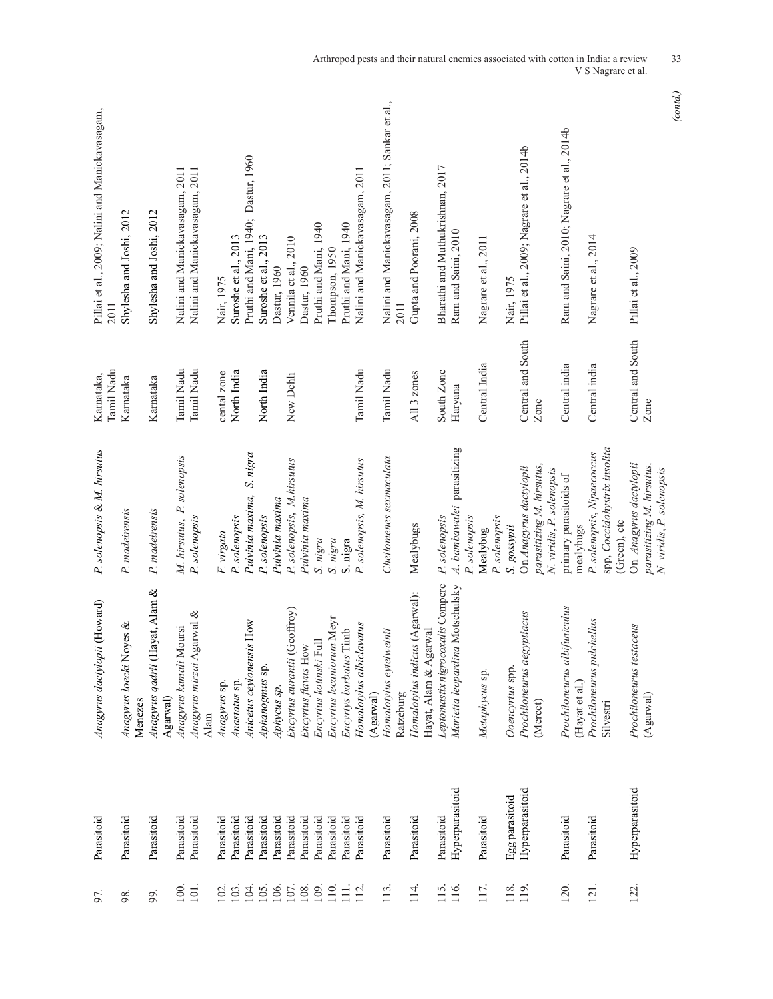| 97.              | Parasitoid      | Anagyrus dactylopii (Howard)                   | P. solenopsis & M. hirsutus                                                      | Tamil Nadu<br>Karnataka, | Pillai et al., 2009; Nalini and Manickavasagam,<br>2011 |
|------------------|-----------------|------------------------------------------------|----------------------------------------------------------------------------------|--------------------------|---------------------------------------------------------|
| 98.              | Parasitoid      | Anagyrus loecki Noyes &<br>Menezes             | P. madeirensis                                                                   | Karnataka                | Shylesha and Joshi, 2012                                |
| 99.              | Parasitoid      | Anagyrus qadrii (Hayat, Alam &<br>Agarwal)     | P. madeirensis                                                                   | Karnataka                | Shylesha and Joshi, 2012                                |
| 100              | Parasitoid      | Anagyrus kamali Moursi                         | M. hirsutus, P. solenopsis                                                       | Tamil Nadu               | Nalini and Manickavasagam, 2011                         |
| $101$ .          | Parasitoid      | Anagyrus mirzai Agarwal &<br>Alam              | P. solenopsis                                                                    | Tamil Nadu               | Nalini and Manickavasagam, 2011                         |
| 102              | Parasitoid      | Anagyrus sp.                                   | F. virgata                                                                       | cental zone              | Nair, 1975                                              |
| 103              | Parasitoid      | Anastatus sp.                                  | P. solenopsis                                                                    | North India              | Suroshe et al., 2013                                    |
| 104              | Parasitoid      | Anicetus ceylonensis How                       | Pulvinia maxima, S. nigra                                                        |                          | Pruthi and Mani, 1940; Dastur, 1960                     |
| 105.             | Parasitoid      | Aphanogmus sp.                                 | P. solenopsis                                                                    | North India              | Suroshe et al., 2013                                    |
| 106.             | Parasitoid      | Aphycus sp.                                    | Pulvinia maxima                                                                  |                          | Dastur, 1960                                            |
| 107.             | Parasitoid      | Encyrtus aurantii (Geoffroy)                   | P. solenopsis, M.hirsutus                                                        | New Dehli                | Vennila et al., 2010                                    |
| 108.             | Parasitoid      | Encyrtus flavus How                            | Pulvinia maxima                                                                  |                          | Dastur, 1960                                            |
| 109              | Parasitoid      | Encyrtus kotinski Full                         | S. nigra                                                                         |                          | Pruthi and Mani, 1940                                   |
| $\overline{110}$ | Parasitoid      | Encyrtus lecaniorum Meyr                       | S. nigra                                                                         |                          | Thompson, 1950                                          |
| $\equiv$         | Parasitoid      | Encyrtys barbatus Timb                         | S. nigra                                                                         |                          | Pruthi and Mani, 1940                                   |
| 12               | Parasitoid      | Homalotylus albiclavatus                       | P. solenopsis, M. hirsutus                                                       | Tamil Nadu               | Nalini and Manickavasagam, 2011                         |
|                  |                 | (Agarwal)                                      |                                                                                  |                          |                                                         |
| 113.             | Parasitoid      | Homalotylus eytelweinii<br>Ratzeburg           | Cheilomenes sexmaculata                                                          | Tamil Nadu               | Nalini and Manickavasagam, 2011; Sankar et al.,<br>2011 |
| 114              | Parasitoid      | Homalotylus indicus (Agarwal):                 | Mealybugs                                                                        | All 3 zones              | Gupta and Poorani, 2008                                 |
|                  |                 | Hayat, Alam & Agarwal                          |                                                                                  |                          |                                                         |
| 115.             | Parasitoid      | Leptomastix nigrocoxalis Compere               | P. solenopsis                                                                    | South Zone               | Bharathi and Muthukrishnan, 2017                        |
| 116.             | Hyperparasitoid | Marietta leopardina Motschulsky                | 4. bambawalei parasitizing<br>P. solenopsis                                      | Haryana                  | Ram and Saini, 2010                                     |
| 117.             | Parasitoid      | Metaphycus sp.                                 | Mealybug                                                                         | Central India            | Nagrare et al., 2011                                    |
| 118              | Egg parasitoid  | Ooencyrtus spp.                                | P. solenopsis<br>S. gossypii                                                     |                          | Nair, 1975                                              |
| 119.             | Hyperparasitoid | Prochiloneurus aegyptiacus                     | On Anagyrus dactylopii                                                           | Central and South        | Pillai et al., 2009; Nagrare et al., 2014b              |
|                  |                 | (Mercet)                                       | parasitizing M. hirsutus,<br>N. viridis, P. solenopsis                           | Zone                     |                                                         |
| 120.             | Parasitoid      | Prochiloneurus albifuniculus<br>(Hayat et al.) | primary parasitoids of<br>mealybugs                                              | Central india            | Ram and Saini, 2010; Nagrare et al., 2014b              |
| 121.             | Parasitoid      | Prochiloneurus pulchellus                      | P. solenopsis, Nipaecoccus                                                       | Central india            | Nagrare et al., 2014                                    |
|                  |                 | Silvestri                                      | spp, Coccidohystrix insolita<br>(Green), etc                                     |                          |                                                         |
| 122.             |                 | Prochiloneurus testaceus                       |                                                                                  | Central and South        | Pillai et al., 2009                                     |
|                  | Hyperparasitoid | (Agarwal)                                      | On Anagyrus dactylopii<br>parasitizing M. hirsutus,<br>N. viridis, P. solenopsis | Zone                     |                                                         |

Arthropod pests and their natural enemies associated with cotton in India: a review 33 V S Nagrare et al.

*(contd.)*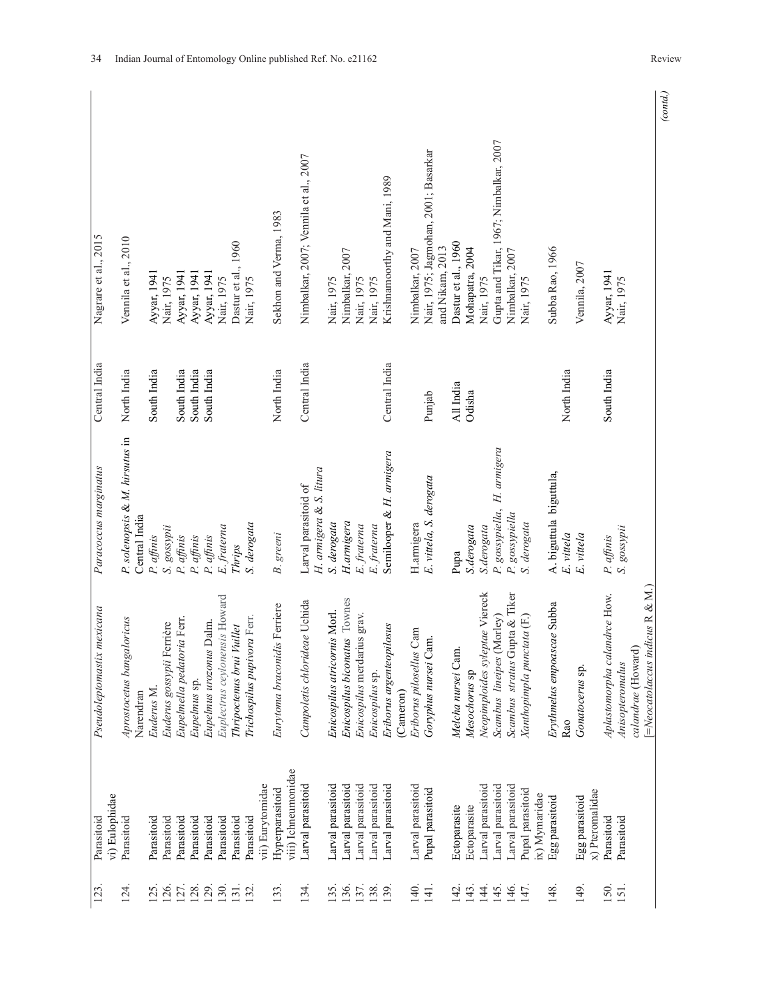| Parasitoid                             | mexicana<br>Pseudoleptomastix          | Paracoccus marginatus                           | Central India | Nagrare et al., 2015                   |
|----------------------------------------|----------------------------------------|-------------------------------------------------|---------------|----------------------------------------|
| vi) Eulophidae                         |                                        |                                                 |               |                                        |
| Parasitoid                             | Aprostocetus bangaloricus<br>Narendran | P. solenopsis & M. hirsutus in<br>Central India | North India   | Vennila et al., 2010                   |
| Parasitoid                             | Euderus M.                             | P. affinis                                      | South India   | Ayyar, 1941                            |
| Parasitoid                             | Euderus gossypii Ferrière              | S. gossypii                                     |               | Nair, 1975                             |
| Parasitoid                             | Eupelmella pedatoria Ferr.             | P. affinis                                      | South India   | Ayyar, 1941                            |
| Parasitoid                             | Eupelmus sp.                           | P. affinis                                      | South India   | Ayyar, 1941                            |
| Parasitoid                             | Eupelmus urozonus Dalm.                | P. affinis                                      | South India   | Ayyar, 1941                            |
| Parasitoid                             | Euplectrus ceylonensis Howard          | E. fraterna                                     |               | Nair, 1975                             |
| Parasitoid                             | Vuillet<br>Thripoctenus brui           | Thrips                                          |               | Dastur et al., 1960                    |
| Parasitoid                             | Trichospilus pupivora Ferr.            | S. derogata                                     |               | Nair, 1975                             |
| vii) Eurytomidae                       |                                        |                                                 |               |                                        |
| viii) Ichneumonidae<br>Hyperparasitoid | Eurytoma braconidis Ferriere           | <b>B.</b> greeni                                | North India   | Sekhon and Verma, 1983                 |
|                                        |                                        |                                                 |               |                                        |
| Larval parasitoid                      | Campoletis chlorideae Uchida           | H. armigera & S. litura<br>Larval parasitoid of | Central India | Nimbalkar, 2007; Vennila et al., 2007  |
| Larval parasitoid                      | Enicospilus atricornis Morl.           | S. derogata                                     |               | Nair, 1975                             |
| Larval parasitoid                      | Enicospilus biconatus Townes           | H.armigera                                      |               | Nimbalkar, 2007                        |
|                                        |                                        |                                                 |               |                                        |
| Larval parasitoid                      | Enicospilus merdarius grav.            | E. fraterna                                     |               | Nair, 1975                             |
| Larval parasitoid                      | Enicospilus sp.                        | E. fraterna                                     |               | Nair, 1975                             |
| Larval parasitoid                      | Eriborus argenteopilosus<br>(Cameron)  | Semilooper & H. armigera                        | Central India | Krishnamoorthy and Mani, 1989          |
| Larval parasitoid                      | Eriborus pilosellus Cam                | H.armigera                                      |               | Nimbalkar, 2007                        |
| Pupal parasitoid                       | Goryphus nursei Cam.                   | E. vittela, S. derogata                         | Punjab        | Nair, 1975; Jagmohan, 2001; Basarkar   |
|                                        |                                        |                                                 |               | and Nikam, 2013                        |
| Ectoparasite                           | Melcha nursei Cam.                     | Pupa                                            | All India     | Dastur et al., 1960                    |
| Ectoparasite                           | Mesochorus sp                          | S.derogata                                      | Odisha        | Mohapatra, 2004                        |
| Larval parasitoid                      | Neopimploides syleptae Viereck         | S.derogata                                      |               | Nair, 1975                             |
| Larval parasitoid                      | Scambus lineipes (Morley)              | P. gossypiella, H. armigera                     |               | Gupta and Tikar, 1967; Nimbalkar, 2007 |
| Larval parasitoid                      | Scambus stratus Gupta & Tiker          | P. gossypiella                                  |               | Nimbalkar, 2007                        |
| Pupal parasitoid                       | Xanthopimpla punctata (F.)             | S. derogata                                     |               | Nair, 1975                             |
| ix) Mymaridae                          |                                        |                                                 |               |                                        |
| Egg parasitoid                         | Erythmelus empoascae Subba             | A. biguttula biguttula,                         |               | Subba Rao, 1966                        |
|                                        | Rao                                    | E. vittela                                      | North India   |                                        |
| x) Pteromalidae<br>Egg parasitoid      | Gonatocerus sp.                        | E. vittela                                      |               | Vennila, 2007                          |
| Parasitoid                             | Aplastomorpha calandrce How.           | P. affinis                                      | South India   | Ayyar, 1941                            |
| Parasitoid                             | Anisopteromalus                        | gossypii<br>$\mathcal{S}_{i}$                   |               | Nair, 1975                             |
|                                        | calandrae (Howard)                     |                                                 |               |                                        |
|                                        | $\equiv$ Neocatolaccus indicus R & M.) |                                                 |               |                                        |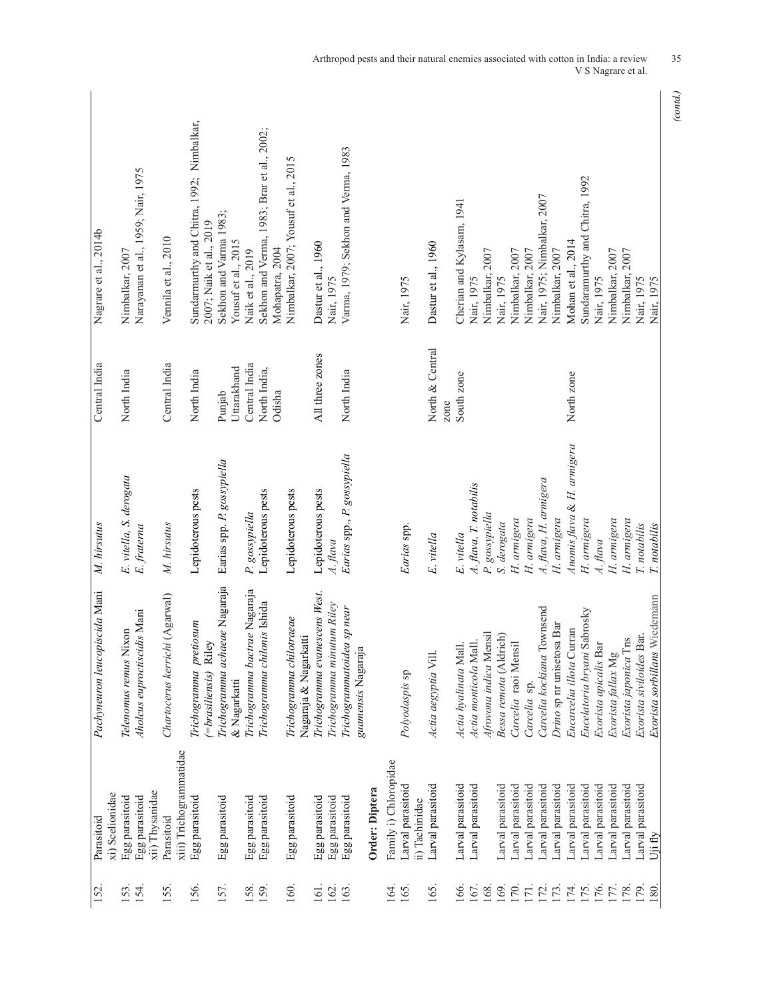| 152.                    | xi) Scelionidae<br>Parasitoid                       | Pachyneuron leucopiscida Mani                                 | M. hirsutus                            | Central India                           | Nagrare et al., 2014b                                                |
|-------------------------|-----------------------------------------------------|---------------------------------------------------------------|----------------------------------------|-----------------------------------------|----------------------------------------------------------------------|
| 154.<br>153.            | xii) Thysanidae<br>Egg parasitoid<br>Egg parasitoid | Aholcus euproctiscidis Mani<br>ixon<br>Telenomus remus N      | E. vitella, S. derogata<br>E. fraterna | North India                             | Narayanan et al., 1959; Nair, 1975<br>Nimbalkar, 2007                |
| IS5.                    | xiii) Trichogrammatidae<br>Parasitoid               | Chartocerus kerrichi (Agarwal)                                | M. hirsutus                            | Central India                           | Vennila et al., 2010                                                 |
| 156.                    | Egg parasitoid                                      | Trichogramma pretiosum<br>'=brasiliensis) Riley               | Lepidoterous pests                     | North India                             | Sundarmurthy and Chitra, 1992; Nimbalkar,<br>2007; Naik et al., 2019 |
| 157.                    | Egg parasitoid                                      | Trichogramma achaeae Nagaraja<br>& Nagarkatti                 | Earias spp. P. gossypiella             | Uttarakhand<br>Punjab                   | Sekhon and Varma 1983;<br>Yousuf et al., 2015                        |
| 158.<br>I <sub>59</sub> | Egg parasitoid<br>Egg parasitoid                    | Trichogramma bactrae Nagaraja<br>Trichogramma chilonis Ishida | Lepidoterous pests<br>P. gossypiella   | Central India<br>North India,<br>Odisha | Sekhon and Verma, 1983; Brar et al., 2002;<br>Naik et al., 2019      |
| 160.                    | Egg parasitoid                                      | Trichogramma chilotraeae<br>Nagaraja & Nagarkatti             | Lepidoterous pests                     |                                         | Nimbalkar, 2007; Yousuf et al., 2015<br>Mohapatra, 2004              |
| 161.<br>162.            | Egg parasitoid<br>Egg parasitoid                    | Trichogramma evanescens West.<br>Trichogramma minutum Riley   | Lepidoterous pests<br>A. flava         | All three zones                         | Dastur et al., 1960<br>Nair, 1975                                    |
| 163.                    | Egg parasitoid                                      | Trichogrammatoidea sp near<br>guamensis Nagaraja              | Earias spp., P. gossypiella            | North India                             | Varma, 1979; Sekhon and Verma, 1983                                  |
|                         | Order: Diptera                                      |                                                               |                                        |                                         |                                                                      |
| 164.                    | Family i) Chloropidae                               |                                                               |                                        |                                         |                                                                      |
| 165.                    | Larval parasitoid<br>ii) Tachinidae                 | Polyodaspis sp                                                | Earias spp.                            |                                         | Nair, 1975                                                           |
| 165.                    | Larval parasitoid                                   | Actia aegyptia Vill.                                          | E. vitella                             | North & Central<br>zone                 | Dastur et al., 1960                                                  |
| 166.                    | Larval parasitoid                                   | Actia hyalinata Mall.                                         | E. vitella                             | South zone                              | Cherian and Kylasam, 1941                                            |
| 167.                    | Larval parasitoid                                   | Actia monticola Mall.                                         | A. flava, T. notabilis                 |                                         | Nair, 1975                                                           |
| 168                     |                                                     | Afrovona indica Mensil                                        | P. gossypiella                         |                                         | Nimbalkar, 2007                                                      |
| 169.                    | Larval parasitoid                                   | Bessa remota (Aldrich)                                        | S. derogata                            |                                         | Nair, 1975                                                           |
| <b>170</b>              | arval parasitoid                                    | Carcelia raoi Mensil                                          | H. armigera                            |                                         | Nimbalkar, 2007                                                      |
| 172.<br>171.            | Larval parasitoid<br>Larval parasitoid              | Carcelia kockiana Townsend<br>Carcelia sp.                    | A. flava, H. armigera<br>H. armigera   |                                         | Nair, 1975; Nimbalkar, 2007<br>Nimbalkar, 2007                       |
| 173.                    | Larval parasitoid                                   | Drino sp nr unisetosa Bar                                     | H. armigera                            |                                         | Nimbalkar, 2007                                                      |
| 174.<br>175.<br>176.    | Larval parasitoid                                   | Eucarcelia illota Curran                                      | Anomis flava & H. armigera             | North zone                              | Mohan et al., 2014                                                   |
|                         | Larval parasitoid                                   | Eucelatoria bryani Sabrosky                                   | H. armigera                            |                                         | Sundaramurthy and Chitra, 1992                                       |
|                         | Larval parasitoid                                   | Exorista apicalis Bar                                         | A. flava                               |                                         | Nair, 1975                                                           |
| 177.                    | Larval parasitoid                                   | Exorista fallax Mg                                            | H. armigera                            |                                         | Nimbalkar, 2007                                                      |
| 178.                    | Larval parasitoid                                   | Exorista japonica Tns                                         | H. armigera                            |                                         | Nimbalkar, 2007                                                      |
| 179<br>180              | Larval parasitoid<br>Uji fly                        | Wiedemann<br>Exorista siviloides Bar.<br>Exorista sorbillans  | T. notabilis<br>T. notabilis           |                                         | Nair, 1975<br>Nair, 1975                                             |
|                         |                                                     |                                                               |                                        |                                         |                                                                      |

Arthropod pests and their natural enemies associated with cotton in India: a review 35 V S Nagrare et al.

*<sup>(</sup>contd.)*